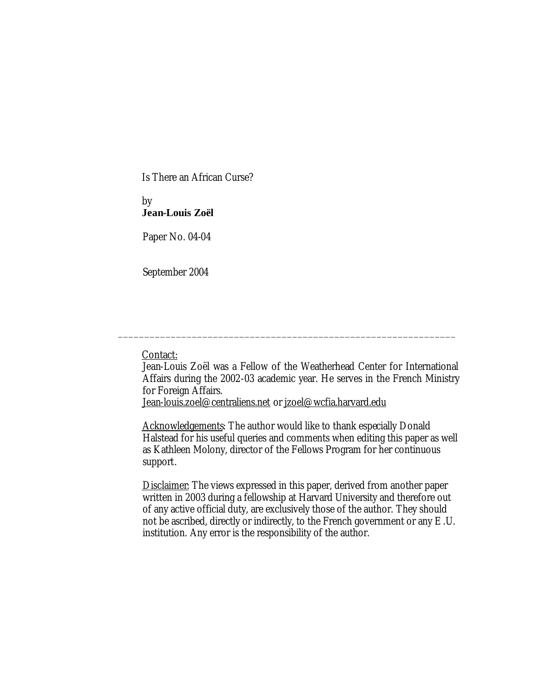Is There an African Curse?

# by **Jean-Louis Zoël**

Paper No. 04-04

September 2004

### Contact:

Jean-Louis Zoël was a Fellow of the Weatherhead Center for International Affairs during the 2002-03 academic year. He serves in the French Ministry for Foreign Affairs.

\_\_\_\_\_\_\_\_\_\_\_\_\_\_\_\_\_\_\_\_\_\_\_\_\_\_\_\_\_\_\_\_\_\_\_\_\_\_\_\_\_\_\_\_\_\_\_\_\_\_\_\_\_\_\_\_\_\_\_\_\_\_\_\_

Jean-louis.zoel@centraliens.net or jzoel@wcfia.harvard.edu

Acknowledgements: The author would like to thank especially Donald Halstead for his useful queries and comments when editing this paper as well as Kathleen Molony, director of the Fellows Program for her continuous support.

Disclaimer: The views expressed in this paper, derived from another paper written in 2003 during a fellowship at Harvard University and therefore out of any active official duty, are exclusively those of the author. They should not be ascribed, directly or indirectly, to the French government or any E.U. institution. Any error is the responsibility of the author.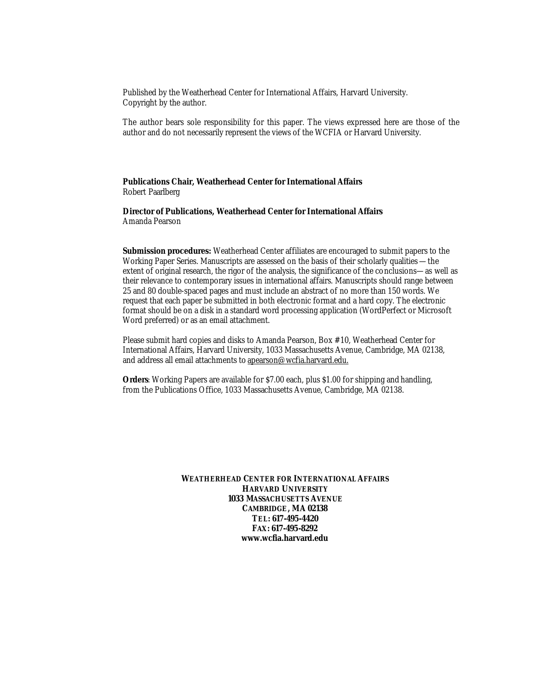Published by the Weatherhead Center for International Affairs, Harvard University. Copyright by the author.

The author bears sole responsibility for this paper. The views expressed here are those of the author and do not necessarily represent the views of the WCFIA or Harvard University.

**Publications Chair, Weatherhead Center for International Affairs** Robert Paarlberg

**Director of Publications, Weatherhead Center for International Affairs** Amanda Pearson

**Submission procedures:** Weatherhead Center affiliates are encouraged to submit papers to the Working Paper Series. Manuscripts are assessed on the basis of their scholarly qualities —the extent of original research, the rigor of the analysis, the significance of the conclusions—as well as their relevance to contemporary issues in international affairs. Manuscripts should range between 25 and 80 double-spaced pages and must include an abstract of no more than 150 words. We request that each paper be submitted in both electronic format and a hard copy. The electronic format should be on a disk in a standard word processing application (WordPerfect or Microsoft Word preferred) or as an email attachment.

Please submit hard copies and disks to Amanda Pearson, Box #10, Weatherhead Center for International Affairs, Harvard University, 1033 Massachusetts Avenue, Cambridge, MA 02138, and address all email attachments to apearson@wcfia.harvard.edu.

**Orders**: Working Papers are available for \$7.00 each, plus \$1.00 for shipping and handling, from the Publications Office, 1033 Massachusetts Avenue, Cambridge, MA 02138.

> **WEATHERHEAD CENTER FOR INTERNATIONAL AFFAIRS HARVARD UNIVERSITY 1033 MASSACHUSETTS AVENUE CAMBRIDGE, MA 02138 TEL: 617-495-4420 FAX: 617-495-8292 www.wcfia.harvard.edu**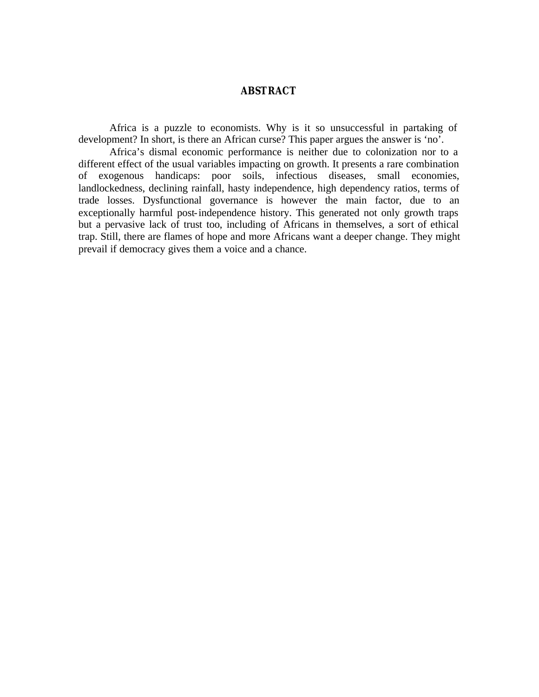## **ABSTRACT**

Africa is a puzzle to economists. Why is it so unsuccessful in partaking of development? In short, is there an African curse? This paper argues the answer is 'no'.

Africa's dismal economic performance is neither due to colonization nor to a different effect of the usual variables impacting on growth. It presents a rare combination of exogenous handicaps: poor soils, infectious diseases, small economies, landlockedness, declining rainfall, hasty independence, high dependency ratios, terms of trade losses. Dysfunctional governance is however the main factor, due to an exceptionally harmful post-independence history. This generated not only growth traps but a pervasive lack of trust too, including of Africans in themselves, a sort of ethical trap. Still, there are flames of hope and more Africans want a deeper change. They might prevail if democracy gives them a voice and a chance.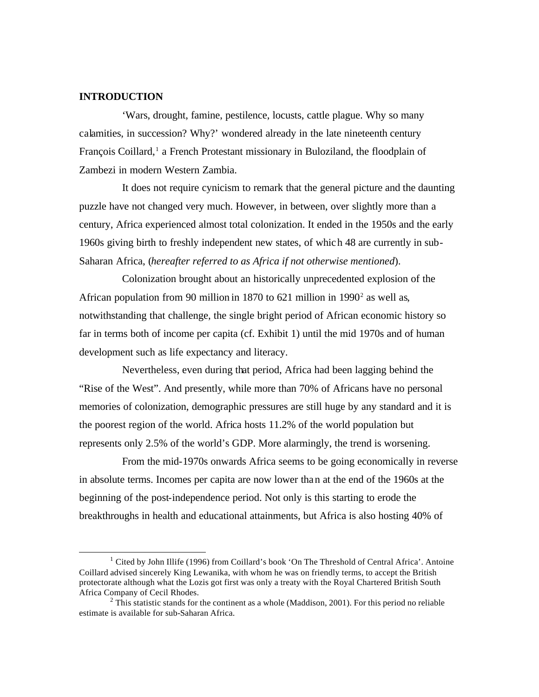## **INTRODUCTION**

'Wars, drought, famine, pestilence, locusts, cattle plague. Why so many calamities, in succession? Why?' wondered already in the late nineteenth century François Coillard,<sup>1</sup> a French Protestant missionary in Buloziland, the floodplain of Zambezi in modern Western Zambia.

It does not require cynicism to remark that the general picture and the daunting puzzle have not changed very much. However, in between, over slightly more than a century, Africa experienced almost total colonization. It ended in the 1950s and the early 1960s giving birth to freshly independent new states, of which 48 are currently in sub-Saharan Africa, (*hereafter referred to as Africa if not otherwise mentioned*).

Colonization brought about an historically unprecedented explosion of the African population from 90 million in 1870 to 621 million in 1990 $^2$  as well as, notwithstanding that challenge, the single bright period of African economic history so far in terms both of income per capita (cf. Exhibit 1) until the mid 1970s and of human development such as life expectancy and literacy.

Nevertheless, even during that period, Africa had been lagging behind the "Rise of the West". And presently, while more than 70% of Africans have no personal memories of colonization, demographic pressures are still huge by any standard and it is the poorest region of the world. Africa hosts 11.2% of the world population but represents only 2.5% of the world's GDP. More alarmingly, the trend is worsening.

From the mid-1970s onwards Africa seems to be going economically in reverse in absolute terms. Incomes per capita are now lower than at the end of the 1960s at the beginning of the post-independence period. Not only is this starting to erode the breakthroughs in health and educational attainments, but Africa is also hosting 40% of

 $\frac{1}{1}$ <sup>1</sup> Cited by John Illife (1996) from Coillard's book 'On The Threshold of Central Africa'. Antoine Coillard advised sincerely King Lewanika, with whom he was on friendly terms, to accept the British protectorate although what the Lozis got first was only a treaty with the Royal Chartered British South Africa Company of Cecil Rhodes.

 $2$  This statistic stands for the continent as a whole (Maddison, 2001). For this period no reliable estimate is available for sub-Saharan Africa.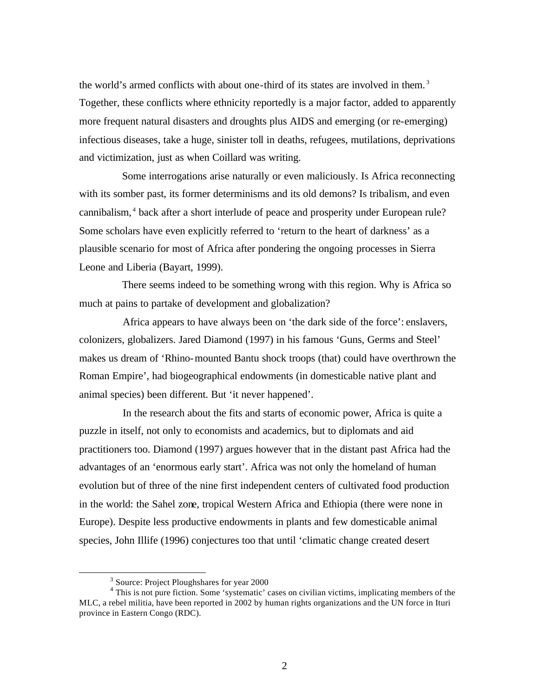the world's armed conflicts with about one-third of its states are involved in them. <sup>3</sup> Together, these conflicts where ethnicity reportedly is a major factor, added to apparently more frequent natural disasters and droughts plus AIDS and emerging (or re-emerging) infectious diseases, take a huge, sinister toll in deaths, refugees, mutilations, deprivations and victimization, just as when Coillard was writing.

Some interrogations arise naturally or even maliciously. Is Africa reconnecting with its somber past, its former determinisms and its old demons? Is tribalism, and even cannibalism,<sup>4</sup> back after a short interlude of peace and prosperity under European rule? Some scholars have even explicitly referred to 'return to the heart of darkness' as a plausible scenario for most of Africa after pondering the ongoing processes in Sierra Leone and Liberia (Bayart, 1999).

There seems indeed to be something wrong with this region. Why is Africa so much at pains to partake of development and globalization?

Africa appears to have always been on 'the dark side of the force': enslavers, colonizers, globalizers. Jared Diamond (1997) in his famous 'Guns, Germs and Steel' makes us dream of 'Rhino-mounted Bantu shock troops (that) could have overthrown the Roman Empire', had biogeographical endowments (in domesticable native plant and animal species) been different. But 'it never happened'.

In the research about the fits and starts of economic power, Africa is quite a puzzle in itself, not only to economists and academics, but to diplomats and aid practitioners too. Diamond (1997) argues however that in the distant past Africa had the advantages of an 'enormous early start'. Africa was not only the homeland of human evolution but of three of the nine first independent centers of cultivated food production in the world: the Sahel zone, tropical Western Africa and Ethiopia (there were none in Europe). Despite less productive endowments in plants and few domesticable animal species, John Illife (1996) conjectures too that until 'climatic change created desert

<sup>&</sup>lt;sup>3</sup> Source: Project Ploughshares for year 2000

<sup>&</sup>lt;sup>4</sup> This is not pure fiction. Some 'systematic' cases on civilian victims, implicating members of the MLC, a rebel militia, have been reported in 2002 by human rights organizations and the UN force in Ituri province in Eastern Congo (RDC).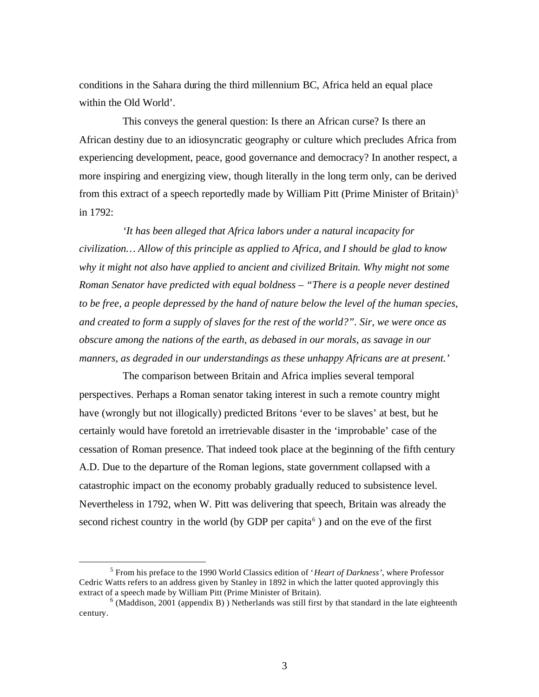conditions in the Sahara during the third millennium BC, Africa held an equal place within the Old World'.

This conveys the general question: Is there an African curse? Is there an African destiny due to an idiosyncratic geography or culture which precludes Africa from experiencing development, peace, good governance and democracy? In another respect, a more inspiring and energizing view, though literally in the long term only, can be derived from this extract of a speech reportedly made by William Pitt (Prime Minister of Britain)<sup>5</sup> in 1792:

*'It has been alleged that Africa labors under a natural incapacity for civilization… Allow of this principle as applied to Africa, and I should be glad to know why it might not also have applied to ancient and civilized Britain. Why might not some Roman Senator have predicted with equal boldness – "There is a people never destined to be free, a people depressed by the hand of nature below the level of the human species, and created to form a supply of slaves for the rest of the world?". Sir, we were once as obscure among the nations of the earth, as debased in our morals, as savage in our manners, as degraded in our understandings as these unhappy Africans are at present.'*

The comparison between Britain and Africa implies several temporal perspectives. Perhaps a Roman senator taking interest in such a remote country might have (wrongly but not illogically) predicted Britons 'ever to be slaves' at best, but he certainly would have foretold an irretrievable disaster in the 'improbable' case of the cessation of Roman presence. That indeed took place at the beginning of the fifth century A.D. Due to the departure of the Roman legions, state government collapsed with a catastrophic impact on the economy probably gradually reduced to subsistence level. Nevertheless in 1792, when W. Pitt was delivering that speech, Britain was already the second richest country in the world (by GDP per capita $<sup>6</sup>$ ) and on the eve of the first</sup>

<sup>5</sup> From his preface to the 1990 World Classics edition of '*Heart of Darkness'*, where Professor Cedric Watts refers to an address given by Stanley in 1892 in which the latter quoted approvingly this extract of a speech made by William Pitt (Prime Minister of Britain).

 $<sup>6</sup>$  (Maddison, 2001 (appendix B)) Netherlands was still first by that standard in the late eighteenth</sup> century.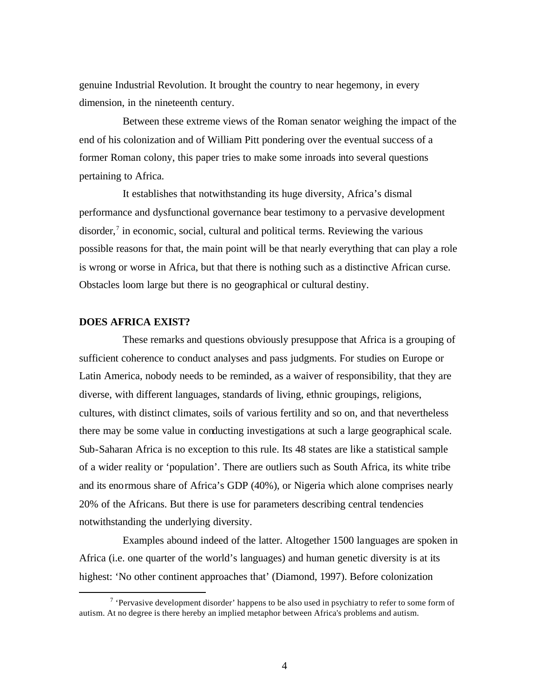genuine Industrial Revolution. It brought the country to near hegemony, in every dimension, in the nineteenth century.

Between these extreme views of the Roman senator weighing the impact of the end of his colonization and of William Pitt pondering over the eventual success of a former Roman colony, this paper tries to make some inroads into several questions pertaining to Africa.

It establishes that notwithstanding its huge diversity, Africa's dismal performance and dysfunctional governance bear testimony to a pervasive development disorder,<sup>7</sup> in economic, social, cultural and political terms. Reviewing the various possible reasons for that, the main point will be that nearly everything that can play a role is wrong or worse in Africa, but that there is nothing such as a distinctive African curse. Obstacles loom large but there is no geographical or cultural destiny.

## **DOES AFRICA EXIST?**

 $\overline{a}$ 

These remarks and questions obviously presuppose that Africa is a grouping of sufficient coherence to conduct analyses and pass judgments. For studies on Europe or Latin America, nobody needs to be reminded, as a waiver of responsibility, that they are diverse, with different languages, standards of living, ethnic groupings, religions, cultures, with distinct climates, soils of various fertility and so on, and that nevertheless there may be some value in conducting investigations at such a large geographical scale. Sub-Saharan Africa is no exception to this rule. Its 48 states are like a statistical sample of a wider reality or 'population'. There are outliers such as South Africa, its white tribe and its enormous share of Africa's GDP (40%), or Nigeria which alone comprises nearly 20% of the Africans. But there is use for parameters describing central tendencies notwithstanding the underlying diversity.

Examples abound indeed of the latter. Altogether 1500 languages are spoken in Africa (i.e. one quarter of the world's languages) and human genetic diversity is at its highest: 'No other continent approaches that' (Diamond, 1997). Before colonization

<sup>&</sup>lt;sup>7</sup> 'Pervasive development disorder' happens to be also used in psychiatry to refer to some form of autism. At no degree is there hereby an implied metaphor between Africa's problems and autism.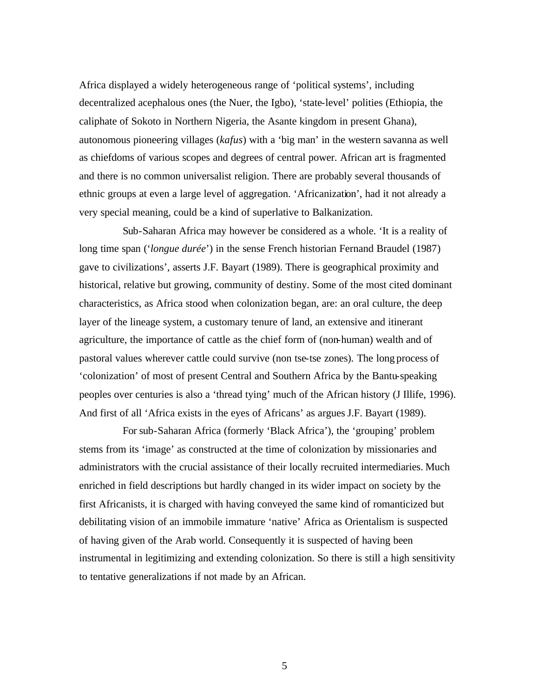Africa displayed a widely heterogeneous range of 'political systems', including decentralized acephalous ones (the Nuer, the Igbo), 'state-level' polities (Ethiopia, the caliphate of Sokoto in Northern Nigeria, the Asante kingdom in present Ghana), autonomous pioneering villages (*kafus*) with a 'big man' in the western savanna as well as chiefdoms of various scopes and degrees of central power. African art is fragmented and there is no common universalist religion. There are probably several thousands of ethnic groups at even a large level of aggregation. 'Africanization', had it not already a very special meaning, could be a kind of superlative to Balkanization.

Sub-Saharan Africa may however be considered as a whole. 'It is a reality of long time span ('*longue durée*') in the sense French historian Fernand Braudel (1987) gave to civilizations', asserts J.F. Bayart (1989). There is geographical proximity and historical, relative but growing, community of destiny. Some of the most cited dominant characteristics, as Africa stood when colonization began, are: an oral culture, the deep layer of the lineage system, a customary tenure of land, an extensive and itinerant agriculture, the importance of cattle as the chief form of (non-human) wealth and of pastoral values wherever cattle could survive (non tse-tse zones). The long process of 'colonization' of most of present Central and Southern Africa by the Bantu-speaking peoples over centuries is also a 'thread tying' much of the African history (J Illife, 1996). And first of all 'Africa exists in the eyes of Africans' as argues J.F. Bayart (1989).

For sub-Saharan Africa (formerly 'Black Africa'), the 'grouping' problem stems from its 'image' as constructed at the time of colonization by missionaries and administrators with the crucial assistance of their locally recruited intermediaries. Much enriched in field descriptions but hardly changed in its wider impact on society by the first Africanists, it is charged with having conveyed the same kind of romanticized but debilitating vision of an immobile immature 'native' Africa as Orientalism is suspected of having given of the Arab world. Consequently it is suspected of having been instrumental in legitimizing and extending colonization. So there is still a high sensitivity to tentative generalizations if not made by an African.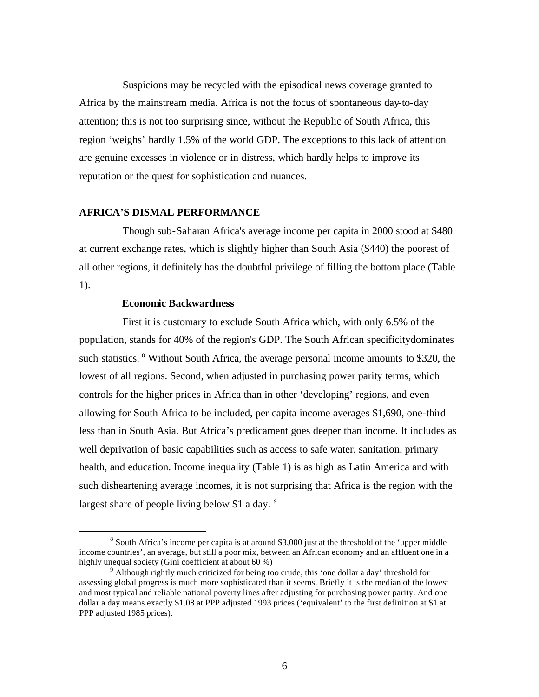Suspicions may be recycled with the episodical news coverage granted to Africa by the mainstream media. Africa is not the focus of spontaneous day-to-day attention; this is not too surprising since, without the Republic of South Africa, this region 'weighs' hardly 1.5% of the world GDP. The exceptions to this lack of attention are genuine excesses in violence or in distress, which hardly helps to improve its reputation or the quest for sophistication and nuances.

## **AFRICA'S DISMAL PERFORMANCE**

Though sub-Saharan Africa's average income per capita in 2000 stood at \$480 at current exchange rates, which is slightly higher than South Asia (\$440) the poorest of all other regions, it definitely has the doubtful privilege of filling the bottom place (Table 1).

## **Economic Backwardness**

 $\overline{a}$ 

First it is customary to exclude South Africa which, with only 6.5% of the population, stands for 40% of the region's GDP. The South African specificitydominates such statistics. <sup>8</sup> Without South Africa, the average personal income amounts to \$320, the lowest of all regions. Second, when adjusted in purchasing power parity terms, which controls for the higher prices in Africa than in other 'developing' regions, and even allowing for South Africa to be included, per capita income averages \$1,690, one-third less than in South Asia. But Africa's predicament goes deeper than income. It includes as well deprivation of basic capabilities such as access to safe water, sanitation, primary health, and education. Income inequality (Table 1) is as high as Latin America and with such disheartening average incomes, it is not surprising that Africa is the region with the largest share of people living below \$1 a day.  $9$ 

 $8$  South Africa's income per capita is at around \$3,000 just at the threshold of the 'upper middle income countries', an average, but still a poor mix, between an African economy and an affluent one in a highly unequal society (Gini coefficient at about 60 %)

 $9\overline{$  Although rightly much criticized for being too crude, this 'one dollar a day' threshold for assessing global progress is much more sophisticated than it seems. Briefly it is the median of the lowest and most typical and reliable national poverty lines after adjusting for purchasing power parity. And one dollar a day means exactly \$1.08 at PPP adjusted 1993 prices ('equivalent' to the first definition at \$1 at PPP adjusted 1985 prices).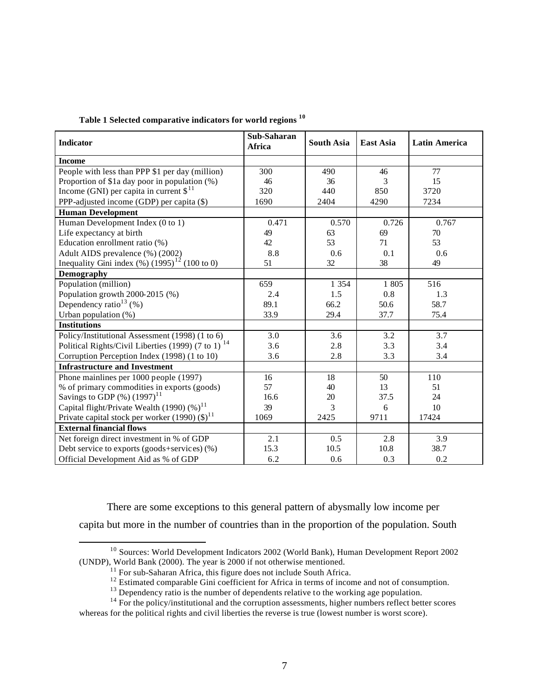| Table 1 Selected comparative indicators for world regions $^{10}$ |  |
|-------------------------------------------------------------------|--|
|-------------------------------------------------------------------|--|

| <b>Indicator</b>                                                       | Sub-Saharan<br>Africa | <b>South Asia</b> | <b>East Asia</b> | <b>Latin America</b> |
|------------------------------------------------------------------------|-----------------------|-------------------|------------------|----------------------|
| <b>Income</b>                                                          |                       |                   |                  |                      |
| People with less than PPP \$1 per day (million)                        | 300                   | 490               | 46               | 77                   |
| Proportion of \$1a day poor in population $(\%)$                       | 46                    | 36                | 3                | 15                   |
| Income (GNI) per capita in current $\$$ <sup>11</sup>                  | 320                   | 440               | 850              | 3720                 |
| PPP-adjusted income (GDP) per capita $(\$)$                            | 1690                  | 2404              | 4290             | 7234                 |
| <b>Human Development</b>                                               |                       |                   |                  |                      |
| Human Development Index (0 to 1)                                       | 0.471                 | 0.570             | 0.726            | 0.767                |
| Life expectancy at birth                                               | 49                    | 63                | 69               | 70                   |
| Education enrollment ratio (%)                                         | 42                    | 53                | 71               | 53                   |
| Adult AIDS prevalence (%) (2002)                                       | 8.8                   | $0.6^{\circ}$     | 0.1              | 0.6                  |
| Inequality Gini index $(\%)$ (1995) <sup>12</sup> (100 to 0)           | 51                    | 32                | 38               | 49                   |
| Demography                                                             |                       |                   |                  |                      |
| Population (million)                                                   | 659                   | 1 3 5 4           | 1 805            | 516                  |
| Population growth 2000-2015 (%)                                        | 2.4                   | 1.5               | 0.8              | 1.3                  |
| Dependency ratio <sup>13</sup> $(\% )$                                 | 89.1                  | 66.2              | 50.6             | 58.7                 |
| Urban population (%)                                                   | 33.9                  | 29.4              | 37.7             | 75.4                 |
| <b>Institutions</b>                                                    |                       |                   |                  |                      |
| Policy/Institutional Assessment (1998) (1 to 6)                        | 3.0                   | 3.6               | 3.2              | 3.7                  |
| Political Rights/Civil Liberties (1999) (7 to 1) <sup>14</sup>         | 3.6                   | 2.8               | 3.3              | 3.4                  |
| Corruption Perception Index (1998) (1 to 10)                           | 3.6                   | 2.8               | 3.3              | 3.4                  |
| <b>Infrastructure and Investment</b>                                   |                       |                   |                  |                      |
| Phone mainlines per 1000 people (1997)                                 | 16                    | 18                | 50               | 110                  |
| % of primary commodities in exports (goods)                            | 57                    | 40                | 13               | 51                   |
| Savings to GDP $(\%)$ (1997) <sup>11</sup>                             | 16.6                  | 20                | 37.5             | 24                   |
| Capital flight/Private Wealth (1990) $(\%)$ <sup>11</sup>              | 39                    | 3                 | 6                | 10                   |
| Private capital stock per worker (1990) $(\text{$\mathfrak{D}$})^{11}$ | 1069                  | 2425              | 9711             | 17424                |
| <b>External financial flows</b>                                        |                       |                   |                  |                      |
| Net foreign direct investment in % of GDP                              | 2.1                   | 0.5               | 2.8              | 3.9                  |
| Debt service to exports (goods+services) (%)                           | 15.3                  | 10.5              | 10.8             | 38.7                 |
| Official Development Aid as % of GDP                                   | 6.2                   | 0.6               | 0.3              | 0.2                  |

There are some exceptions to this general pattern of abysmally low income per capita but more in the number of countries than in the proportion of the population. South

 $\overline{a}$ <sup>10</sup> Sources: World Development Indicators 2002 (World Bank), Human Development Report 2002 (UNDP), World Bank (2000). The year is 2000 if not otherwise mentioned.

 $11$  For sub-Saharan Africa, this figure does not include South Africa.

 $12$  Estimated comparable Gini coefficient for Africa in terms of income and not of consumption.

<sup>&</sup>lt;sup>13</sup> Dependency ratio is the number of dependents relative to the working age population.

<sup>&</sup>lt;sup>14</sup> For the policy/institutional and the corruption assessments, higher numbers reflect better scores whereas for the political rights and civil liberties the reverse is true (lowest number is worst score).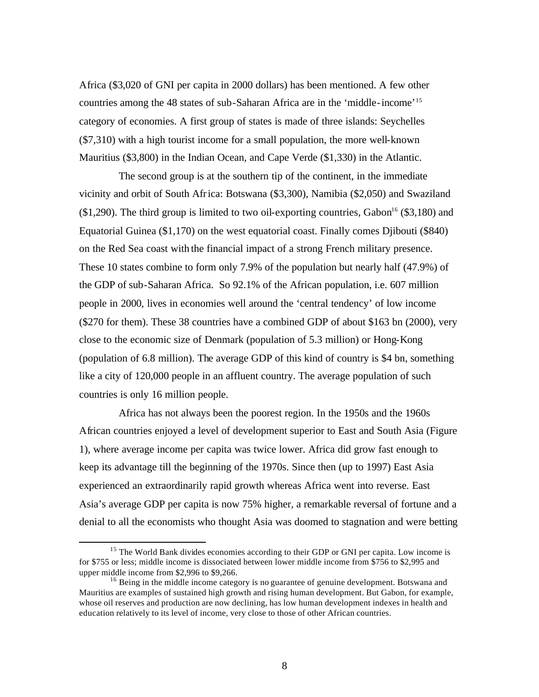Africa (\$3,020 of GNI per capita in 2000 dollars) has been mentioned. A few other countries among the 48 states of sub-Saharan Africa are in the 'middle-income'<sup>15</sup> category of economies. A first group of states is made of three islands: Seychelles (\$7,310) with a high tourist income for a small population, the more well-known Mauritius (\$3,800) in the Indian Ocean, and Cape Verde (\$1,330) in the Atlantic.

The second group is at the southern tip of the continent, in the immediate vicinity and orbit of South Africa: Botswana (\$3,300), Namibia (\$2,050) and Swaziland  $($1,290)$ . The third group is limited to two oil-exporting countries, Gabon<sup>16</sup>  $($3,180)$  and Equatorial Guinea (\$1,170) on the west equatorial coast. Finally comes Djibouti (\$840) on the Red Sea coast with the financial impact of a strong French military presence. These 10 states combine to form only 7.9% of the population but nearly half (47.9%) of the GDP of sub-Saharan Africa. So 92.1% of the African population, i.e. 607 million people in 2000, lives in economies well around the 'central tendency' of low income (\$270 for them). These 38 countries have a combined GDP of about \$163 bn (2000), very close to the economic size of Denmark (population of 5.3 million) or Hong-Kong (population of 6.8 million). The average GDP of this kind of country is \$4 bn, something like a city of 120,000 people in an affluent country. The average population of such countries is only 16 million people.

Africa has not always been the poorest region. In the 1950s and the 1960s African countries enjoyed a level of development superior to East and South Asia (Figure 1), where average income per capita was twice lower. Africa did grow fast enough to keep its advantage till the beginning of the 1970s. Since then (up to 1997) East Asia experienced an extraordinarily rapid growth whereas Africa went into reverse. East Asia's average GDP per capita is now 75% higher, a remarkable reversal of fortune and a denial to all the economists who thought Asia was doomed to stagnation and were betting

<sup>&</sup>lt;sup>15</sup> The World Bank divides economies according to their GDP or GNI per capita. Low income is for \$755 or less; middle income is dissociated between lower middle income from \$756 to \$2,995 and upper middle income from \$2,996 to \$9,266.

 $16$  Being in the middle income category is no guarantee of genuine development. Botswana and Mauritius are examples of sustained high growth and rising human development. But Gabon, for example, whose oil reserves and production are now declining, has low human development indexes in health and education relatively to its level of income, very close to those of other African countries.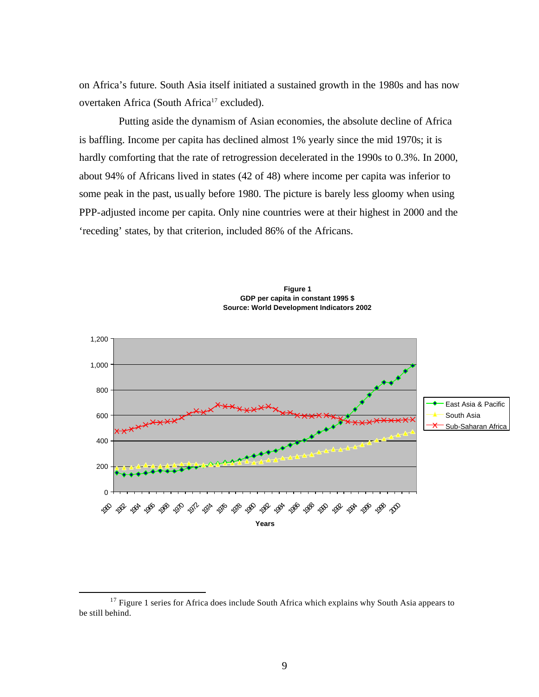on Africa's future. South Asia itself initiated a sustained growth in the 1980s and has now overtaken Africa (South Africa<sup>17</sup> excluded).

Putting aside the dynamism of Asian economies, the absolute decline of Africa is baffling. Income per capita has declined almost 1% yearly since the mid 1970s; it is hardly comforting that the rate of retrogression decelerated in the 1990s to 0.3%. In 2000, about 94% of Africans lived in states (42 of 48) where income per capita was inferior to some peak in the past, usually before 1980. The picture is barely less gloomy when using PPP-adjusted income per capita. Only nine countries were at their highest in 2000 and the 'receding' states, by that criterion, included 86% of the Africans.



**Figure 1 GDP per capita in constant 1995 \$ Source: World Development Indicators 2002**

 $17$  Figure 1 series for Africa does include South Africa which explains why South Asia appears to be still behind.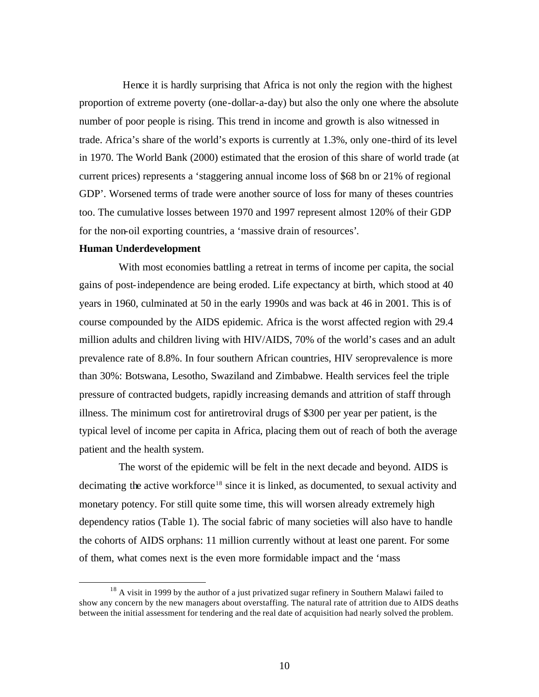Hence it is hardly surprising that Africa is not only the region with the highest proportion of extreme poverty (one-dollar-a-day) but also the only one where the absolute number of poor people is rising. This trend in income and growth is also witnessed in trade. Africa's share of the world's exports is currently at 1.3%, only one-third of its level in 1970. The World Bank (2000) estimated that the erosion of this share of world trade (at current prices) represents a 'staggering annual income loss of \$68 bn or 21% of regional GDP'. Worsened terms of trade were another source of loss for many of theses countries too. The cumulative losses between 1970 and 1997 represent almost 120% of their GDP for the non-oil exporting countries, a 'massive drain of resources'.

#### **Human Underdevelopment**

 $\overline{a}$ 

With most economies battling a retreat in terms of income per capita, the social gains of post-independence are being eroded. Life expectancy at birth, which stood at 40 years in 1960, culminated at 50 in the early 1990s and was back at 46 in 2001. This is of course compounded by the AIDS epidemic. Africa is the worst affected region with 29.4 million adults and children living with HIV/AIDS, 70% of the world's cases and an adult prevalence rate of 8.8%. In four southern African countries, HIV seroprevalence is more than 30%: Botswana, Lesotho, Swaziland and Zimbabwe. Health services feel the triple pressure of contracted budgets, rapidly increasing demands and attrition of staff through illness. The minimum cost for antiretroviral drugs of \$300 per year per patient, is the typical level of income per capita in Africa, placing them out of reach of both the average patient and the health system.

The worst of the epidemic will be felt in the next decade and beyond. AIDS is decimating the active workforce<sup>18</sup> since it is linked, as documented, to sexual activity and monetary potency. For still quite some time, this will worsen already extremely high dependency ratios (Table 1). The social fabric of many societies will also have to handle the cohorts of AIDS orphans: 11 million currently without at least one parent. For some of them, what comes next is the even more formidable impact and the 'mass

<sup>&</sup>lt;sup>18</sup> A visit in 1999 by the author of a just privatized sugar refinery in Southern Malawi failed to show any concern by the new managers about overstaffing. The natural rate of attrition due to AIDS deaths between the initial assessment for tendering and the real date of acquisition had nearly solved the problem.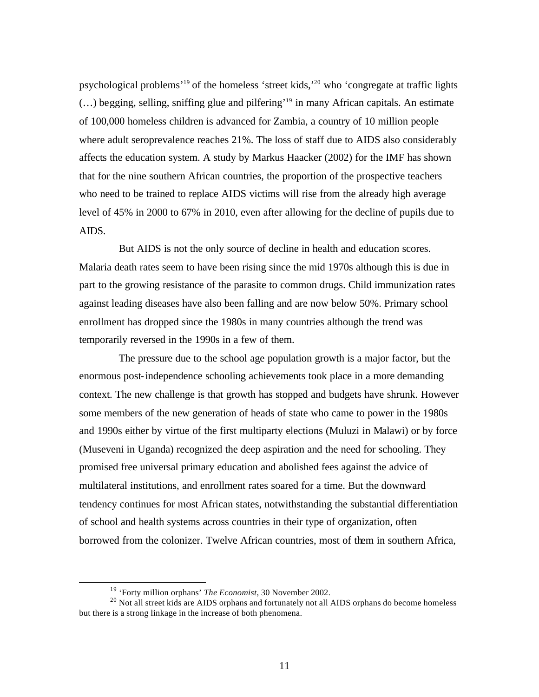psychological problems'<sup>19</sup> of the homeless 'street kids,'<sup>20</sup> who 'congregate at traffic lights (…) begging, selling, sniffing glue and pilfering'<sup>19</sup> in many African capitals. An estimate of 100,000 homeless children is advanced for Zambia, a country of 10 million people where adult seroprevalence reaches 21%. The loss of staff due to AIDS also considerably affects the education system. A study by Markus Haacker (2002) for the IMF has shown that for the nine southern African countries, the proportion of the prospective teachers who need to be trained to replace AIDS victims will rise from the already high average level of 45% in 2000 to 67% in 2010, even after allowing for the decline of pupils due to AIDS.

But AIDS is not the only source of decline in health and education scores. Malaria death rates seem to have been rising since the mid 1970s although this is due in part to the growing resistance of the parasite to common drugs. Child immunization rates against leading diseases have also been falling and are now below 50%. Primary school enrollment has dropped since the 1980s in many countries although the trend was temporarily reversed in the 1990s in a few of them.

The pressure due to the school age population growth is a major factor, but the enormous post-independence schooling achievements took place in a more demanding context. The new challenge is that growth has stopped and budgets have shrunk. However some members of the new generation of heads of state who came to power in the 1980s and 1990s either by virtue of the first multiparty elections (Muluzi in Malawi) or by force (Museveni in Uganda) recognized the deep aspiration and the need for schooling. They promised free universal primary education and abolished fees against the advice of multilateral institutions, and enrollment rates soared for a time. But the downward tendency continues for most African states, notwithstanding the substantial differentiation of school and health systems across countries in their type of organization, often borrowed from the colonizer. Twelve African countries, most of them in southern Africa,

<sup>19</sup> 'Forty million orphans' *The Economist*, 30 November 2002.

<sup>&</sup>lt;sup>20</sup> Not all street kids are AIDS orphans and fortunately not all AIDS orphans do become homeless but there is a strong linkage in the increase of both phenomena.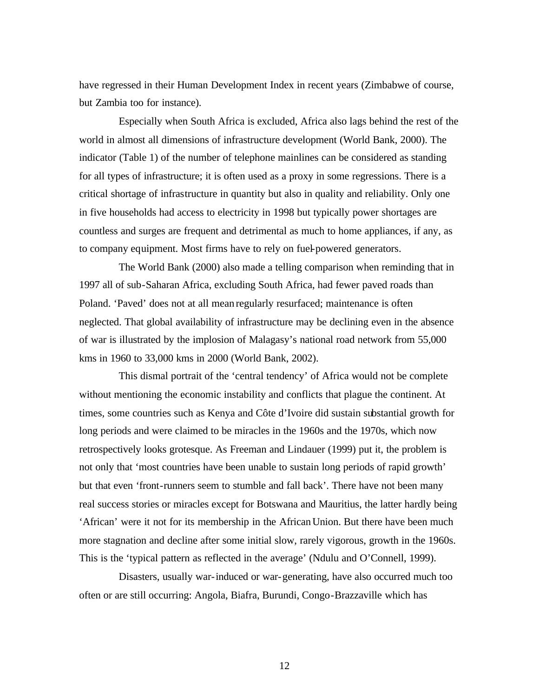have regressed in their Human Development Index in recent years (Zimbabwe of course, but Zambia too for instance).

Especially when South Africa is excluded, Africa also lags behind the rest of the world in almost all dimensions of infrastructure development (World Bank, 2000). The indicator (Table 1) of the number of telephone mainlines can be considered as standing for all types of infrastructure; it is often used as a proxy in some regressions. There is a critical shortage of infrastructure in quantity but also in quality and reliability. Only one in five households had access to electricity in 1998 but typically power shortages are countless and surges are frequent and detrimental as much to home appliances, if any, as to company equipment. Most firms have to rely on fuel-powered generators.

The World Bank (2000) also made a telling comparison when reminding that in 1997 all of sub-Saharan Africa, excluding South Africa, had fewer paved roads than Poland. 'Paved' does not at all mean regularly resurfaced; maintenance is often neglected. That global availability of infrastructure may be declining even in the absence of war is illustrated by the implosion of Malagasy's national road network from 55,000 kms in 1960 to 33,000 kms in 2000 (World Bank, 2002).

This dismal portrait of the 'central tendency' of Africa would not be complete without mentioning the economic instability and conflicts that plague the continent. At times, some countries such as Kenya and Côte d'Ivoire did sustain substantial growth for long periods and were claimed to be miracles in the 1960s and the 1970s, which now retrospectively looks grotesque. As Freeman and Lindauer (1999) put it, the problem is not only that 'most countries have been unable to sustain long periods of rapid growth' but that even 'front-runners seem to stumble and fall back'. There have not been many real success stories or miracles except for Botswana and Mauritius, the latter hardly being 'African' were it not for its membership in the African Union. But there have been much more stagnation and decline after some initial slow, rarely vigorous, growth in the 1960s. This is the 'typical pattern as reflected in the average' (Ndulu and O'Connell, 1999).

Disasters, usually war-induced or war-generating, have also occurred much too often or are still occurring: Angola, Biafra, Burundi, Congo-Brazzaville which has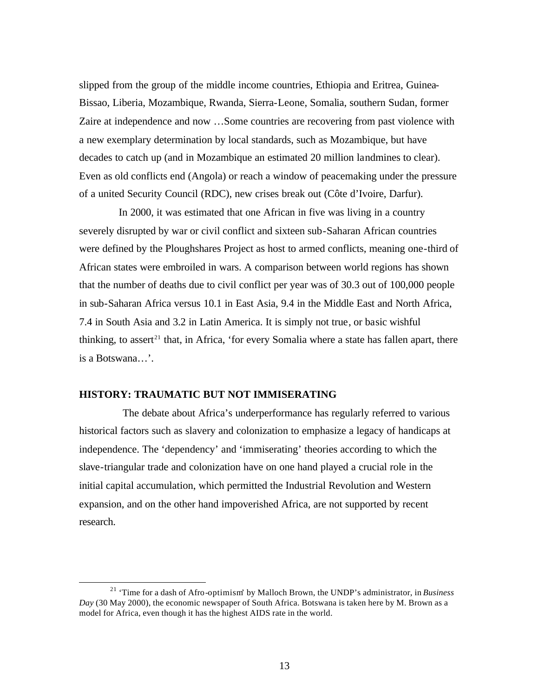slipped from the group of the middle income countries, Ethiopia and Eritrea, Guinea-Bissao, Liberia, Mozambique, Rwanda, Sierra-Leone, Somalia, southern Sudan, former Zaire at independence and now …Some countries are recovering from past violence with a new exemplary determination by local standards, such as Mozambique, but have decades to catch up (and in Mozambique an estimated 20 million landmines to clear). Even as old conflicts end (Angola) or reach a window of peacemaking under the pressure of a united Security Council (RDC), new crises break out (Côte d'Ivoire, Darfur).

In 2000, it was estimated that one African in five was living in a country severely disrupted by war or civil conflict and sixteen sub-Saharan African countries were defined by the Ploughshares Project as host to armed conflicts, meaning one-third of African states were embroiled in wars. A comparison between world regions has shown that the number of deaths due to civil conflict per year was of 30.3 out of 100,000 people in sub-Saharan Africa versus 10.1 in East Asia, 9.4 in the Middle East and North Africa, 7.4 in South Asia and 3.2 in Latin America. It is simply not true, or basic wishful thinking, to assert<sup>21</sup> that, in Africa, 'for every Somalia where a state has fallen apart, there is a Botswana…'.

## **HISTORY: TRAUMATIC BUT NOT IMMISERATING**

 $\overline{a}$ 

The debate about Africa's underperformance has regularly referred to various historical factors such as slavery and colonization to emphasize a legacy of handicaps at independence. The 'dependency' and 'immiserating' theories according to which the slave-triangular trade and colonization have on one hand played a crucial role in the initial capital accumulation, which permitted the Industrial Revolution and Western expansion, and on the other hand impoverished Africa, are not supported by recent research.

<sup>21</sup> 'Time for a dash of Afro-optimism' by Malloch Brown, the UNDP's administrator, in *Business Day* (30 May 2000), the economic newspaper of South Africa. Botswana is taken here by M. Brown as a model for Africa, even though it has the highest AIDS rate in the world.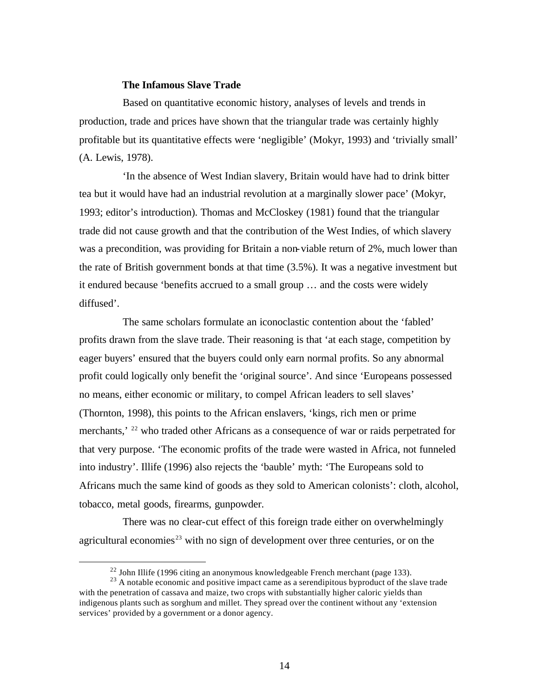### **The Infamous Slave Trade**

Based on quantitative economic history, analyses of levels and trends in production, trade and prices have shown that the triangular trade was certainly highly profitable but its quantitative effects were 'negligible' (Mokyr, 1993) and 'trivially small' (A. Lewis, 1978).

'In the absence of West Indian slavery, Britain would have had to drink bitter tea but it would have had an industrial revolution at a marginally slower pace' (Mokyr, 1993; editor's introduction). Thomas and McCloskey (1981) found that the triangular trade did not cause growth and that the contribution of the West Indies, of which slavery was a precondition, was providing for Britain a non-viable return of 2%, much lower than the rate of British government bonds at that time (3.5%). It was a negative investment but it endured because 'benefits accrued to a small group … and the costs were widely diffused'.

The same scholars formulate an iconoclastic contention about the 'fabled' profits drawn from the slave trade. Their reasoning is that 'at each stage, competition by eager buyers' ensured that the buyers could only earn normal profits. So any abnormal profit could logically only benefit the 'original source'. And since 'Europeans possessed no means, either economic or military, to compel African leaders to sell slaves' (Thornton, 1998), this points to the African enslavers, 'kings, rich men or prime merchants,<sup>' 22</sup> who traded other Africans as a consequence of war or raids perpetrated for that very purpose. 'The economic profits of the trade were wasted in Africa, not funneled into industry'. Illife (1996) also rejects the 'bauble' myth: 'The Europeans sold to Africans much the same kind of goods as they sold to American colonists': cloth, alcohol, tobacco, metal goods, firearms, gunpowder.

There was no clear-cut effect of this foreign trade either on overwhelmingly agricultural economies<sup>23</sup> with no sign of development over three centuries, or on the

 $^{22}$  John Illife (1996 citing an anonymous knowledgeable French merchant (page 133).

 $^{23}$  A notable economic and positive impact came as a serendipitous byproduct of the slave trade with the penetration of cassava and maize, two crops with substantially higher caloric yields than indigenous plants such as sorghum and millet. They spread over the continent without any 'extension services' provided by a government or a donor agency.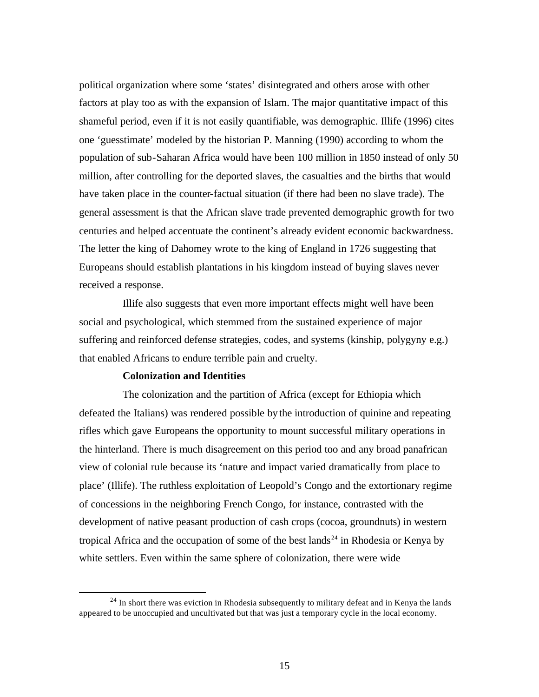political organization where some 'states' disintegrated and others arose with other factors at play too as with the expansion of Islam. The major quantitative impact of this shameful period, even if it is not easily quantifiable, was demographic. Illife (1996) cites one 'guesstimate' modeled by the historian P. Manning (1990) according to whom the population of sub-Saharan Africa would have been 100 million in 1850 instead of only 50 million, after controlling for the deported slaves, the casualties and the births that would have taken place in the counter-factual situation (if there had been no slave trade). The general assessment is that the African slave trade prevented demographic growth for two centuries and helped accentuate the continent's already evident economic backwardness. The letter the king of Dahomey wrote to the king of England in 1726 suggesting that Europeans should establish plantations in his kingdom instead of buying slaves never received a response.

Illife also suggests that even more important effects might well have been social and psychological, which stemmed from the sustained experience of major suffering and reinforced defense strategies, codes, and systems (kinship, polygyny e.g.) that enabled Africans to endure terrible pain and cruelty.

## **Colonization and Identities**

 $\overline{a}$ 

The colonization and the partition of Africa (except for Ethiopia which defeated the Italians) was rendered possible by the introduction of quinine and repeating rifles which gave Europeans the opportunity to mount successful military operations in the hinterland. There is much disagreement on this period too and any broad panafrican view of colonial rule because its 'nature and impact varied dramatically from place to place' (Illife). The ruthless exploitation of Leopold's Congo and the extortionary regime of concessions in the neighboring French Congo, for instance, contrasted with the development of native peasant production of cash crops (cocoa, groundnuts) in western tropical Africa and the occupation of some of the best lands<sup>24</sup> in Rhodesia or Kenya by white settlers. Even within the same sphere of colonization, there were wide

 $24$  In short there was eviction in Rhodesia subsequently to military defeat and in Kenya the lands appeared to be unoccupied and uncultivated but that was just a temporary cycle in the local economy.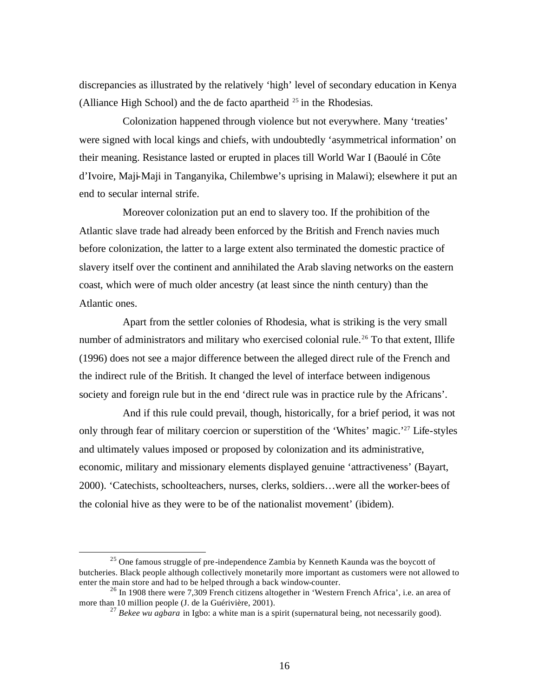discrepancies as illustrated by the relatively 'high' level of secondary education in Kenya (Alliance High School) and the de facto apartheid  $^{25}$  in the Rhodesias.

Colonization happened through violence but not everywhere. Many 'treaties' were signed with local kings and chiefs, with undoubtedly 'asymmetrical information' on their meaning. Resistance lasted or erupted in places till World War I (Baoulé in Côte d'Ivoire, Maji-Maji in Tanganyika, Chilembwe's uprising in Malawi); elsewhere it put an end to secular internal strife.

Moreover colonization put an end to slavery too. If the prohibition of the Atlantic slave trade had already been enforced by the British and French navies much before colonization, the latter to a large extent also terminated the domestic practice of slavery itself over the continent and annihilated the Arab slaving networks on the eastern coast, which were of much older ancestry (at least since the ninth century) than the Atlantic ones.

Apart from the settler colonies of Rhodesia, what is striking is the very small number of administrators and military who exercised colonial rule.<sup>26</sup> To that extent, Illife (1996) does not see a major difference between the alleged direct rule of the French and the indirect rule of the British. It changed the level of interface between indigenous society and foreign rule but in the end 'direct rule was in practice rule by the Africans'.

And if this rule could prevail, though, historically, for a brief period, it was not only through fear of military coercion or superstition of the 'Whites' magic.'<sup>27</sup> Life-styles and ultimately values imposed or proposed by colonization and its administrative, economic, military and missionary elements displayed genuine 'attractiveness' (Bayart, 2000). 'Catechists, schoolteachers, nurses, clerks, soldiers…were all the worker-bees of the colonial hive as they were to be of the nationalist movement' (ibidem).

 $25$  One famous struggle of pre-independence Zambia by Kenneth Kaunda was the boycott of butcheries. Black people although collectively monetarily more important as customers were not allowed to enter the main store and had to be helped through a back window-counter.

<sup>&</sup>lt;sup>26</sup> In 1908 there were 7,309 French citizens altogether in 'Western French Africa', i.e. an area of more than 10 million people (J. de la Guérivière, 2001).

<sup>27</sup> *Bekee wu agbara* in Igbo: a white man is a spirit (supernatural being, not necessarily good).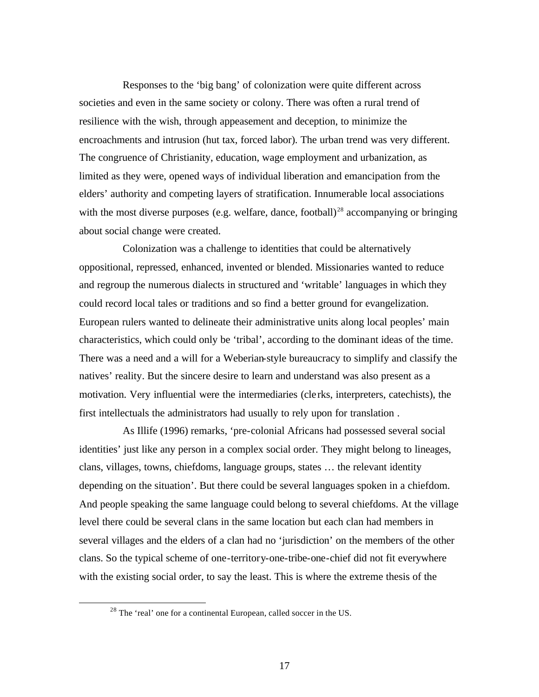Responses to the 'big bang' of colonization were quite different across societies and even in the same society or colony. There was often a rural trend of resilience with the wish, through appeasement and deception, to minimize the encroachments and intrusion (hut tax, forced labor). The urban trend was very different. The congruence of Christianity, education, wage employment and urbanization, as limited as they were, opened ways of individual liberation and emancipation from the elders' authority and competing layers of stratification. Innumerable local associations with the most diverse purposes (e.g. welfare, dance, football)<sup>28</sup> accompanying or bringing about social change were created.

Colonization was a challenge to identities that could be alternatively oppositional, repressed, enhanced, invented or blended. Missionaries wanted to reduce and regroup the numerous dialects in structured and 'writable' languages in which they could record local tales or traditions and so find a better ground for evangelization. European rulers wanted to delineate their administrative units along local peoples' main characteristics, which could only be 'tribal', according to the dominant ideas of the time. There was a need and a will for a Weberian-style bureaucracy to simplify and classify the natives' reality. But the sincere desire to learn and understand was also present as a motivation. Very influential were the intermediaries (cle rks, interpreters, catechists), the first intellectuals the administrators had usually to rely upon for translation .

As Illife (1996) remarks, 'pre-colonial Africans had possessed several social identities' just like any person in a complex social order. They might belong to lineages, clans, villages, towns, chiefdoms, language groups, states … the relevant identity depending on the situation'. But there could be several languages spoken in a chiefdom. And people speaking the same language could belong to several chiefdoms. At the village level there could be several clans in the same location but each clan had members in several villages and the elders of a clan had no 'jurisdiction' on the members of the other clans. So the typical scheme of one-territory-one-tribe-one-chief did not fit everywhere with the existing social order, to say the least. This is where the extreme thesis of the

<sup>&</sup>lt;sup>28</sup> The 'real' one for a continental European, called soccer in the US.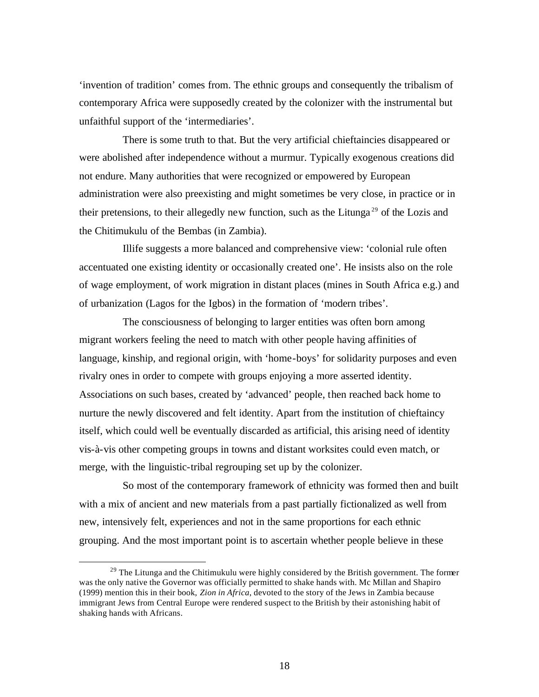'invention of tradition' comes from. The ethnic groups and consequently the tribalism of contemporary Africa were supposedly created by the colonizer with the instrumental but unfaithful support of the 'intermediaries'.

There is some truth to that. But the very artificial chieftaincies disappeared or were abolished after independence without a murmur. Typically exogenous creations did not endure. Many authorities that were recognized or empowered by European administration were also preexisting and might sometimes be very close, in practice or in their pretensions, to their allegedly new function, such as the Litunga <sup>29</sup> of the Lozis and the Chitimukulu of the Bembas (in Zambia).

Illife suggests a more balanced and comprehensive view: 'colonial rule often accentuated one existing identity or occasionally created one'. He insists also on the role of wage employment, of work migration in distant places (mines in South Africa e.g.) and of urbanization (Lagos for the Igbos) in the formation of 'modern tribes'.

The consciousness of belonging to larger entities was often born among migrant workers feeling the need to match with other people having affinities of language, kinship, and regional origin, with 'home-boys' for solidarity purposes and even rivalry ones in order to compete with groups enjoying a more asserted identity. Associations on such bases, created by 'advanced' people, then reached back home to nurture the newly discovered and felt identity. Apart from the institution of chieftaincy itself, which could well be eventually discarded as artificial, this arising need of identity vis-à-vis other competing groups in towns and distant worksites could even match, or merge, with the linguistic-tribal regrouping set up by the colonizer.

So most of the contemporary framework of ethnicity was formed then and built with a mix of ancient and new materials from a past partially fictionalized as well from new, intensively felt, experiences and not in the same proportions for each ethnic grouping. And the most important point is to ascertain whether people believe in these

<sup>&</sup>lt;sup>29</sup> The Litunga and the Chitimukulu were highly considered by the British government. The former was the only native the Governor was officially permitted to shake hands with. Mc Millan and Shapiro (1999) mention this in their book, *Zion in Africa*, devoted to the story of the Jews in Zambia because immigrant Jews from Central Europe were rendered suspect to the British by their astonishing habit of shaking hands with Africans.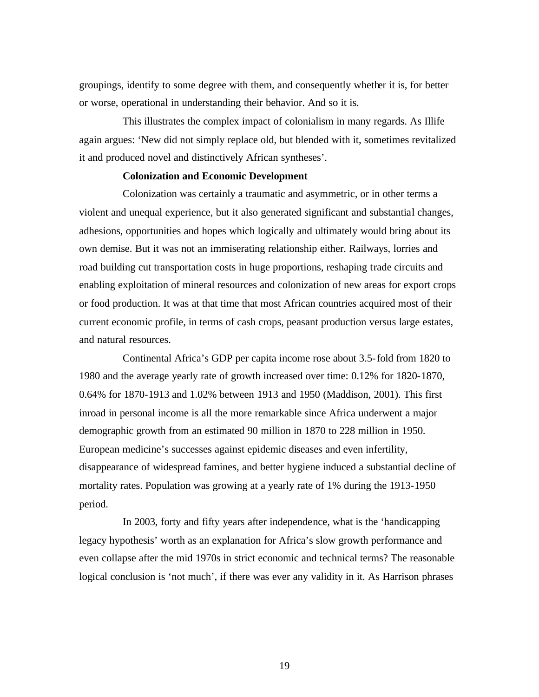groupings, identify to some degree with them, and consequently whether it is, for better or worse, operational in understanding their behavior. And so it is.

This illustrates the complex impact of colonialism in many regards. As Illife again argues: 'New did not simply replace old, but blended with it, sometimes revitalized it and produced novel and distinctively African syntheses'.

## **Colonization and Economic Development**

Colonization was certainly a traumatic and asymmetric, or in other terms a violent and unequal experience, but it also generated significant and substantial changes, adhesions, opportunities and hopes which logically and ultimately would bring about its own demise. But it was not an immiserating relationship either. Railways, lorries and road building cut transportation costs in huge proportions, reshaping trade circuits and enabling exploitation of mineral resources and colonization of new areas for export crops or food production. It was at that time that most African countries acquired most of their current economic profile, in terms of cash crops, peasant production versus large estates, and natural resources.

Continental Africa's GDP per capita income rose about 3.5-fold from 1820 to 1980 and the average yearly rate of growth increased over time: 0.12% for 1820-1870, 0.64% for 1870-1913 and 1.02% between 1913 and 1950 (Maddison, 2001). This first inroad in personal income is all the more remarkable since Africa underwent a major demographic growth from an estimated 90 million in 1870 to 228 million in 1950. European medicine's successes against epidemic diseases and even infertility, disappearance of widespread famines, and better hygiene induced a substantial decline of mortality rates. Population was growing at a yearly rate of 1% during the 1913-1950 period.

In 2003, forty and fifty years after independence, what is the 'handicapping legacy hypothesis' worth as an explanation for Africa's slow growth performance and even collapse after the mid 1970s in strict economic and technical terms? The reasonable logical conclusion is 'not much', if there was ever any validity in it. As Harrison phrases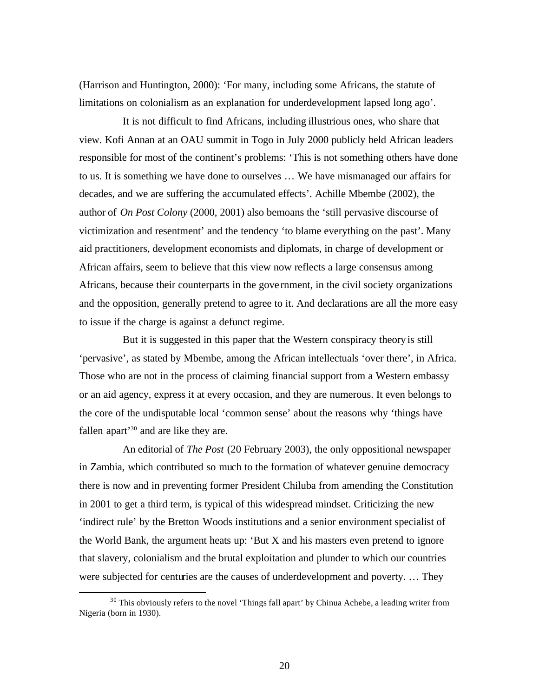(Harrison and Huntington, 2000): 'For many, including some Africans, the statute of limitations on colonialism as an explanation for underdevelopment lapsed long ago'.

It is not difficult to find Africans, including illustrious ones, who share that view. Kofi Annan at an OAU summit in Togo in July 2000 publicly held African leaders responsible for most of the continent's problems: 'This is not something others have done to us. It is something we have done to ourselves … We have mismanaged our affairs for decades, and we are suffering the accumulated effects'. Achille Mbembe (2002), the author of *On Post Colony* (2000, 2001) also bemoans the 'still pervasive discourse of victimization and resentment' and the tendency 'to blame everything on the past'. Many aid practitioners, development economists and diplomats, in charge of development or African affairs, seem to believe that this view now reflects a large consensus among Africans, because their counterparts in the gove rnment, in the civil society organizations and the opposition, generally pretend to agree to it. And declarations are all the more easy to issue if the charge is against a defunct regime.

But it is suggested in this paper that the Western conspiracy theory is still 'pervasive', as stated by Mbembe, among the African intellectuals 'over there', in Africa. Those who are not in the process of claiming financial support from a Western embassy or an aid agency, express it at every occasion, and they are numerous. It even belongs to the core of the undisputable local 'common sense' about the reasons why 'things have fallen apart<sup>'30</sup> and are like they are.

An editorial of *The Post* (20 February 2003), the only oppositional newspaper in Zambia, which contributed so much to the formation of whatever genuine democracy there is now and in preventing former President Chiluba from amending the Constitution in 2001 to get a third term, is typical of this widespread mindset. Criticizing the new 'indirect rule' by the Bretton Woods institutions and a senior environment specialist of the World Bank, the argument heats up: 'But  $X$  and his masters even pretend to ignore that slavery, colonialism and the brutal exploitation and plunder to which our countries were subjected for centuries are the causes of underdevelopment and poverty. … They

 $30$  This obviously refers to the novel 'Things fall apart' by Chinua Achebe, a leading writer from Nigeria (born in 1930).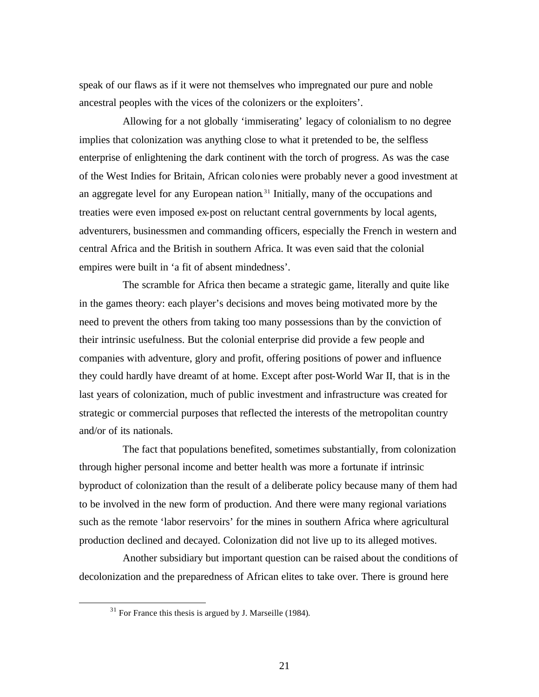speak of our flaws as if it were not themselves who impregnated our pure and noble ancestral peoples with the vices of the colonizers or the exploiters'.

Allowing for a not globally 'immiserating' legacy of colonialism to no degree implies that colonization was anything close to what it pretended to be, the selfless enterprise of enlightening the dark continent with the torch of progress. As was the case of the West Indies for Britain, African colonies were probably never a good investment at an aggregate level for any European nation<sup>31</sup> Initially, many of the occupations and treaties were even imposed ex-post on reluctant central governments by local agents, adventurers, businessmen and commanding officers, especially the French in western and central Africa and the British in southern Africa. It was even said that the colonial empires were built in 'a fit of absent mindedness'.

The scramble for Africa then became a strategic game, literally and quite like in the games theory: each player's decisions and moves being motivated more by the need to prevent the others from taking too many possessions than by the conviction of their intrinsic usefulness. But the colonial enterprise did provide a few people and companies with adventure, glory and profit, offering positions of power and influence they could hardly have dreamt of at home. Except after post-World War II, that is in the last years of colonization, much of public investment and infrastructure was created for strategic or commercial purposes that reflected the interests of the metropolitan country and/or of its nationals.

The fact that populations benefited, sometimes substantially, from colonization through higher personal income and better health was more a fortunate if intrinsic byproduct of colonization than the result of a deliberate policy because many of them had to be involved in the new form of production. And there were many regional variations such as the remote 'labor reservoirs' for the mines in southern Africa where agricultural production declined and decayed. Colonization did not live up to its alleged motives.

Another subsidiary but important question can be raised about the conditions of decolonization and the preparedness of African elites to take over. There is ground here

 $31$  For France this thesis is argued by J. Marseille (1984).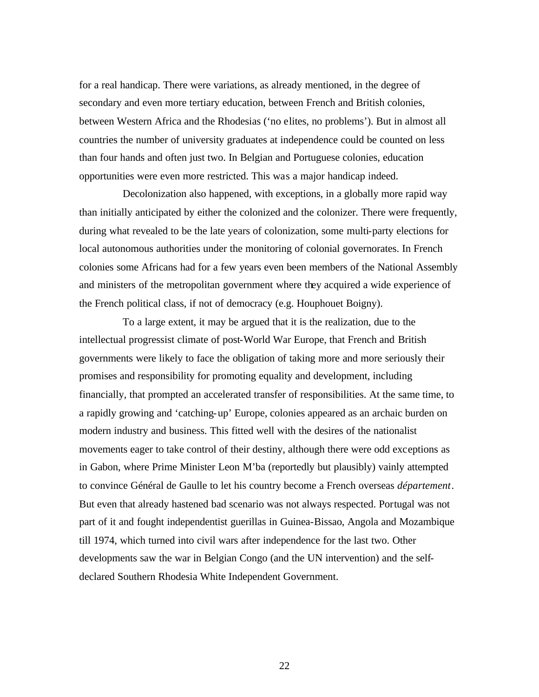for a real handicap. There were variations, as already mentioned, in the degree of secondary and even more tertiary education, between French and British colonies, between Western Africa and the Rhodesias ('no elites, no problems'). But in almost all countries the number of university graduates at independence could be counted on less than four hands and often just two. In Belgian and Portuguese colonies, education opportunities were even more restricted. This was a major handicap indeed.

Decolonization also happened, with exceptions, in a globally more rapid way than initially anticipated by either the colonized and the colonizer. There were frequently, during what revealed to be the late years of colonization, some multi-party elections for local autonomous authorities under the monitoring of colonial governorates. In French colonies some Africans had for a few years even been members of the National Assembly and ministers of the metropolitan government where they acquired a wide experience of the French political class, if not of democracy (e.g. Houphouet Boigny).

To a large extent, it may be argued that it is the realization, due to the intellectual progressist climate of post-World War Europe, that French and British governments were likely to face the obligation of taking more and more seriously their promises and responsibility for promoting equality and development, including financially, that prompted an accelerated transfer of responsibilities. At the same time, to a rapidly growing and 'catching-up' Europe, colonies appeared as an archaic burden on modern industry and business. This fitted well with the desires of the nationalist movements eager to take control of their destiny, although there were odd exceptions as in Gabon, where Prime Minister Leon M'ba (reportedly but plausibly) vainly attempted to convince Général de Gaulle to let his country become a French overseas *département*. But even that already hastened bad scenario was not always respected. Portugal was not part of it and fought independentist guerillas in Guinea-Bissao, Angola and Mozambique till 1974, which turned into civil wars after independence for the last two. Other developments saw the war in Belgian Congo (and the UN intervention) and the selfdeclared Southern Rhodesia White Independent Government.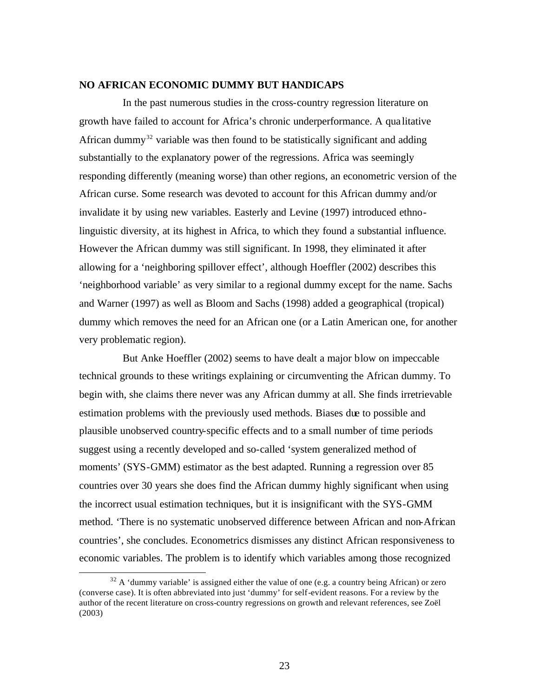### **NO AFRICAN ECONOMIC DUMMY BUT HANDICAPS**

In the past numerous studies in the cross-country regression literature on growth have failed to account for Africa's chronic underperformance. A qua litative African dummy<sup>32</sup> variable was then found to be statistically significant and adding substantially to the explanatory power of the regressions. Africa was seemingly responding differently (meaning worse) than other regions, an econometric version of the African curse. Some research was devoted to account for this African dummy and/or invalidate it by using new variables. Easterly and Levine (1997) introduced ethnolinguistic diversity, at its highest in Africa, to which they found a substantial influence. However the African dummy was still significant. In 1998, they eliminated it after allowing for a 'neighboring spillover effect', although Hoeffler (2002) describes this 'neighborhood variable' as very similar to a regional dummy except for the name. Sachs and Warner (1997) as well as Bloom and Sachs (1998) added a geographical (tropical) dummy which removes the need for an African one (or a Latin American one, for another very problematic region).

But Anke Hoeffler (2002) seems to have dealt a major blow on impeccable technical grounds to these writings explaining or circumventing the African dummy. To begin with, she claims there never was any African dummy at all. She finds irretrievable estimation problems with the previously used methods. Biases due to possible and plausible unobserved country-specific effects and to a small number of time periods suggest using a recently developed and so-called 'system generalized method of moments' (SYS-GMM) estimator as the best adapted. Running a regression over 85 countries over 30 years she does find the African dummy highly significant when using the incorrect usual estimation techniques, but it is insignificant with the SYS-GMM method. 'There is no systematic unobserved difference between African and non-African countries', she concludes. Econometrics dismisses any distinct African responsiveness to economic variables. The problem is to identify which variables among those recognized

 $32$  A 'dummy variable' is assigned either the value of one (e.g. a country being African) or zero (converse case). It is often abbreviated into just 'dummy' for self-evident reasons. For a review by the author of the recent literature on cross-country regressions on growth and relevant references, see Zoël (2003)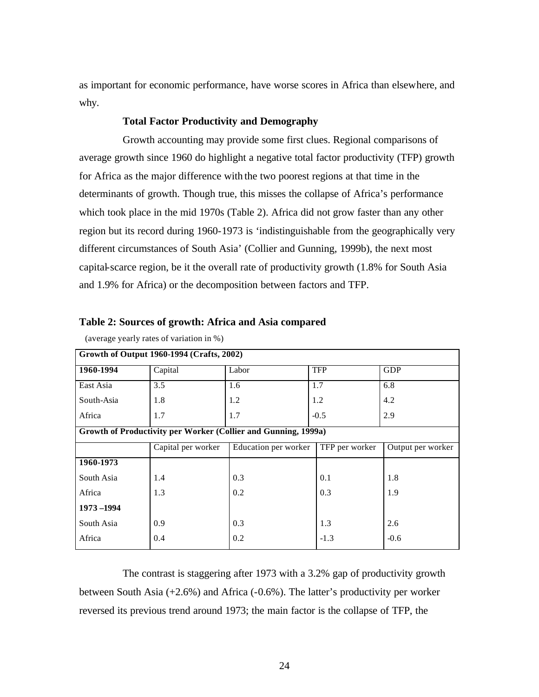as important for economic performance, have worse scores in Africa than elsewhere, and why.

## **Total Factor Productivity and Demography**

Growth accounting may provide some first clues. Regional comparisons of average growth since 1960 do highlight a negative total factor productivity (TFP) growth for Africa as the major difference with the two poorest regions at that time in the determinants of growth. Though true, this misses the collapse of Africa's performance which took place in the mid 1970s (Table 2). Africa did not grow faster than any other region but its record during 1960-1973 is 'indistinguishable from the geographically very different circumstances of South Asia' (Collier and Gunning, 1999b), the next most capital-scarce region, be it the overall rate of productivity growth (1.8% for South Asia and 1.9% for Africa) or the decomposition between factors and TFP.

| Table 2: Sources of growth: Africa and Asia compared |  |
|------------------------------------------------------|--|
| $(average \, vertex \, of \, variation \, in \, %)$  |  |

| Growth of Output 1960-1994 (Crafts, 2002)                      |                    |                      |                |                   |  |  |  |  |  |
|----------------------------------------------------------------|--------------------|----------------------|----------------|-------------------|--|--|--|--|--|
| 1960-1994                                                      | Capital            | Labor                | <b>TFP</b>     | <b>GDP</b>        |  |  |  |  |  |
| East Asia                                                      | 3.5                | 1.6                  | 1.7            | 6.8               |  |  |  |  |  |
| South-Asia                                                     | 1.8                | 1.2                  | 1.2            | 4.2               |  |  |  |  |  |
| Africa                                                         | 1.7                | 1.7                  | $-0.5$         | 2.9               |  |  |  |  |  |
| Growth of Productivity per Worker (Collier and Gunning, 1999a) |                    |                      |                |                   |  |  |  |  |  |
|                                                                | Capital per worker | Education per worker | TFP per worker | Output per worker |  |  |  |  |  |
| 1960-1973                                                      |                    |                      |                |                   |  |  |  |  |  |
| South Asia                                                     | 1.4                | 0.3                  | 0.1            | 1.8               |  |  |  |  |  |
| Africa                                                         | 1.3                | 0.2                  | 0.3            | 1.9               |  |  |  |  |  |
| 1973-1994                                                      |                    |                      |                |                   |  |  |  |  |  |
| South Asia                                                     | 0.9                | 0.3                  | 1.3            | 2.6               |  |  |  |  |  |
| Africa                                                         | 0.4                | 0.2                  | $-1.3$         | $-0.6$            |  |  |  |  |  |

(average yearly rates of variation in %)

The contrast is staggering after 1973 with a 3.2% gap of productivity growth between South Asia  $(+2.6\%)$  and Africa  $(-0.6\%)$ . The latter's productivity per worker reversed its previous trend around 1973; the main factor is the collapse of TFP, the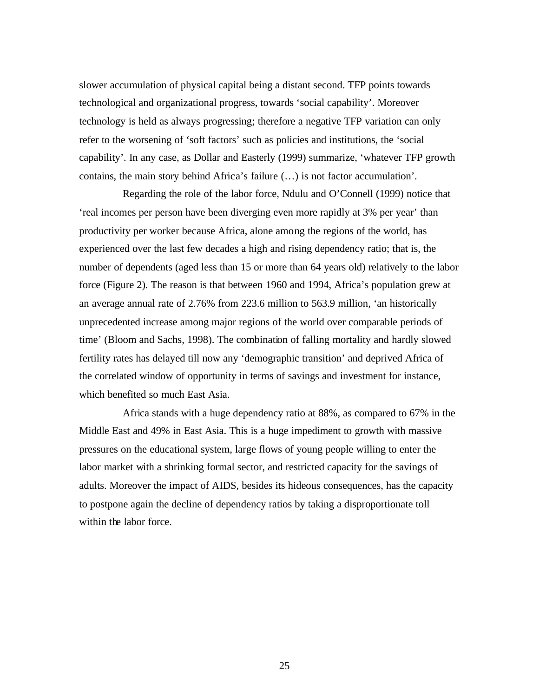slower accumulation of physical capital being a distant second. TFP points towards technological and organizational progress, towards 'social capability'. Moreover technology is held as always progressing; therefore a negative TFP variation can only refer to the worsening of 'soft factors' such as policies and institutions, the 'social capability'. In any case, as Dollar and Easterly (1999) summarize, 'whatever TFP growth contains, the main story behind Africa's failure (…) is not factor accumulation'.

Regarding the role of the labor force, Ndulu and O'Connell (1999) notice that 'real incomes per person have been diverging even more rapidly at 3% per year' than productivity per worker because Africa, alone among the regions of the world, has experienced over the last few decades a high and rising dependency ratio; that is, the number of dependents (aged less than 15 or more than 64 years old) relatively to the labor force (Figure 2). The reason is that between 1960 and 1994, Africa's population grew at an average annual rate of 2.76% from 223.6 million to 563.9 million, 'an historically unprecedented increase among major regions of the world over comparable periods of time' (Bloom and Sachs, 1998). The combination of falling mortality and hardly slowed fertility rates has delayed till now any 'demographic transition' and deprived Africa of the correlated window of opportunity in terms of savings and investment for instance, which benefited so much East Asia.

Africa stands with a huge dependency ratio at 88%, as compared to 67% in the Middle East and 49% in East Asia. This is a huge impediment to growth with massive pressures on the educational system, large flows of young people willing to enter the labor market with a shrinking formal sector, and restricted capacity for the savings of adults. Moreover the impact of AIDS, besides its hideous consequences, has the capacity to postpone again the decline of dependency ratios by taking a disproportionate toll within the labor force.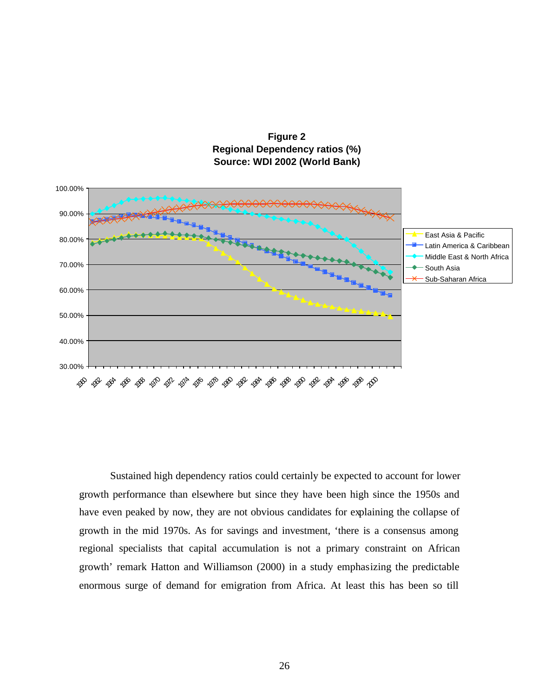

**Figure 2 Regional Dependency ratios (%) Source: WDI 2002 (World Bank)**

Sustained high dependency ratios could certainly be expected to account for lower growth performance than elsewhere but since they have been high since the 1950s and have even peaked by now, they are not obvious candidates for explaining the collapse of growth in the mid 1970s. As for savings and investment, 'there is a consensus among regional specialists that capital accumulation is not a primary constraint on African growth' remark Hatton and Williamson (2000) in a study emphasizing the predictable enormous surge of demand for emigration from Africa. At least this has been so till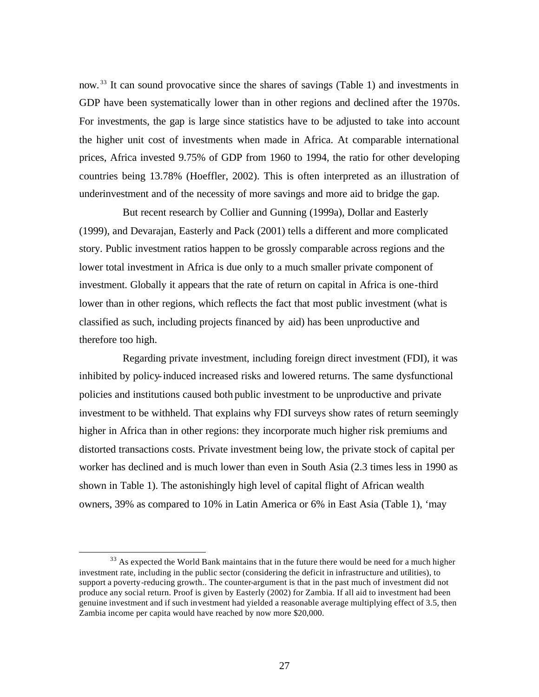now. <sup>33</sup> It can sound provocative since the shares of savings (Table 1) and investments in GDP have been systematically lower than in other regions and declined after the 1970s. For investments, the gap is large since statistics have to be adjusted to take into account the higher unit cost of investments when made in Africa. At comparable international prices, Africa invested 9.75% of GDP from 1960 to 1994, the ratio for other developing countries being 13.78% (Hoeffler, 2002). This is often interpreted as an illustration of underinvestment and of the necessity of more savings and more aid to bridge the gap.

But recent research by Collier and Gunning (1999a), Dollar and Easterly (1999), and Devarajan, Easterly and Pack (2001) tells a different and more complicated story. Public investment ratios happen to be grossly comparable across regions and the lower total investment in Africa is due only to a much smaller private component of investment. Globally it appears that the rate of return on capital in Africa is one-third lower than in other regions, which reflects the fact that most public investment (what is classified as such, including projects financed by aid) has been unproductive and therefore too high.

Regarding private investment, including foreign direct investment (FDI), it was inhibited by policy-induced increased risks and lowered returns. The same dysfunctional policies and institutions caused both public investment to be unproductive and private investment to be withheld. That explains why FDI surveys show rates of return seemingly higher in Africa than in other regions: they incorporate much higher risk premiums and distorted transactions costs. Private investment being low, the private stock of capital per worker has declined and is much lower than even in South Asia (2.3 times less in 1990 as shown in Table 1). The astonishingly high level of capital flight of African wealth owners, 39% as compared to 10% in Latin America or 6% in East Asia (Table 1), 'may

<sup>&</sup>lt;sup>33</sup> As expected the World Bank maintains that in the future there would be need for a much higher investment rate, including in the public sector (considering the deficit in infrastructure and utilities), to support a poverty-reducing growth.. The counter-argument is that in the past much of investment did not produce any social return. Proof is given by Easterly (2002) for Zambia. If all aid to investment had been genuine investment and if such investment had yielded a reasonable average multiplying effect of 3.5, then Zambia income per capita would have reached by now more \$20,000.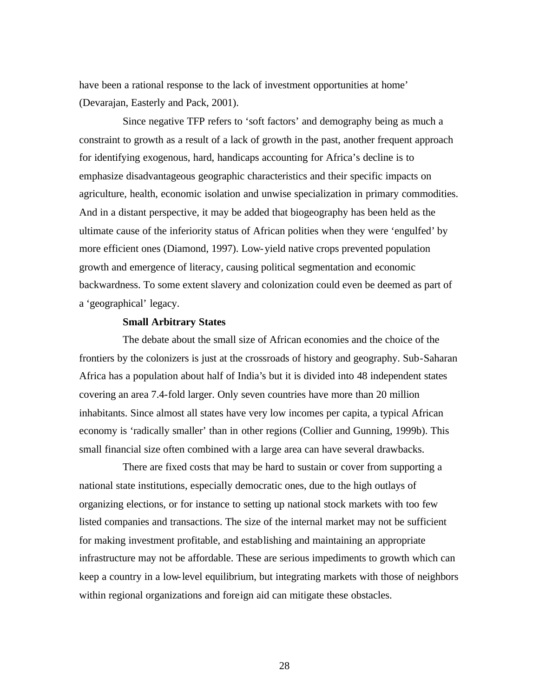have been a rational response to the lack of investment opportunities at home' (Devarajan, Easterly and Pack, 2001).

Since negative TFP refers to 'soft factors' and demography being as much a constraint to growth as a result of a lack of growth in the past, another frequent approach for identifying exogenous, hard, handicaps accounting for Africa's decline is to emphasize disadvantageous geographic characteristics and their specific impacts on agriculture, health, economic isolation and unwise specialization in primary commodities. And in a distant perspective, it may be added that biogeography has been held as the ultimate cause of the inferiority status of African polities when they were 'engulfed' by more efficient ones (Diamond, 1997). Low-yield native crops prevented population growth and emergence of literacy, causing political segmentation and economic backwardness. To some extent slavery and colonization could even be deemed as part of a 'geographical' legacy.

#### **Small Arbitrary States**

The debate about the small size of African economies and the choice of the frontiers by the colonizers is just at the crossroads of history and geography. Sub-Saharan Africa has a population about half of India's but it is divided into 48 independent states covering an area 7.4-fold larger. Only seven countries have more than 20 million inhabitants. Since almost all states have very low incomes per capita, a typical African economy is 'radically smaller' than in other regions (Collier and Gunning, 1999b). This small financial size often combined with a large area can have several drawbacks.

There are fixed costs that may be hard to sustain or cover from supporting a national state institutions, especially democratic ones, due to the high outlays of organizing elections, or for instance to setting up national stock markets with too few listed companies and transactions. The size of the internal market may not be sufficient for making investment profitable, and establishing and maintaining an appropriate infrastructure may not be affordable. These are serious impediments to growth which can keep a country in a low-level equilibrium, but integrating markets with those of neighbors within regional organizations and foreign aid can mitigate these obstacles.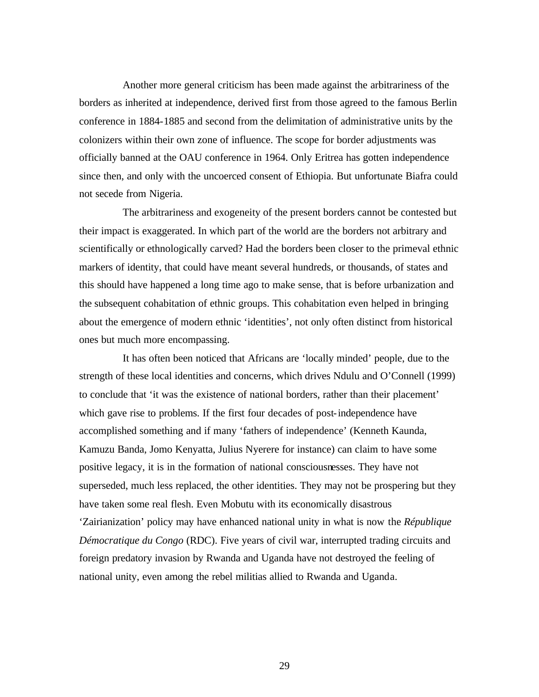Another more general criticism has been made against the arbitrariness of the borders as inherited at independence, derived first from those agreed to the famous Berlin conference in 1884-1885 and second from the delimitation of administrative units by the colonizers within their own zone of influence. The scope for border adjustments was officially banned at the OAU conference in 1964. Only Eritrea has gotten independence since then, and only with the uncoerced consent of Ethiopia. But unfortunate Biafra could not secede from Nigeria.

The arbitrariness and exogeneity of the present borders cannot be contested but their impact is exaggerated. In which part of the world are the borders not arbitrary and scientifically or ethnologically carved? Had the borders been closer to the primeval ethnic markers of identity, that could have meant several hundreds, or thousands, of states and this should have happened a long time ago to make sense, that is before urbanization and the subsequent cohabitation of ethnic groups. This cohabitation even helped in bringing about the emergence of modern ethnic 'identities', not only often distinct from historical ones but much more encompassing.

It has often been noticed that Africans are 'locally minded' people, due to the strength of these local identities and concerns, which drives Ndulu and O'Connell (1999) to conclude that 'it was the existence of national borders, rather than their placement' which gave rise to problems. If the first four decades of post-independence have accomplished something and if many 'fathers of independence' (Kenneth Kaunda, Kamuzu Banda, Jomo Kenyatta, Julius Nyerere for instance) can claim to have some positive legacy, it is in the formation of national consciousnesses. They have not superseded, much less replaced, the other identities. They may not be prospering but they have taken some real flesh. Even Mobutu with its economically disastrous 'Zairianization' policy may have enhanced national unity in what is now the *République Démocratique du Congo* (RDC). Five years of civil war, interrupted trading circuits and foreign predatory invasion by Rwanda and Uganda have not destroyed the feeling of national unity, even among the rebel militias allied to Rwanda and Uganda.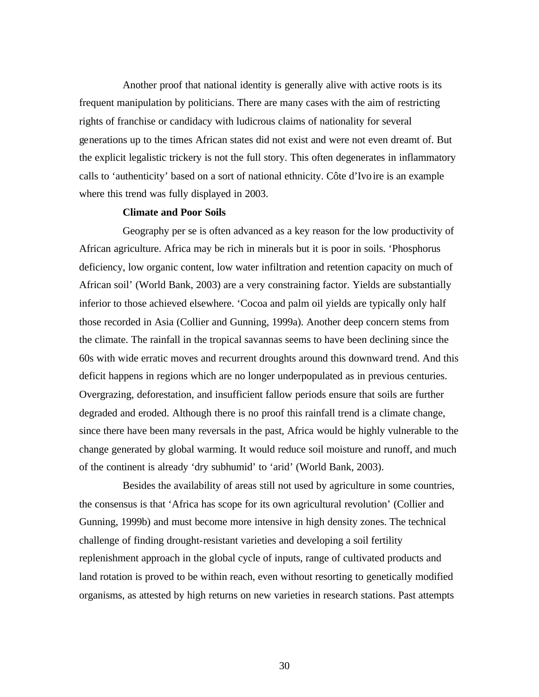Another proof that national identity is generally alive with active roots is its frequent manipulation by politicians. There are many cases with the aim of restricting rights of franchise or candidacy with ludicrous claims of nationality for several generations up to the times African states did not exist and were not even dreamt of. But the explicit legalistic trickery is not the full story. This often degenerates in inflammatory calls to 'authenticity' based on a sort of national ethnicity. Côte d'Ivoire is an example where this trend was fully displayed in 2003.

### **Climate and Poor Soils**

Geography per se is often advanced as a key reason for the low productivity of African agriculture. Africa may be rich in minerals but it is poor in soils. 'Phosphorus deficiency, low organic content, low water infiltration and retention capacity on much of African soil' (World Bank, 2003) are a very constraining factor. Yields are substantially inferior to those achieved elsewhere. 'Cocoa and palm oil yields are typically only half those recorded in Asia (Collier and Gunning, 1999a). Another deep concern stems from the climate. The rainfall in the tropical savannas seems to have been declining since the 60s with wide erratic moves and recurrent droughts around this downward trend. And this deficit happens in regions which are no longer underpopulated as in previous centuries. Overgrazing, deforestation, and insufficient fallow periods ensure that soils are further degraded and eroded. Although there is no proof this rainfall trend is a climate change, since there have been many reversals in the past, Africa would be highly vulnerable to the change generated by global warming. It would reduce soil moisture and runoff, and much of the continent is already 'dry subhumid' to 'arid' (World Bank, 2003).

Besides the availability of areas still not used by agriculture in some countries, the consensus is that 'Africa has scope for its own agricultural revolution' (Collier and Gunning, 1999b) and must become more intensive in high density zones. The technical challenge of finding drought-resistant varieties and developing a soil fertility replenishment approach in the global cycle of inputs, range of cultivated products and land rotation is proved to be within reach, even without resorting to genetically modified organisms, as attested by high returns on new varieties in research stations. Past attempts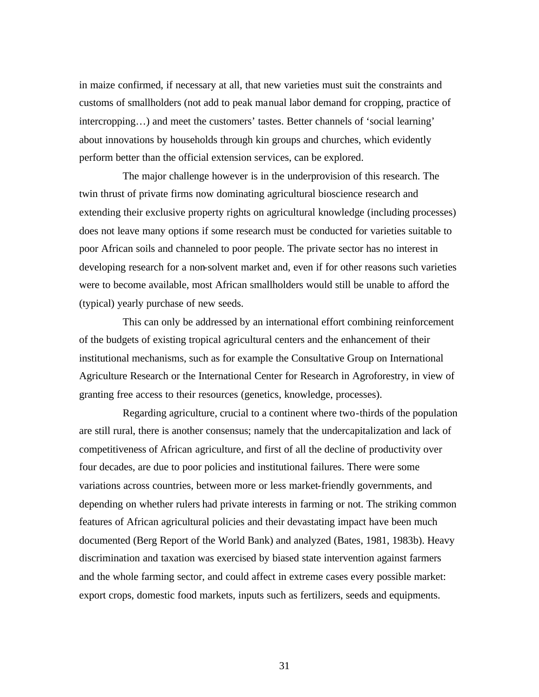in maize confirmed, if necessary at all, that new varieties must suit the constraints and customs of smallholders (not add to peak manual labor demand for cropping, practice of intercropping…) and meet the customers' tastes. Better channels of 'social learning' about innovations by households through kin groups and churches, which evidently perform better than the official extension services, can be explored.

The major challenge however is in the underprovision of this research. The twin thrust of private firms now dominating agricultural bioscience research and extending their exclusive property rights on agricultural knowledge (including processes) does not leave many options if some research must be conducted for varieties suitable to poor African soils and channeled to poor people. The private sector has no interest in developing research for a non-solvent market and, even if for other reasons such varieties were to become available, most African smallholders would still be unable to afford the (typical) yearly purchase of new seeds.

This can only be addressed by an international effort combining reinforcement of the budgets of existing tropical agricultural centers and the enhancement of their institutional mechanisms, such as for example the Consultative Group on International Agriculture Research or the International Center for Research in Agroforestry, in view of granting free access to their resources (genetics, knowledge, processes).

Regarding agriculture, crucial to a continent where two-thirds of the population are still rural, there is another consensus; namely that the undercapitalization and lack of competitiveness of African agriculture, and first of all the decline of productivity over four decades, are due to poor policies and institutional failures. There were some variations across countries, between more or less market-friendly governments, and depending on whether rulers had private interests in farming or not. The striking common features of African agricultural policies and their devastating impact have been much documented (Berg Report of the World Bank) and analyzed (Bates, 1981, 1983b). Heavy discrimination and taxation was exercised by biased state intervention against farmers and the whole farming sector, and could affect in extreme cases every possible market: export crops, domestic food markets, inputs such as fertilizers, seeds and equipments.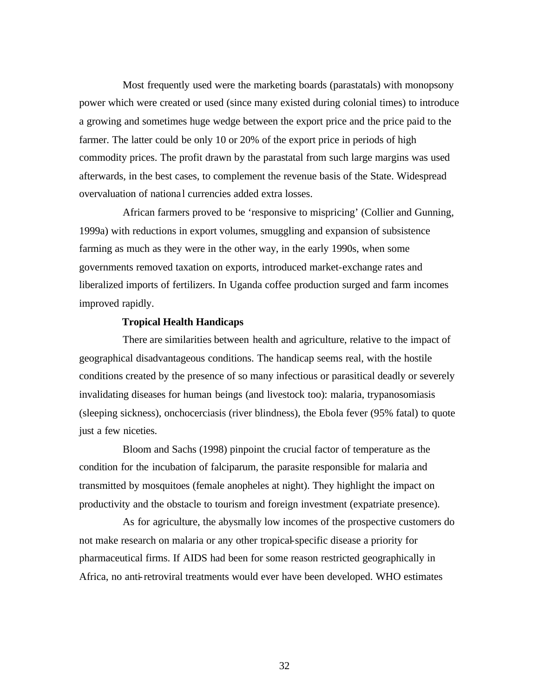Most frequently used were the marketing boards (parastatals) with monopsony power which were created or used (since many existed during colonial times) to introduce a growing and sometimes huge wedge between the export price and the price paid to the farmer. The latter could be only 10 or 20% of the export price in periods of high commodity prices. The profit drawn by the parastatal from such large margins was used afterwards, in the best cases, to complement the revenue basis of the State. Widespread overvaluation of nationa l currencies added extra losses.

African farmers proved to be 'responsive to mispricing' (Collier and Gunning, 1999a) with reductions in export volumes, smuggling and expansion of subsistence farming as much as they were in the other way, in the early 1990s, when some governments removed taxation on exports, introduced market-exchange rates and liberalized imports of fertilizers. In Uganda coffee production surged and farm incomes improved rapidly.

### **Tropical Health Handicaps**

There are similarities between health and agriculture, relative to the impact of geographical disadvantageous conditions. The handicap seems real, with the hostile conditions created by the presence of so many infectious or parasitical deadly or severely invalidating diseases for human beings (and livestock too): malaria, trypanosomiasis (sleeping sickness), onchocerciasis (river blindness), the Ebola fever (95% fatal) to quote just a few niceties.

Bloom and Sachs (1998) pinpoint the crucial factor of temperature as the condition for the incubation of falciparum, the parasite responsible for malaria and transmitted by mosquitoes (female anopheles at night). They highlight the impact on productivity and the obstacle to tourism and foreign investment (expatriate presence).

As for agriculture, the abysmally low incomes of the prospective customers do not make research on malaria or any other tropical-specific disease a priority for pharmaceutical firms. If AIDS had been for some reason restricted geographically in Africa, no anti-retroviral treatments would ever have been developed. WHO estimates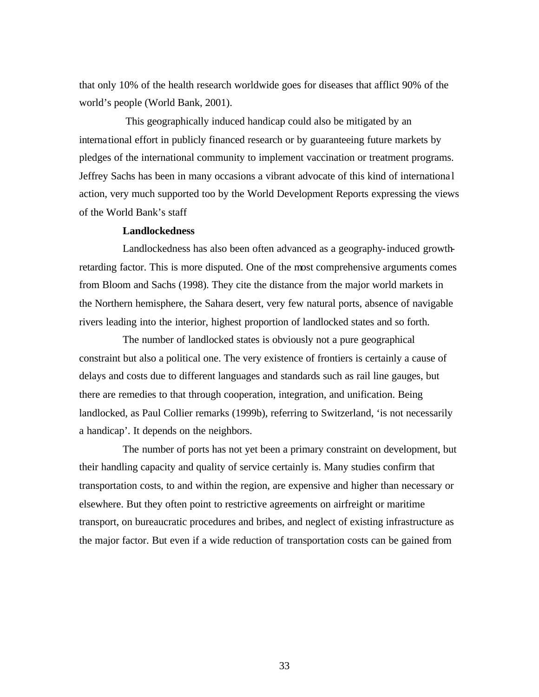that only 10% of the health research worldwide goes for diseases that afflict 90% of the world's people (World Bank, 2001).

 This geographically induced handicap could also be mitigated by an international effort in publicly financed research or by guaranteeing future markets by pledges of the international community to implement vaccination or treatment programs. Jeffrey Sachs has been in many occasions a vibrant advocate of this kind of internationa l action, very much supported too by the World Development Reports expressing the views of the World Bank's staff

## **Landlockedness**

Landlockedness has also been often advanced as a geography-induced growthretarding factor. This is more disputed. One of the most comprehensive arguments comes from Bloom and Sachs (1998). They cite the distance from the major world markets in the Northern hemisphere, the Sahara desert, very few natural ports, absence of navigable rivers leading into the interior, highest proportion of landlocked states and so forth.

The number of landlocked states is obviously not a pure geographical constraint but also a political one. The very existence of frontiers is certainly a cause of delays and costs due to different languages and standards such as rail line gauges, but there are remedies to that through cooperation, integration, and unification. Being landlocked, as Paul Collier remarks (1999b), referring to Switzerland, 'is not necessarily a handicap'. It depends on the neighbors.

The number of ports has not yet been a primary constraint on development, but their handling capacity and quality of service certainly is. Many studies confirm that transportation costs, to and within the region, are expensive and higher than necessary or elsewhere. But they often point to restrictive agreements on airfreight or maritime transport, on bureaucratic procedures and bribes, and neglect of existing infrastructure as the major factor. But even if a wide reduction of transportation costs can be gained from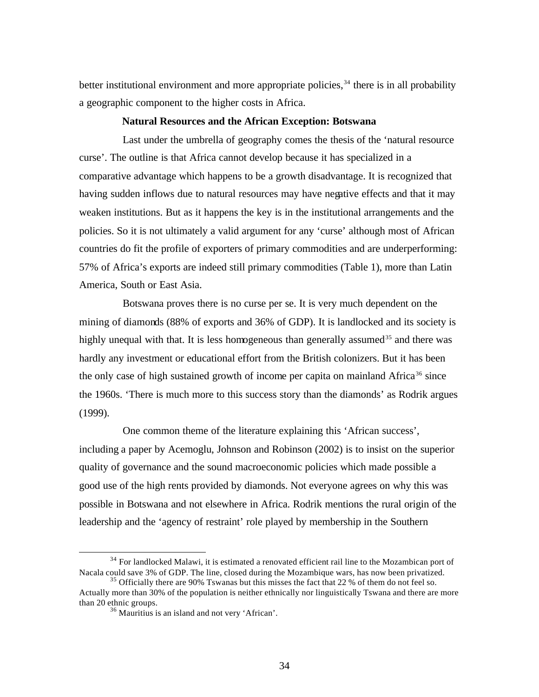better institutional environment and more appropriate policies,  $34$  there is in all probability a geographic component to the higher costs in Africa.

#### **Natural Resources and the African Exception: Botswana**

Last under the umbrella of geography comes the thesis of the 'natural resource curse'. The outline is that Africa cannot develop because it has specialized in a comparative advantage which happens to be a growth disadvantage. It is recognized that having sudden inflows due to natural resources may have negative effects and that it may weaken institutions. But as it happens the key is in the institutional arrangements and the policies. So it is not ultimately a valid argument for any 'curse' although most of African countries do fit the profile of exporters of primary commodities and are underperforming: 57% of Africa's exports are indeed still primary commodities (Table 1), more than Latin America, South or East Asia.

Botswana proves there is no curse per se. It is very much dependent on the mining of diamonds (88% of exports and 36% of GDP). It is landlocked and its society is highly unequal with that. It is less homogeneous than generally assumed<sup>35</sup> and there was hardly any investment or educational effort from the British colonizers. But it has been the only case of high sustained growth of income per capita on mainland Africa<sup>36</sup> since the 1960s. 'There is much more to this success story than the diamonds' as Rodrik argues (1999).

One common theme of the literature explaining this 'African success', including a paper by Acemoglu, Johnson and Robinson (2002) is to insist on the superior quality of governance and the sound macroeconomic policies which made possible a good use of the high rents provided by diamonds. Not everyone agrees on why this was possible in Botswana and not elsewhere in Africa. Rodrik mentions the rural origin of the leadership and the 'agency of restraint' role played by membership in the Southern

<sup>&</sup>lt;sup>34</sup> For landlocked Malawi, it is estimated a renovated efficient rail line to the Mozambican port of Nacala could save 3% of GDP. The line, closed during the Mozambique wars, has now been privatized.

 $35$  Officially there are 90% Tswanas but this misses the fact that 22 % of them do not feel so. Actually more than 30% of the population is neither ethnically nor linguistically Tswana and there are more than 20 ethnic groups.

<sup>36</sup> Mauritius is an island and not very 'African'.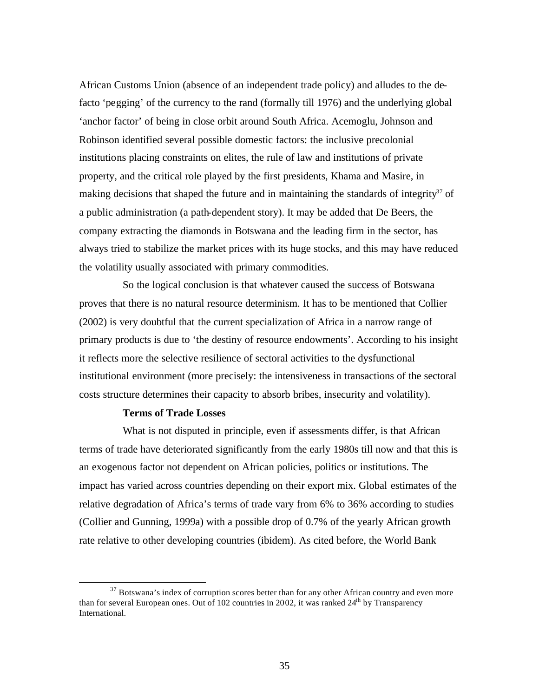African Customs Union (absence of an independent trade policy) and alludes to the defacto 'pegging' of the currency to the rand (formally till 1976) and the underlying global 'anchor factor' of being in close orbit around South Africa. Acemoglu, Johnson and Robinson identified several possible domestic factors: the inclusive precolonial institutions placing constraints on elites, the rule of law and institutions of private property, and the critical role played by the first presidents, Khama and Masire, in making decisions that shaped the future and in maintaining the standards of integrity<sup>37</sup> of a public administration (a path-dependent story). It may be added that De Beers, the company extracting the diamonds in Botswana and the leading firm in the sector, has always tried to stabilize the market prices with its huge stocks, and this may have reduced the volatility usually associated with primary commodities.

So the logical conclusion is that whatever caused the success of Botswana proves that there is no natural resource determinism. It has to be mentioned that Collier (2002) is very doubtful that the current specialization of Africa in a narrow range of primary products is due to 'the destiny of resource endowments'. According to his insight it reflects more the selective resilience of sectoral activities to the dysfunctional institutional environment (more precisely: the intensiveness in transactions of the sectoral costs structure determines their capacity to absorb bribes, insecurity and volatility).

# **Terms of Trade Losses**

 $\overline{a}$ 

What is not disputed in principle, even if assessments differ, is that African terms of trade have deteriorated significantly from the early 1980s till now and that this is an exogenous factor not dependent on African policies, politics or institutions. The impact has varied across countries depending on their export mix. Global estimates of the relative degradation of Africa's terms of trade vary from 6% to 36% according to studies (Collier and Gunning, 1999a) with a possible drop of 0.7% of the yearly African growth rate relative to other developing countries (ibidem). As cited before, the World Bank

 $37$  Botswana's index of corruption scores better than for any other African country and even more than for several European ones. Out of 102 countries in 2002, it was ranked  $24<sup>th</sup>$  by Transparency International.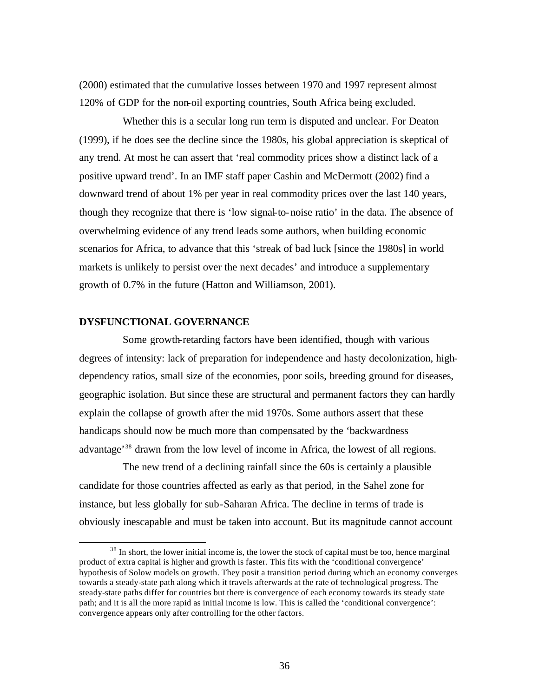(2000) estimated that the cumulative losses between 1970 and 1997 represent almost 120% of GDP for the non-oil exporting countries, South Africa being excluded.

Whether this is a secular long run term is disputed and unclear. For Deaton (1999), if he does see the decline since the 1980s, his global appreciation is skeptical of any trend. At most he can assert that 'real commodity prices show a distinct lack of a positive upward trend'. In an IMF staff paper Cashin and McDermott (2002) find a downward trend of about 1% per year in real commodity prices over the last 140 years, though they recognize that there is 'low signal-to-noise ratio' in the data. The absence of overwhelming evidence of any trend leads some authors, when building economic scenarios for Africa, to advance that this 'streak of bad luck [since the 1980s] in world markets is unlikely to persist over the next decades' and introduce a supplementary growth of 0.7% in the future (Hatton and Williamson, 2001).

## **DYSFUNCTIONAL GOVERNANCE**

 $\overline{a}$ 

Some growth-retarding factors have been identified, though with various degrees of intensity: lack of preparation for independence and hasty decolonization, highdependency ratios, small size of the economies, poor soils, breeding ground for diseases, geographic isolation. But since these are structural and permanent factors they can hardly explain the collapse of growth after the mid 1970s. Some authors assert that these handicaps should now be much more than compensated by the 'backwardness advantage'<sup>38</sup> drawn from the low level of income in Africa, the lowest of all regions.

The new trend of a declining rainfall since the 60s is certainly a plausible candidate for those countries affected as early as that period, in the Sahel zone for instance, but less globally for sub-Saharan Africa. The decline in terms of trade is obviously inescapable and must be taken into account. But its magnitude cannot account

 $38$  In short, the lower initial income is, the lower the stock of capital must be too, hence marginal product of extra capital is higher and growth is faster. This fits with the 'conditional convergence' hypothesis of Solow models on growth. They posit a transition period during which an economy converges towards a steady-state path along which it travels afterwards at the rate of technological progress. The steady-state paths differ for countries but there is convergence of each economy towards its steady state path; and it is all the more rapid as initial income is low. This is called the 'conditional convergence': convergence appears only after controlling for the other factors.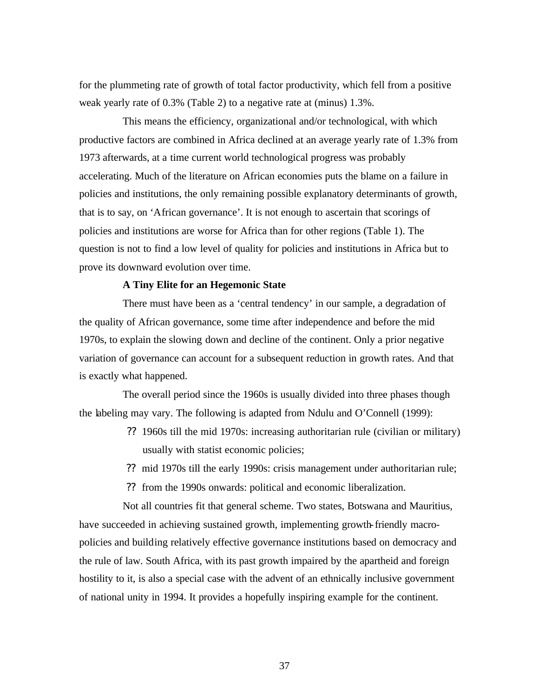for the plummeting rate of growth of total factor productivity, which fell from a positive weak yearly rate of 0.3% (Table 2) to a negative rate at (minus) 1.3%.

This means the efficiency, organizational and/or technological, with which productive factors are combined in Africa declined at an average yearly rate of 1.3% from 1973 afterwards, at a time current world technological progress was probably accelerating. Much of the literature on African economies puts the blame on a failure in policies and institutions, the only remaining possible explanatory determinants of growth, that is to say, on 'African governance'. It is not enough to ascertain that scorings of policies and institutions are worse for Africa than for other regions (Table 1). The question is not to find a low level of quality for policies and institutions in Africa but to prove its downward evolution over time.

## **A Tiny Elite for an Hegemonic State**

There must have been as a 'central tendency' in our sample, a degradation of the quality of African governance, some time after independence and before the mid 1970s, to explain the slowing down and decline of the continent. Only a prior negative variation of governance can account for a subsequent reduction in growth rates. And that is exactly what happened.

The overall period since the 1960s is usually divided into three phases though the labeling may vary. The following is adapted from Ndulu and O'Connell (1999):

- ?? 1960s till the mid 1970s: increasing authoritarian rule (civilian or military) usually with statist economic policies;
- ?? mid 1970s till the early 1990s: crisis management under authoritarian rule;

?? from the 1990s onwards: political and economic liberalization.

Not all countries fit that general scheme. Two states, Botswana and Mauritius, have succeeded in achieving sustained growth, implementing growth-friendly macropolicies and building relatively effective governance institutions based on democracy and the rule of law. South Africa, with its past growth impaired by the apartheid and foreign hostility to it, is also a special case with the advent of an ethnically inclusive government of national unity in 1994. It provides a hopefully inspiring example for the continent.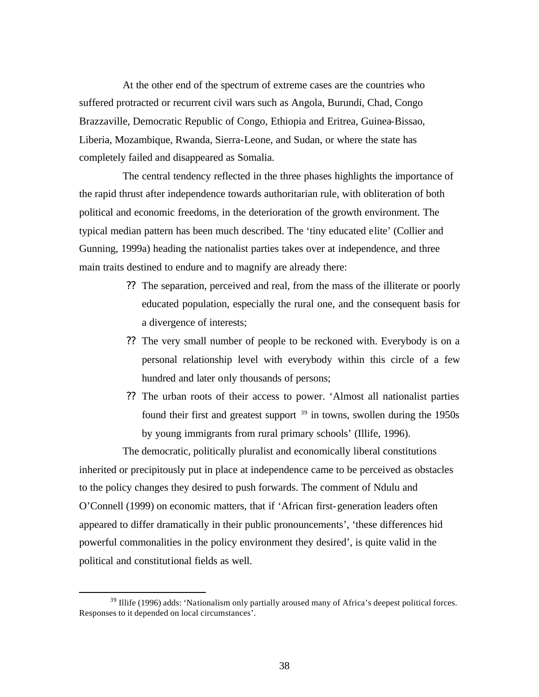At the other end of the spectrum of extreme cases are the countries who suffered protracted or recurrent civil wars such as Angola, Burundi, Chad, Congo Brazzaville, Democratic Republic of Congo, Ethiopia and Eritrea, Guinea-Bissao, Liberia, Mozambique, Rwanda, Sierra-Leone, and Sudan, or where the state has completely failed and disappeared as Somalia.

The central tendency reflected in the three phases highlights the importance of the rapid thrust after independence towards authoritarian rule, with obliteration of both political and economic freedoms, in the deterioration of the growth environment. The typical median pattern has been much described. The 'tiny educated elite' (Collier and Gunning, 1999a) heading the nationalist parties takes over at independence, and three main traits destined to endure and to magnify are already there:

- ?? The separation, perceived and real, from the mass of the illiterate or poorly educated population, especially the rural one, and the consequent basis for a divergence of interests;
- ?? The very small number of people to be reckoned with. Everybody is on a personal relationship level with everybody within this circle of a few hundred and later only thousands of persons;
- ?? The urban roots of their access to power. 'Almost all nationalist parties found their first and greatest support  $39$  in towns, swollen during the 1950s by young immigrants from rural primary schools' (Illife, 1996).

The democratic, politically pluralist and economically liberal constitutions inherited or precipitously put in place at independence came to be perceived as obstacles to the policy changes they desired to push forwards. The comment of Ndulu and O'Connell (1999) on economic matters, that if 'African first-generation leaders often appeared to differ dramatically in their public pronouncements', 'these differences hid powerful commonalities in the policy environment they desired', is quite valid in the political and constitutional fields as well.

 $39$  Illife (1996) adds: 'Nationalism only partially aroused many of Africa's deepest political forces. Responses to it depended on local circumstances'.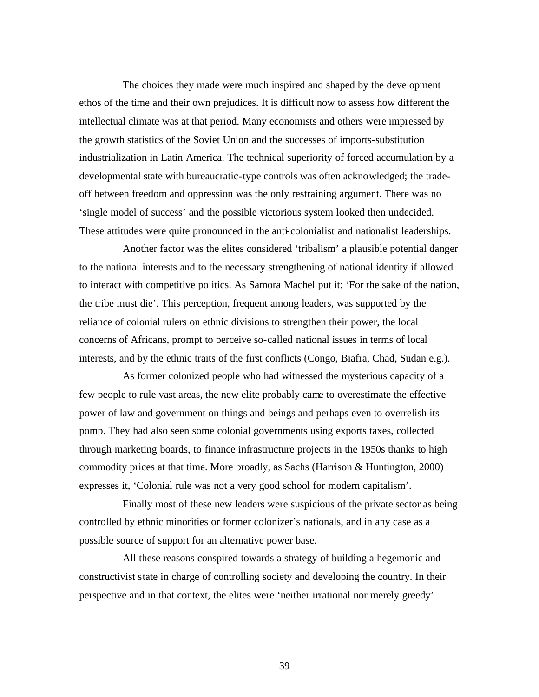The choices they made were much inspired and shaped by the development ethos of the time and their own prejudices. It is difficult now to assess how different the intellectual climate was at that period. Many economists and others were impressed by the growth statistics of the Soviet Union and the successes of imports-substitution industrialization in Latin America. The technical superiority of forced accumulation by a developmental state with bureaucratic-type controls was often acknowledged; the tradeoff between freedom and oppression was the only restraining argument. There was no 'single model of success' and the possible victorious system looked then undecided. These attitudes were quite pronounced in the anti-colonialist and nationalist leaderships.

Another factor was the elites considered 'tribalism' a plausible potential danger to the national interests and to the necessary strengthening of national identity if allowed to interact with competitive politics. As Samora Machel put it: 'For the sake of the nation, the tribe must die'. This perception, frequent among leaders, was supported by the reliance of colonial rulers on ethnic divisions to strengthen their power, the local concerns of Africans, prompt to perceive so-called national issues in terms of local interests, and by the ethnic traits of the first conflicts (Congo, Biafra, Chad, Sudan e.g.).

As former colonized people who had witnessed the mysterious capacity of a few people to rule vast areas, the new elite probably came to overestimate the effective power of law and government on things and beings and perhaps even to overrelish its pomp. They had also seen some colonial governments using exports taxes, collected through marketing boards, to finance infrastructure projects in the 1950s thanks to high commodity prices at that time. More broadly, as Sachs (Harrison & Huntington, 2000) expresses it, 'Colonial rule was not a very good school for modern capitalism'.

Finally most of these new leaders were suspicious of the private sector as being controlled by ethnic minorities or former colonizer's nationals, and in any case as a possible source of support for an alternative power base.

All these reasons conspired towards a strategy of building a hegemonic and constructivist state in charge of controlling society and developing the country. In their perspective and in that context, the elites were 'neither irrational nor merely greedy'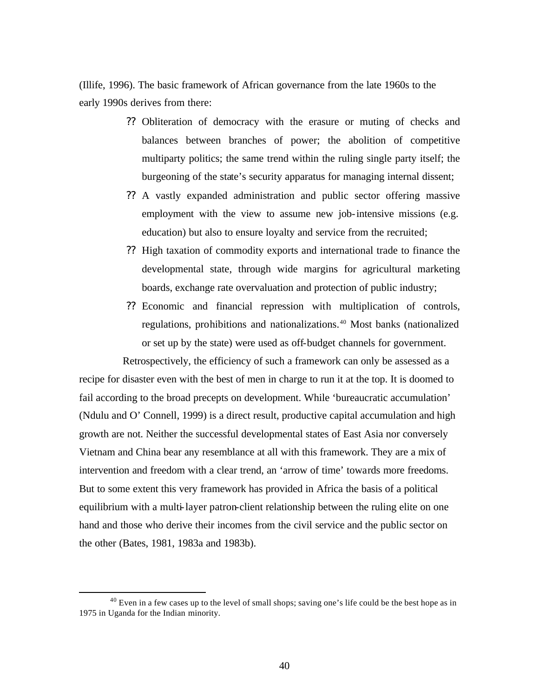(Illife, 1996). The basic framework of African governance from the late 1960s to the early 1990s derives from there:

- ?? Obliteration of democracy with the erasure or muting of checks and balances between branches of power; the abolition of competitive multiparty politics; the same trend within the ruling single party itself; the burgeoning of the state's security apparatus for managing internal dissent;
- ?? A vastly expanded administration and public sector offering massive employment with the view to assume new job-intensive missions (e.g. education) but also to ensure loyalty and service from the recruited;
- ?? High taxation of commodity exports and international trade to finance the developmental state, through wide margins for agricultural marketing boards, exchange rate overvaluation and protection of public industry;
- ?? Economic and financial repression with multiplication of controls, regulations, prohibitions and nationalizations.<sup>40</sup> Most banks (nationalized or set up by the state) were used as off-budget channels for government.

Retrospectively, the efficiency of such a framework can only be assessed as a recipe for disaster even with the best of men in charge to run it at the top. It is doomed to fail according to the broad precepts on development. While 'bureaucratic accumulation' (Ndulu and O' Connell, 1999) is a direct result, productive capital accumulation and high growth are not. Neither the successful developmental states of East Asia nor conversely Vietnam and China bear any resemblance at all with this framework. They are a mix of intervention and freedom with a clear trend, an 'arrow of time' towards more freedoms. But to some extent this very framework has provided in Africa the basis of a political equilibrium with a multi-layer patron-client relationship between the ruling elite on one hand and those who derive their incomes from the civil service and the public sector on the other (Bates, 1981, 1983a and 1983b).

 $^{40}$  Even in a few cases up to the level of small shops; saving one's life could be the best hope as in 1975 in Uganda for the Indian minority.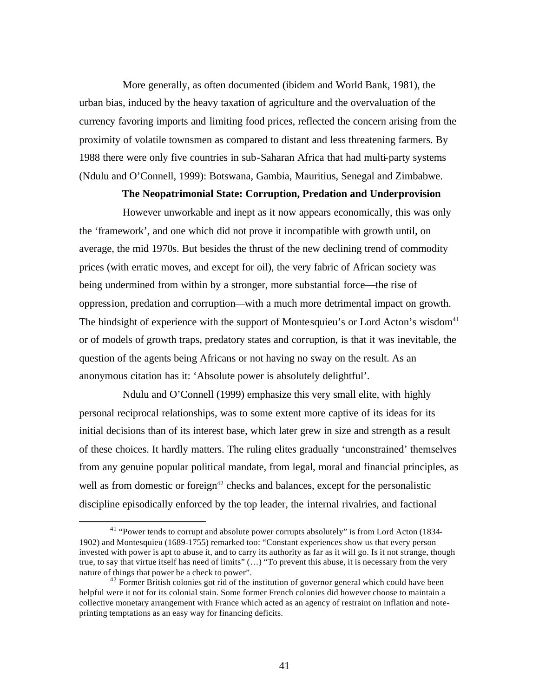More generally, as often documented (ibidem and World Bank, 1981), the urban bias, induced by the heavy taxation of agriculture and the overvaluation of the currency favoring imports and limiting food prices, reflected the concern arising from the proximity of volatile townsmen as compared to distant and less threatening farmers. By 1988 there were only five countries in sub-Saharan Africa that had multi-party systems (Ndulu and O'Connell, 1999): Botswana, Gambia, Mauritius, Senegal and Zimbabwe.

# **The Neopatrimonial State: Corruption, Predation and Underprovision**

However unworkable and inept as it now appears economically, this was only the 'framework', and one which did not prove it incompatible with growth until, on average, the mid 1970s. But besides the thrust of the new declining trend of commodity prices (with erratic moves, and except for oil), the very fabric of African society was being undermined from within by a stronger, more substantial force—the rise of oppression, predation and corruption—with a much more detrimental impact on growth. The hindsight of experience with the support of Montesquieu's or Lord Acton's wisdom<sup>41</sup> or of models of growth traps, predatory states and corruption, is that it was inevitable, the question of the agents being Africans or not having no sway on the result. As an anonymous citation has it: 'Absolute power is absolutely delightful'.

Ndulu and O'Connell (1999) emphasize this very small elite, with highly personal reciprocal relationships, was to some extent more captive of its ideas for its initial decisions than of its interest base, which later grew in size and strength as a result of these choices. It hardly matters. The ruling elites gradually 'unconstrained' themselves from any genuine popular political mandate, from legal, moral and financial principles, as well as from domestic or foreign<sup> $42$ </sup> checks and balances, except for the personalistic discipline episodically enforced by the top leader, the internal rivalries, and factional

<sup>&</sup>lt;sup>41</sup> "Power tends to corrupt and absolute power corrupts absolutely" is from Lord Acton (1834-1902) and Montesquieu (1689-1755) remarked too: "Constant experiences show us that every person invested with power is apt to abuse it, and to carry its authority as far as it will go. Is it not strange, though true, to say that virtue itself has need of limits" (…) "To prevent this abuse, it is necessary from the very nature of things that power be a check to power".

 $42$  Former British colonies got rid of the institution of governor general which could have been helpful were it not for its colonial stain. Some former French colonies did however choose to maintain a collective monetary arrangement with France which acted as an agency of restraint on inflation and noteprinting temptations as an easy way for financing deficits.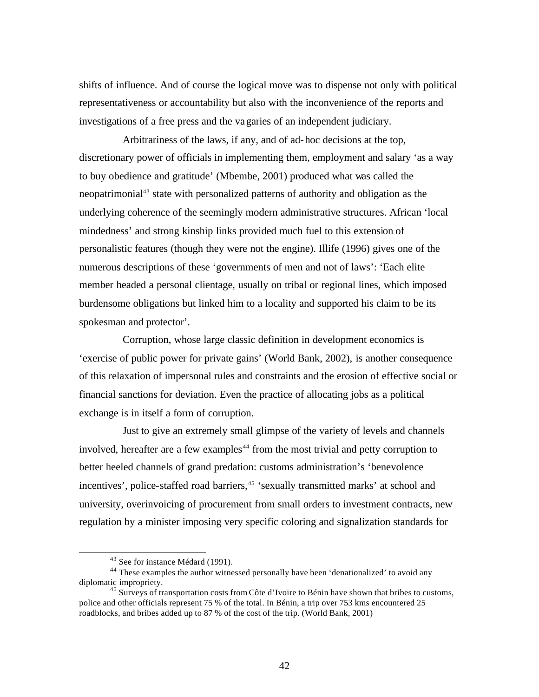shifts of influence. And of course the logical move was to dispense not only with political representativeness or accountability but also with the inconvenience of the reports and investigations of a free press and the vagaries of an independent judiciary.

Arbitrariness of the laws, if any, and of ad-hoc decisions at the top, discretionary power of officials in implementing them, employment and salary 'as a way to buy obedience and gratitude' (Mbembe, 2001) produced what was called the neopatrimonial<sup>43</sup> state with personalized patterns of authority and obligation as the underlying coherence of the seemingly modern administrative structures. African 'local mindedness' and strong kinship links provided much fuel to this extension of personalistic features (though they were not the engine). Illife (1996) gives one of the numerous descriptions of these 'governments of men and not of laws': 'Each elite member headed a personal clientage, usually on tribal or regional lines, which imposed burdensome obligations but linked him to a locality and supported his claim to be its spokesman and protector'.

Corruption, whose large classic definition in development economics is 'exercise of public power for private gains' (World Bank, 2002), is another consequence of this relaxation of impersonal rules and constraints and the erosion of effective social or financial sanctions for deviation. Even the practice of allocating jobs as a political exchange is in itself a form of corruption.

Just to give an extremely small glimpse of the variety of levels and channels involved, hereafter are a few examples<sup>44</sup> from the most trivial and petty corruption to better heeled channels of grand predation: customs administration's 'benevolence incentives', police-staffed road barriers,<sup>45</sup> 'sexually transmitted marks' at school and university, overinvoicing of procurement from small orders to investment contracts, new regulation by a minister imposing very specific coloring and signalization standards for

<sup>43</sup> See for instance Médard (1991).

<sup>&</sup>lt;sup>44</sup> These examples the author witnessed personally have been 'denationalized' to avoid any diplomatic impropriety.

<sup>&</sup>lt;sup>45</sup> Surveys of transportation costs from Côte d'Ivoire to Bénin have shown that bribes to customs, police and other officials represent 75 % of the total. In Bénin, a trip over 753 kms encountered 25 roadblocks, and bribes added up to 87 % of the cost of the trip. (World Bank, 2001)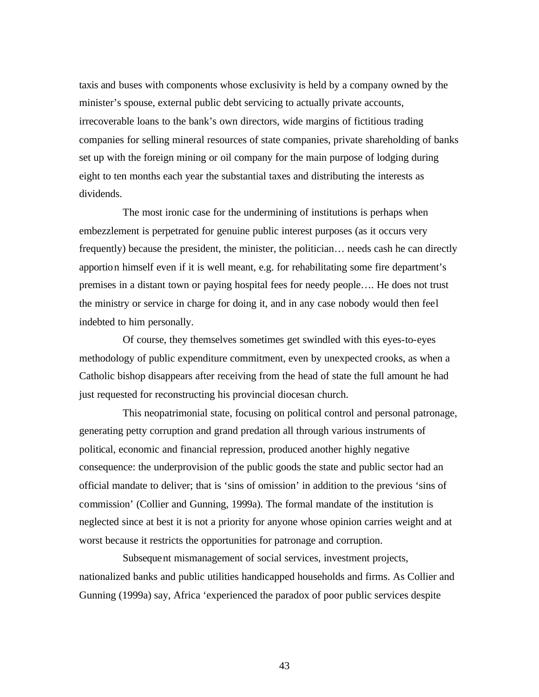taxis and buses with components whose exclusivity is held by a company owned by the minister's spouse, external public debt servicing to actually private accounts, irrecoverable loans to the bank's own directors, wide margins of fictitious trading companies for selling mineral resources of state companies, private shareholding of banks set up with the foreign mining or oil company for the main purpose of lodging during eight to ten months each year the substantial taxes and distributing the interests as dividends.

The most ironic case for the undermining of institutions is perhaps when embezzlement is perpetrated for genuine public interest purposes (as it occurs very frequently) because the president, the minister, the politician… needs cash he can directly apportion himself even if it is well meant, e.g. for rehabilitating some fire department's premises in a distant town or paying hospital fees for needy people…. He does not trust the ministry or service in charge for doing it, and in any case nobody would then feel indebted to him personally.

Of course, they themselves sometimes get swindled with this eyes-to-eyes methodology of public expenditure commitment, even by unexpected crooks, as when a Catholic bishop disappears after receiving from the head of state the full amount he had just requested for reconstructing his provincial diocesan church.

This neopatrimonial state, focusing on political control and personal patronage, generating petty corruption and grand predation all through various instruments of political, economic and financial repression, produced another highly negative consequence: the underprovision of the public goods the state and public sector had an official mandate to deliver; that is 'sins of omission' in addition to the previous 'sins of commission' (Collier and Gunning, 1999a). The formal mandate of the institution is neglected since at best it is not a priority for anyone whose opinion carries weight and at worst because it restricts the opportunities for patronage and corruption.

Subsequent mismanagement of social services, investment projects, nationalized banks and public utilities handicapped households and firms. As Collier and Gunning (1999a) say, Africa 'experienced the paradox of poor public services despite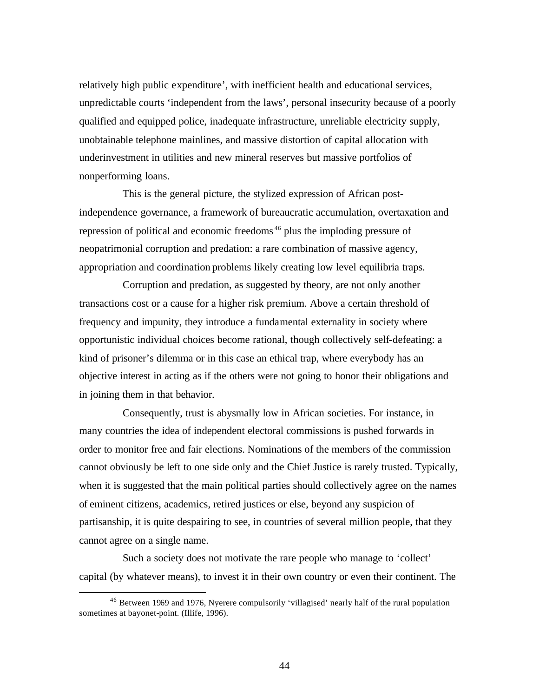relatively high public expenditure', with inefficient health and educational services, unpredictable courts 'independent from the laws', personal insecurity because of a poorly qualified and equipped police, inadequate infrastructure, unreliable electricity supply, unobtainable telephone mainlines, and massive distortion of capital allocation with underinvestment in utilities and new mineral reserves but massive portfolios of nonperforming loans.

This is the general picture, the stylized expression of African postindependence governance, a framework of bureaucratic accumulation, overtaxation and repression of political and economic freedoms <sup>46</sup> plus the imploding pressure of neopatrimonial corruption and predation: a rare combination of massive agency, appropriation and coordination problems likely creating low level equilibria traps.

Corruption and predation, as suggested by theory, are not only another transactions cost or a cause for a higher risk premium. Above a certain threshold of frequency and impunity, they introduce a fundamental externality in society where opportunistic individual choices become rational, though collectively self-defeating: a kind of prisoner's dilemma or in this case an ethical trap, where everybody has an objective interest in acting as if the others were not going to honor their obligations and in joining them in that behavior.

Consequently, trust is abysmally low in African societies. For instance, in many countries the idea of independent electoral commissions is pushed forwards in order to monitor free and fair elections. Nominations of the members of the commission cannot obviously be left to one side only and the Chief Justice is rarely trusted. Typically, when it is suggested that the main political parties should collectively agree on the names of eminent citizens, academics, retired justices or else, beyond any suspicion of partisanship, it is quite despairing to see, in countries of several million people, that they cannot agree on a single name.

Such a society does not motivate the rare people who manage to 'collect' capital (by whatever means), to invest it in their own country or even their continent. The

<sup>&</sup>lt;sup>46</sup> Between 1969 and 1976, Nyerere compulsorily 'villagised' nearly half of the rural population sometimes at bayonet-point. (Illife, 1996).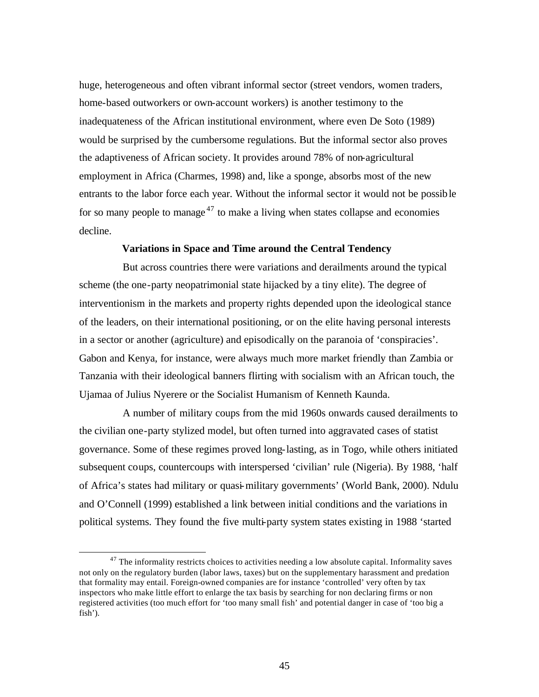huge, heterogeneous and often vibrant informal sector (street vendors, women traders, home-based outworkers or own-account workers) is another testimony to the inadequateness of the African institutional environment, where even De Soto (1989) would be surprised by the cumbersome regulations. But the informal sector also proves the adaptiveness of African society. It provides around 78% of non-agricultural employment in Africa (Charmes, 1998) and, like a sponge, absorbs most of the new entrants to the labor force each year. Without the informal sector it would not be possible for so many people to manage<sup>47</sup> to make a living when states collapse and economies decline.

#### **Variations in Space and Time around the Central Tendency**

But across countries there were variations and derailments around the typical scheme (the one-party neopatrimonial state hijacked by a tiny elite). The degree of interventionism in the markets and property rights depended upon the ideological stance of the leaders, on their international positioning, or on the elite having personal interests in a sector or another (agriculture) and episodically on the paranoia of 'conspiracies'. Gabon and Kenya, for instance, were always much more market friendly than Zambia or Tanzania with their ideological banners flirting with socialism with an African touch, the Ujamaa of Julius Nyerere or the Socialist Humanism of Kenneth Kaunda.

A number of military coups from the mid 1960s onwards caused derailments to the civilian one-party stylized model, but often turned into aggravated cases of statist governance. Some of these regimes proved long-lasting, as in Togo, while others initiated subsequent coups, countercoups with interspersed 'civilian' rule (Nigeria). By 1988, 'half of Africa's states had military or quasi-military governments' (World Bank, 2000). Ndulu and O'Connell (1999) established a link between initial conditions and the variations in political systems. They found the five multi-party system states existing in 1988 'started

 $47$  The informality restricts choices to activities needing a low absolute capital. Informality saves not only on the regulatory burden (labor laws, taxes) but on the supplementary harassment and predation that formality may entail. Foreign-owned companies are for instance 'controlled' very often by tax inspectors who make little effort to enlarge the tax basis by searching for non declaring firms or non registered activities (too much effort for 'too many small fish' and potential danger in case of 'too big a fish').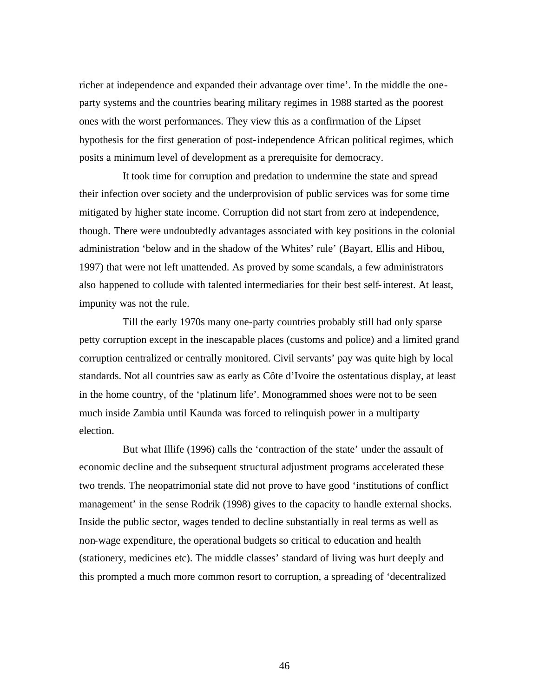richer at independence and expanded their advantage over time'. In the middle the oneparty systems and the countries bearing military regimes in 1988 started as the poorest ones with the worst performances. They view this as a confirmation of the Lipset hypothesis for the first generation of post-independence African political regimes, which posits a minimum level of development as a prerequisite for democracy.

It took time for corruption and predation to undermine the state and spread their infection over society and the underprovision of public services was for some time mitigated by higher state income. Corruption did not start from zero at independence, though. There were undoubtedly advantages associated with key positions in the colonial administration 'below and in the shadow of the Whites' rule' (Bayart, Ellis and Hibou, 1997) that were not left unattended. As proved by some scandals, a few administrators also happened to collude with talented intermediaries for their best self-interest. At least, impunity was not the rule.

Till the early 1970s many one-party countries probably still had only sparse petty corruption except in the inescapable places (customs and police) and a limited grand corruption centralized or centrally monitored. Civil servants' pay was quite high by local standards. Not all countries saw as early as Côte d'Ivoire the ostentatious display, at least in the home country, of the 'platinum life'. Monogrammed shoes were not to be seen much inside Zambia until Kaunda was forced to relinquish power in a multiparty election.

But what Illife (1996) calls the 'contraction of the state' under the assault of economic decline and the subsequent structural adjustment programs accelerated these two trends. The neopatrimonial state did not prove to have good 'institutions of conflict management' in the sense Rodrik (1998) gives to the capacity to handle external shocks. Inside the public sector, wages tended to decline substantially in real terms as well as non-wage expenditure, the operational budgets so critical to education and health (stationery, medicines etc). The middle classes' standard of living was hurt deeply and this prompted a much more common resort to corruption, a spreading of 'decentralized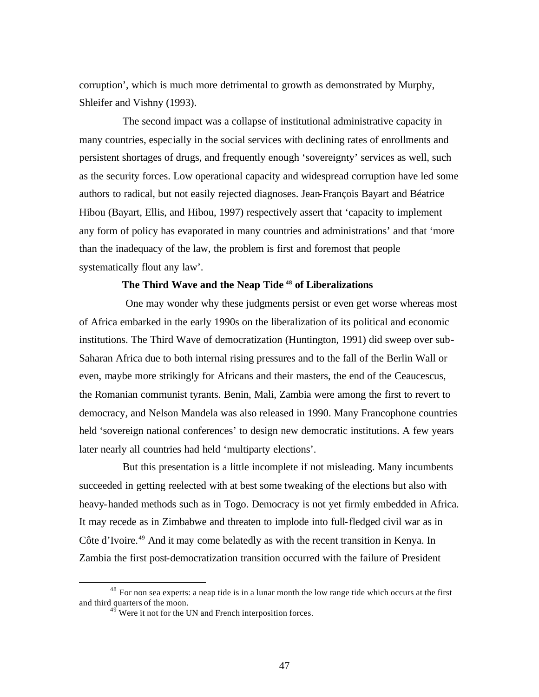corruption', which is much more detrimental to growth as demonstrated by Murphy, Shleifer and Vishny (1993).

The second impact was a collapse of institutional administrative capacity in many countries, especially in the social services with declining rates of enrollments and persistent shortages of drugs, and frequently enough 'sovereignty' services as well, such as the security forces. Low operational capacity and widespread corruption have led some authors to radical, but not easily rejected diagnoses. Jean-François Bayart and Béatrice Hibou (Bayart, Ellis, and Hibou, 1997) respectively assert that 'capacity to implement any form of policy has evaporated in many countries and administrations' and that 'more than the inadequacy of the law, the problem is first and foremost that people systematically flout any law'.

# **The Third Wave and the Neap Tide <sup>48</sup> of Liberalizations**

 One may wonder why these judgments persist or even get worse whereas most of Africa embarked in the early 1990s on the liberalization of its political and economic institutions. The Third Wave of democratization (Huntington, 1991) did sweep over sub-Saharan Africa due to both internal rising pressures and to the fall of the Berlin Wall or even, maybe more strikingly for Africans and their masters, the end of the Ceaucescus, the Romanian communist tyrants. Benin, Mali, Zambia were among the first to revert to democracy, and Nelson Mandela was also released in 1990. Many Francophone countries held 'sovereign national conferences' to design new democratic institutions. A few years later nearly all countries had held 'multiparty elections'.

But this presentation is a little incomplete if not misleading. Many incumbents succeeded in getting reelected with at best some tweaking of the elections but also with heavy-handed methods such as in Togo. Democracy is not yet firmly embedded in Africa. It may recede as in Zimbabwe and threaten to implode into full-fledged civil war as in Côte d'Ivoire.<sup>49</sup> And it may come belatedly as with the recent transition in Kenya. In Zambia the first post-democratization transition occurred with the failure of President

<sup>&</sup>lt;sup>48</sup> For non sea experts: a neap tide is in a lunar month the low range tide which occurs at the first and third quarters of the moon.

 $49<sup>49</sup>$  Were it not for the UN and French interposition forces.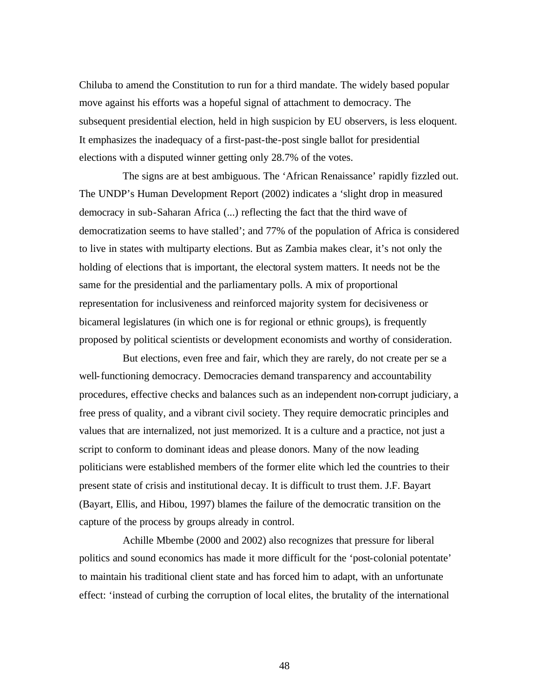Chiluba to amend the Constitution to run for a third mandate. The widely based popular move against his efforts was a hopeful signal of attachment to democracy. The subsequent presidential election, held in high suspicion by EU observers, is less eloquent. It emphasizes the inadequacy of a first-past-the-post single ballot for presidential elections with a disputed winner getting only 28.7% of the votes.

The signs are at best ambiguous. The 'African Renaissance' rapidly fizzled out. The UNDP's Human Development Report (2002) indicates a 'slight drop in measured democracy in sub-Saharan Africa (...) reflecting the fact that the third wave of democratization seems to have stalled'; and 77% of the population of Africa is considered to live in states with multiparty elections. But as Zambia makes clear, it's not only the holding of elections that is important, the electoral system matters. It needs not be the same for the presidential and the parliamentary polls. A mix of proportional representation for inclusiveness and reinforced majority system for decisiveness or bicameral legislatures (in which one is for regional or ethnic groups), is frequently proposed by political scientists or development economists and worthy of consideration.

But elections, even free and fair, which they are rarely, do not create per se a well-functioning democracy. Democracies demand transparency and accountability procedures, effective checks and balances such as an independent non-corrupt judiciary, a free press of quality, and a vibrant civil society. They require democratic principles and values that are internalized, not just memorized. It is a culture and a practice, not just a script to conform to dominant ideas and please donors. Many of the now leading politicians were established members of the former elite which led the countries to their present state of crisis and institutional decay. It is difficult to trust them. J.F. Bayart (Bayart, Ellis, and Hibou, 1997) blames the failure of the democratic transition on the capture of the process by groups already in control.

Achille Mbembe (2000 and 2002) also recognizes that pressure for liberal politics and sound economics has made it more difficult for the 'post-colonial potentate' to maintain his traditional client state and has forced him to adapt, with an unfortunate effect: 'instead of curbing the corruption of local elites, the brutality of the international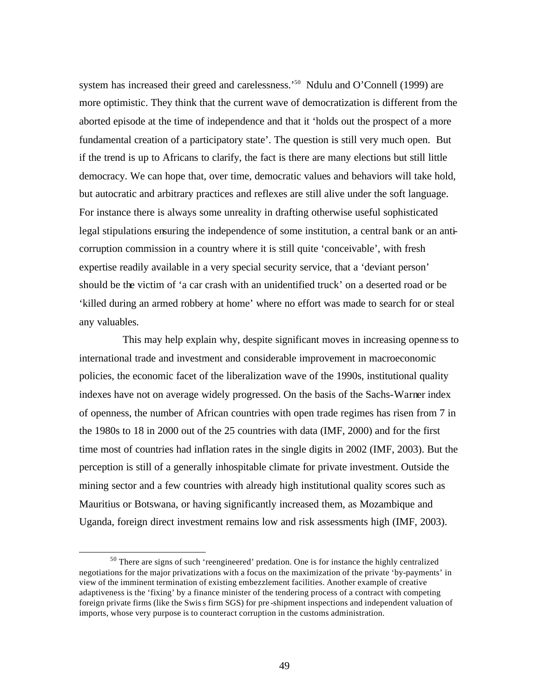system has increased their greed and carelessness.<sup>50</sup> Ndulu and O'Connell (1999) are more optimistic. They think that the current wave of democratization is different from the aborted episode at the time of independence and that it 'holds out the prospect of a more fundamental creation of a participatory state'. The question is still very much open. But if the trend is up to Africans to clarify, the fact is there are many elections but still little democracy. We can hope that, over time, democratic values and behaviors will take hold, but autocratic and arbitrary practices and reflexes are still alive under the soft language. For instance there is always some unreality in drafting otherwise useful sophisticated legal stipulations ensuring the independence of some institution, a central bank or an anticorruption commission in a country where it is still quite 'conceivable', with fresh expertise readily available in a very special security service, that a 'deviant person' should be the victim of 'a car crash with an unidentified truck' on a deserted road or be 'killed during an armed robbery at home' where no effort was made to search for or steal any valuables.

This may help explain why, despite significant moves in increasing openne ss to international trade and investment and considerable improvement in macroeconomic policies, the economic facet of the liberalization wave of the 1990s, institutional quality indexes have not on average widely progressed. On the basis of the Sachs-Warner index of openness, the number of African countries with open trade regimes has risen from 7 in the 1980s to 18 in 2000 out of the 25 countries with data (IMF, 2000) and for the first time most of countries had inflation rates in the single digits in 2002 (IMF, 2003). But the perception is still of a generally inhospitable climate for private investment. Outside the mining sector and a few countries with already high institutional quality scores such as Mauritius or Botswana, or having significantly increased them, as Mozambique and Uganda, foreign direct investment remains low and risk assessments high (IMF, 2003).

<sup>&</sup>lt;sup>50</sup> There are signs of such 'reengineered' predation. One is for instance the highly centralized negotiations for the major privatizations with a focus on the maximization of the private 'by-payments' in view of the imminent termination of existing embezzlement facilities. Another example of creative adaptiveness is the 'fixing' by a finance minister of the tendering process of a contract with competing foreign private firms (like the Swiss firm SGS) for pre -shipment inspections and independent valuation of imports, whose very purpose is to counteract corruption in the customs administration.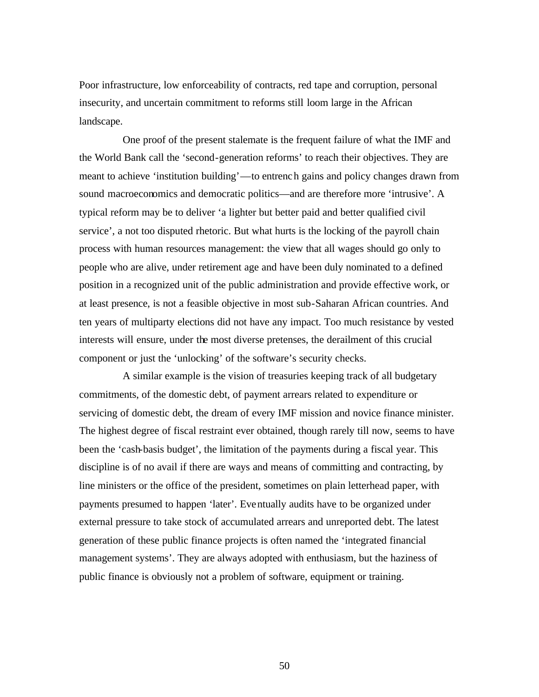Poor infrastructure, low enforceability of contracts, red tape and corruption, personal insecurity, and uncertain commitment to reforms still loom large in the African landscape.

One proof of the present stalemate is the frequent failure of what the IMF and the World Bank call the 'second-generation reforms' to reach their objectives. They are meant to achieve 'institution building'—to entrench gains and policy changes drawn from sound macroeconomics and democratic politics—and are therefore more 'intrusive'. A typical reform may be to deliver 'a lighter but better paid and better qualified civil service', a not too disputed rhetoric. But what hurts is the locking of the payroll chain process with human resources management: the view that all wages should go only to people who are alive, under retirement age and have been duly nominated to a defined position in a recognized unit of the public administration and provide effective work, or at least presence, is not a feasible objective in most sub-Saharan African countries. And ten years of multiparty elections did not have any impact. Too much resistance by vested interests will ensure, under the most diverse pretenses, the derailment of this crucial component or just the 'unlocking' of the software's security checks.

A similar example is the vision of treasuries keeping track of all budgetary commitments, of the domestic debt, of payment arrears related to expenditure or servicing of domestic debt, the dream of every IMF mission and novice finance minister. The highest degree of fiscal restraint ever obtained, though rarely till now, seems to have been the 'cash-basis budget', the limitation of the payments during a fiscal year. This discipline is of no avail if there are ways and means of committing and contracting, by line ministers or the office of the president, sometimes on plain letterhead paper, with payments presumed to happen 'later'. Eventually audits have to be organized under external pressure to take stock of accumulated arrears and unreported debt. The latest generation of these public finance projects is often named the 'integrated financial management systems'. They are always adopted with enthusiasm, but the haziness of public finance is obviously not a problem of software, equipment or training.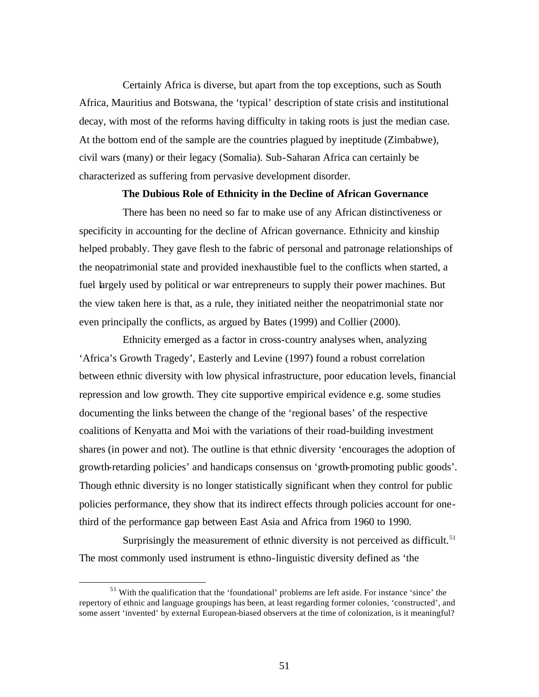Certainly Africa is diverse, but apart from the top exceptions, such as South Africa, Mauritius and Botswana, the 'typical' description of state crisis and institutional decay, with most of the reforms having difficulty in taking roots is just the median case. At the bottom end of the sample are the countries plagued by ineptitude (Zimbabwe), civil wars (many) or their legacy (Somalia). Sub-Saharan Africa can certainly be characterized as suffering from pervasive development disorder.

#### **The Dubious Role of Ethnicity in the Decline of African Governance**

There has been no need so far to make use of any African distinctiveness or specificity in accounting for the decline of African governance. Ethnicity and kinship helped probably. They gave flesh to the fabric of personal and patronage relationships of the neopatrimonial state and provided inexhaustible fuel to the conflicts when started, a fuel largely used by political or war entrepreneurs to supply their power machines. But the view taken here is that, as a rule, they initiated neither the neopatrimonial state nor even principally the conflicts, as argued by Bates (1999) and Collier (2000).

Ethnicity emerged as a factor in cross-country analyses when, analyzing 'Africa's Growth Tragedy', Easterly and Levine (1997) found a robust correlation between ethnic diversity with low physical infrastructure, poor education levels, financial repression and low growth. They cite supportive empirical evidence e.g. some studies documenting the links between the change of the 'regional bases' of the respective coalitions of Kenyatta and Moi with the variations of their road-building investment shares (in power and not). The outline is that ethnic diversity 'encourages the adoption of growth-retarding policies' and handicaps consensus on 'growth-promoting public goods'. Though ethnic diversity is no longer statistically significant when they control for public policies performance, they show that its indirect effects through policies account for onethird of the performance gap between East Asia and Africa from 1960 to 1990.

Surprisingly the measurement of ethnic diversity is not perceived as difficult.<sup>51</sup> The most commonly used instrument is ethno-linguistic diversity defined as 'the

<sup>&</sup>lt;sup>51</sup> With the qualification that the 'foundational' problems are left aside. For instance 'since' the repertory of ethnic and language groupings has been, at least regarding former colonies, 'constructed', and some assert 'invented' by external European-biased observers at the time of colonization, is it meaningful?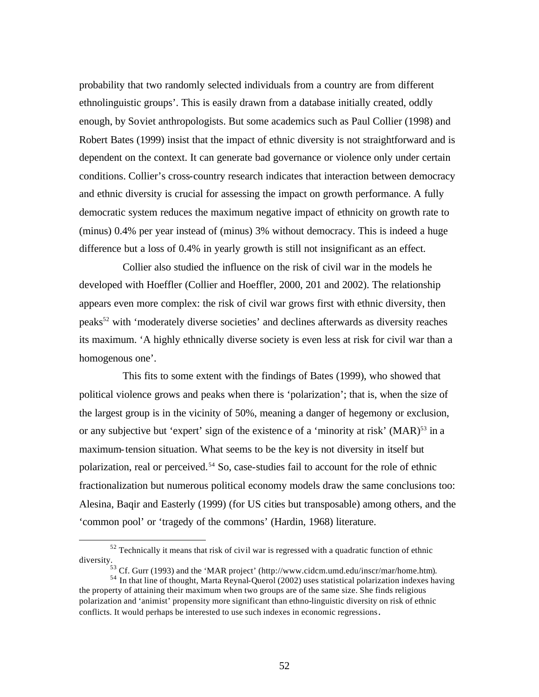probability that two randomly selected individuals from a country are from different ethnolinguistic groups'. This is easily drawn from a database initially created, oddly enough, by Soviet anthropologists. But some academics such as Paul Collier (1998) and Robert Bates (1999) insist that the impact of ethnic diversity is not straightforward and is dependent on the context. It can generate bad governance or violence only under certain conditions. Collier's cross-country research indicates that interaction between democracy and ethnic diversity is crucial for assessing the impact on growth performance. A fully democratic system reduces the maximum negative impact of ethnicity on growth rate to (minus) 0.4% per year instead of (minus) 3% without democracy. This is indeed a huge difference but a loss of 0.4% in yearly growth is still not insignificant as an effect.

Collier also studied the influence on the risk of civil war in the models he developed with Hoeffler (Collier and Hoeffler, 2000, 201 and 2002). The relationship appears even more complex: the risk of civil war grows first with ethnic diversity, then peaks<sup>52</sup> with 'moderately diverse societies' and declines afterwards as diversity reaches its maximum. 'A highly ethnically diverse society is even less at risk for civil war than a homogenous one'.

This fits to some extent with the findings of Bates (1999), who showed that political violence grows and peaks when there is 'polarization'; that is, when the size of the largest group is in the vicinity of 50%, meaning a danger of hegemony or exclusion, or any subjective but 'expert' sign of the existence of a 'minority at risk'  $(MAR)^{53}$  in a maximum-tension situation. What seems to be the key is not diversity in itself but polarization, real or perceived.<sup>54</sup> So, case-studies fail to account for the role of ethnic fractionalization but numerous political economy models draw the same conclusions too: Alesina, Baqir and Easterly (1999) (for US cities but transposable) among others, and the 'common pool' or 'tragedy of the commons' (Hardin, 1968) literature.

 $52$  Technically it means that risk of civil war is regressed with a quadratic function of ethnic diversity.

 $^{53}$  Cf. Gurr (1993) and the 'MAR project' (http://www.cidcm.umd.edu/inscr/mar/home.htm).

<sup>&</sup>lt;sup>54</sup> In that line of thought, Marta Reynal-Querol (2002) uses statistical polarization indexes having the property of attaining their maximum when two groups are of the same size. She finds religious polarization and 'animist' propensity more significant than ethno-linguistic diversity on risk of ethnic conflicts. It would perhaps be interested to use such indexes in economic regressions.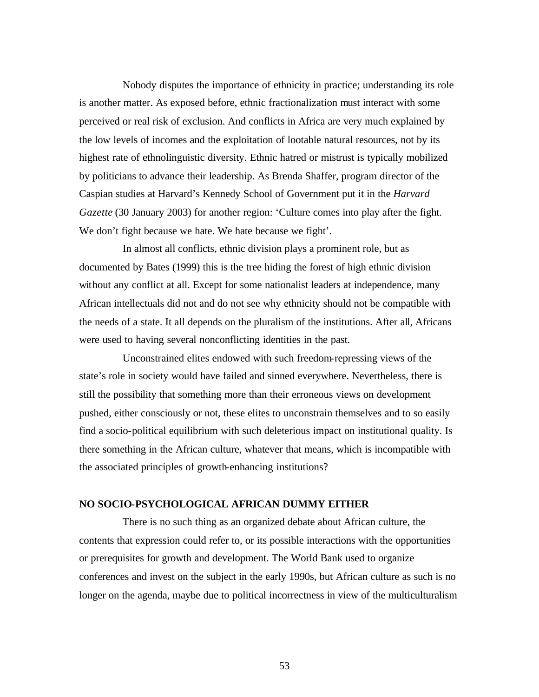Nobody disputes the importance of ethnicity in practice; understanding its role is another matter. As exposed before, ethnic fractionalization must interact with some perceived or real risk of exclusion. And conflicts in Africa are very much explained by the low levels of incomes and the exploitation of lootable natural resources, not by its highest rate of ethnolinguistic diversity. Ethnic hatred or mistrust is typically mobilized by politicians to advance their leadership. As Brenda Shaffer, program director of the Caspian studies at Harvard's Kennedy School of Government put it in the *Harvard Gazette* (30 January 2003) for another region: 'Culture comes into play after the fight. We don't fight because we hate. We hate because we fight'.

In almost all conflicts, ethnic division plays a prominent role, but as documented by Bates (1999) this is the tree hiding the forest of high ethnic division without any conflict at all. Except for some nationalist leaders at independence, many African intellectuals did not and do not see why ethnicity should not be compatible with the needs of a state. It all depends on the pluralism of the institutions. After all, Africans were used to having several nonconflicting identities in the past.

Unconstrained elites endowed with such freedom-repressing views of the state's role in society would have failed and sinned everywhere. Nevertheless, there is still the possibility that something more than their erroneous views on development pushed, either consciously or not, these elites to unconstrain themselves and to so easily find a socio-political equilibrium with such deleterious impact on institutional quality. Is there something in the African culture, whatever that means, which is incompatible with the associated principles of growth-enhancing institutions?

## **NO SOCIO-PSYCHOLOGICAL AFRICAN DUMMY EITHER**

There is no such thing as an organized debate about African culture, the contents that expression could refer to, or its possible interactions with the opportunities or prerequisites for growth and development. The World Bank used to organize conferences and invest on the subject in the early 1990s, but African culture as such is no longer on the agenda, maybe due to political incorrectness in view of the multiculturalism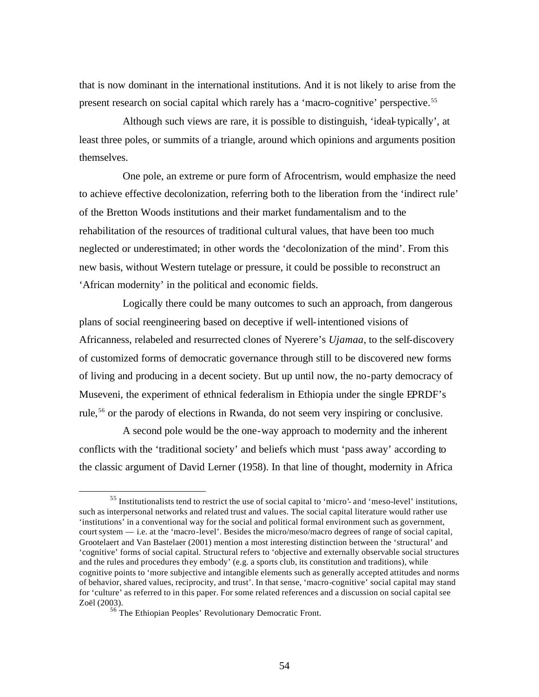that is now dominant in the international institutions. And it is not likely to arise from the present research on social capital which rarely has a 'macro-cognitive' perspective.<sup>55</sup>

Although such views are rare, it is possible to distinguish, 'ideal-typically', at least three poles, or summits of a triangle, around which opinions and arguments position themselves.

One pole, an extreme or pure form of Afrocentrism, would emphasize the need to achieve effective decolonization, referring both to the liberation from the 'indirect rule' of the Bretton Woods institutions and their market fundamentalism and to the rehabilitation of the resources of traditional cultural values, that have been too much neglected or underestimated; in other words the 'decolonization of the mind'. From this new basis, without Western tutelage or pressure, it could be possible to reconstruct an 'African modernity' in the political and economic fields.

Logically there could be many outcomes to such an approach, from dangerous plans of social reengineering based on deceptive if well-intentioned visions of Africanness, relabeled and resurrected clones of Nyerere's *Ujamaa*, to the self-discovery of customized forms of democratic governance through still to be discovered new forms of living and producing in a decent society. But up until now, the no-party democracy of Museveni, the experiment of ethnical federalism in Ethiopia under the single EPRDF's rule, <sup>56</sup> or the parody of elections in Rwanda, do not seem very inspiring or conclusive.

A second pole would be the one-way approach to modernity and the inherent conflicts with the 'traditional society' and beliefs which must 'pass away' according to the classic argument of David Lerner (1958). In that line of thought, modernity in Africa

<sup>55</sup> Institutionalists tend to restrict the use of social capital to 'micro'- and 'meso-level' institutions, such as interpersonal networks and related trust and values. The social capital literature would rather use 'institutions' in a conventional way for the social and political formal environment such as government, court system — i.e. at the 'macro-level'. Besides the micro/meso/macro degrees of range of social capital, Grootelaert and Van Bastelaer (2001) mention a most interesting distinction between the 'structural' and 'cognitive' forms of social capital. Structural refers to 'objective and externally observable social structures and the rules and procedures they embody' (e.g. a sports club, its constitution and traditions), while cognitive points to 'more subjective and intangible elements such as generally accepted attitudes and norms of behavior, shared values, reciprocity, and trust'. In that sense, 'macro-cognitive' social capital may stand for 'culture' as referred to in this paper. For some related references and a discussion on social capital see Zoël (2003).

<sup>&</sup>lt;sup>56</sup> The Ethiopian Peoples' Revolutionary Democratic Front.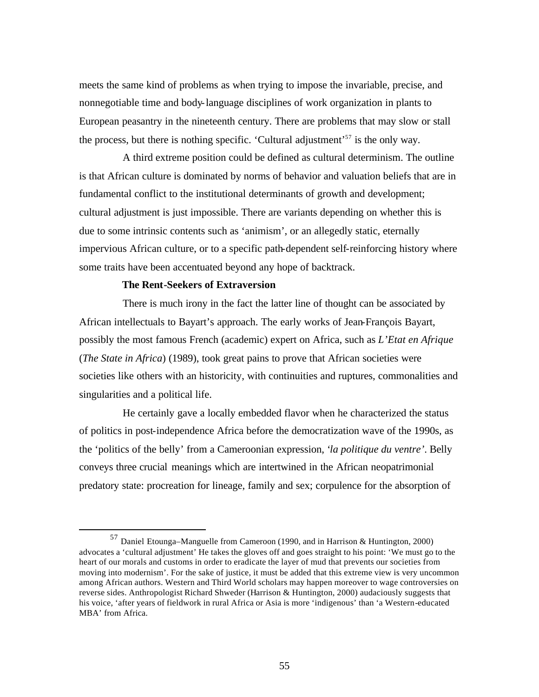meets the same kind of problems as when trying to impose the invariable, precise, and nonnegotiable time and body-language disciplines of work organization in plants to European peasantry in the nineteenth century. There are problems that may slow or stall the process, but there is nothing specific. 'Cultural adjustment'<sup>57</sup> is the only way.

A third extreme position could be defined as cultural determinism. The outline is that African culture is dominated by norms of behavior and valuation beliefs that are in fundamental conflict to the institutional determinants of growth and development; cultural adjustment is just impossible. There are variants depending on whether this is due to some intrinsic contents such as 'animism', or an allegedly static, eternally impervious African culture, or to a specific path-dependent self-reinforcing history where some traits have been accentuated beyond any hope of backtrack.

# **The Rent-Seekers of Extraversion**

 $\overline{a}$ 

There is much irony in the fact the latter line of thought can be associated by African intellectuals to Bayart's approach. The early works of Jean-François Bayart, possibly the most famous French (academic) expert on Africa, such as *L'Etat en Afrique* (*The State in Africa*) (1989), took great pains to prove that African societies were societies like others with an historicity, with continuities and ruptures, commonalities and singularities and a political life.

He certainly gave a locally embedded flavor when he characterized the status of politics in post-independence Africa before the democratization wave of the 1990s, as the 'politics of the belly' from a Cameroonian expression, '*la politique du ventre'*. Belly conveys three crucial meanings which are intertwined in the African neopatrimonial predatory state: procreation for lineage, family and sex; corpulence for the absorption of

<sup>57</sup> Daniel Etounga–Manguelle from Cameroon (1990, and in Harrison & Huntington, 2000) advocates a 'cultural adjustment' He takes the gloves off and goes straight to his point: 'We must go to the heart of our morals and customs in order to eradicate the layer of mud that prevents our societies from moving into modernism'. For the sake of justice, it must be added that this extreme view is very uncommon among African authors. Western and Third World scholars may happen moreover to wage controversies on reverse sides. Anthropologist Richard Shweder (Harrison & Huntington, 2000) audaciously suggests that his voice, 'after years of fieldwork in rural Africa or Asia is more 'indigenous' than 'a Western-educated MBA' from Africa.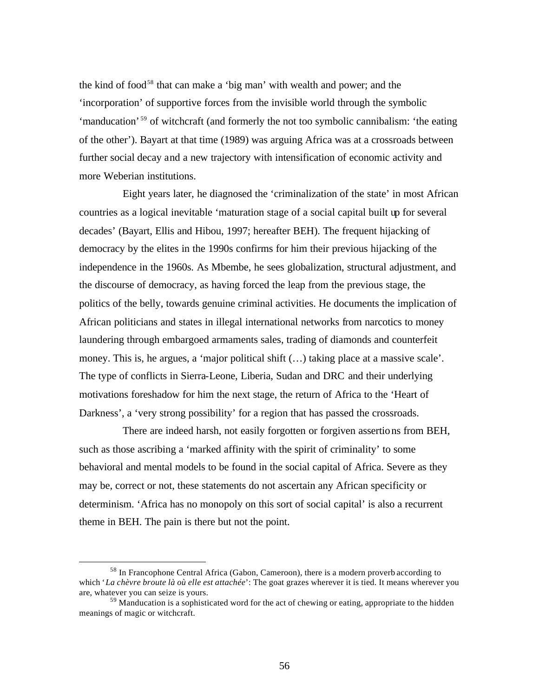the kind of food<sup>58</sup> that can make a 'big man' with wealth and power; and the 'incorporation' of supportive forces from the invisible world through the symbolic 'manducation' <sup>59</sup> of witchcraft (and formerly the not too symbolic cannibalism: 'the eating of the other'). Bayart at that time (1989) was arguing Africa was at a crossroads between further social decay and a new trajectory with intensification of economic activity and more Weberian institutions.

Eight years later, he diagnosed the 'criminalization of the state' in most African countries as a logical inevitable 'maturation stage of a social capital built up for several decades' (Bayart, Ellis and Hibou, 1997; hereafter BEH). The frequent hijacking of democracy by the elites in the 1990s confirms for him their previous hijacking of the independence in the 1960s. As Mbembe, he sees globalization, structural adjustment, and the discourse of democracy, as having forced the leap from the previous stage, the politics of the belly, towards genuine criminal activities. He documents the implication of African politicians and states in illegal international networks from narcotics to money laundering through embargoed armaments sales, trading of diamonds and counterfeit money. This is, he argues, a 'major political shift  $(...)$  taking place at a massive scale'. The type of conflicts in Sierra-Leone, Liberia, Sudan and DRC and their underlying motivations foreshadow for him the next stage, the return of Africa to the 'Heart of Darkness', a 'very strong possibility' for a region that has passed the crossroads.

There are indeed harsh, not easily forgotten or forgiven assertions from BEH, such as those ascribing a 'marked affinity with the spirit of criminality' to some behavioral and mental models to be found in the social capital of Africa. Severe as they may be, correct or not, these statements do not ascertain any African specificity or determinism. 'Africa has no monopoly on this sort of social capital' is also a recurrent theme in BEH. The pain is there but not the point.

<sup>58</sup> In Francophone Central Africa (Gabon, Cameroon), there is a modern proverb according to which '*La chèvre broute là où elle est attachée*': The goat grazes wherever it is tied. It means wherever you are, whatever you can seize is yours.

 $59$  Manducation is a sophisticated word for the act of chewing or eating, appropriate to the hidden meanings of magic or witchcraft.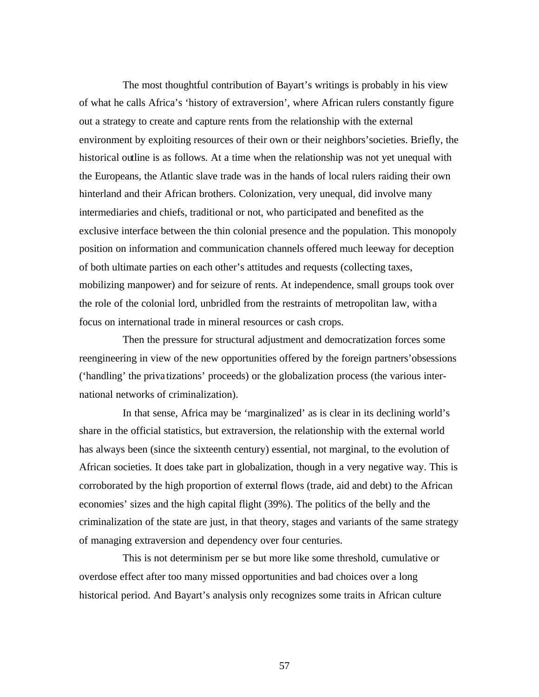The most thoughtful contribution of Bayart's writings is probably in his view of what he calls Africa's 'history of extraversion', where African rulers constantly figure out a strategy to create and capture rents from the relationship with the external environment by exploiting resources of their own or their neighbors'societies. Briefly, the historical outline is as follows. At a time when the relationship was not yet unequal with the Europeans, the Atlantic slave trade was in the hands of local rulers raiding their own hinterland and their African brothers. Colonization, very unequal, did involve many intermediaries and chiefs, traditional or not, who participated and benefited as the exclusive interface between the thin colonial presence and the population. This monopoly position on information and communication channels offered much leeway for deception of both ultimate parties on each other's attitudes and requests (collecting taxes, mobilizing manpower) and for seizure of rents. At independence, small groups took over the role of the colonial lord, unbridled from the restraints of metropolitan law, with a focus on international trade in mineral resources or cash crops.

Then the pressure for structural adjustment and democratization forces some reengineering in view of the new opportunities offered by the foreign partners'obsessions ('handling' the priva tizations' proceeds) or the globalization process (the various international networks of criminalization).

In that sense, Africa may be 'marginalized' as is clear in its declining world's share in the official statistics, but extraversion, the relationship with the external world has always been (since the sixteenth century) essential, not marginal, to the evolution of African societies. It does take part in globalization, though in a very negative way. This is corroborated by the high proportion of external flows (trade, aid and debt) to the African economies' sizes and the high capital flight (39%). The politics of the belly and the criminalization of the state are just, in that theory, stages and variants of the same strategy of managing extraversion and dependency over four centuries.

This is not determinism per se but more like some threshold, cumulative or overdose effect after too many missed opportunities and bad choices over a long historical period. And Bayart's analysis only recognizes some traits in African culture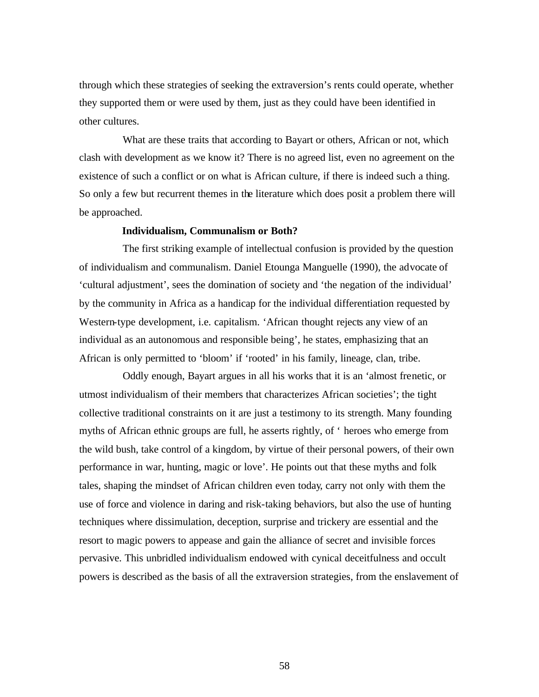through which these strategies of seeking the extraversion's rents could operate, whether they supported them or were used by them, just as they could have been identified in other cultures.

What are these traits that according to Bayart or others, African or not, which clash with development as we know it? There is no agreed list, even no agreement on the existence of such a conflict or on what is African culture, if there is indeed such a thing. So only a few but recurrent themes in the literature which does posit a problem there will be approached.

#### **Individualism, Communalism or Both?**

The first striking example of intellectual confusion is provided by the question of individualism and communalism. Daniel Etounga Manguelle (1990), the advocate of 'cultural adjustment', sees the domination of society and 'the negation of the individual' by the community in Africa as a handicap for the individual differentiation requested by Western-type development, i.e. capitalism. 'African thought rejects any view of an individual as an autonomous and responsible being', he states, emphasizing that an African is only permitted to 'bloom' if 'rooted' in his family, lineage, clan, tribe.

Oddly enough, Bayart argues in all his works that it is an 'almost frenetic, or utmost individualism of their members that characterizes African societies'; the tight collective traditional constraints on it are just a testimony to its strength. Many founding myths of African ethnic groups are full, he asserts rightly, of ' heroes who emerge from the wild bush, take control of a kingdom, by virtue of their personal powers, of their own performance in war, hunting, magic or love'. He points out that these myths and folk tales, shaping the mindset of African children even today, carry not only with them the use of force and violence in daring and risk-taking behaviors, but also the use of hunting techniques where dissimulation, deception, surprise and trickery are essential and the resort to magic powers to appease and gain the alliance of secret and invisible forces pervasive. This unbridled individualism endowed with cynical deceitfulness and occult powers is described as the basis of all the extraversion strategies, from the enslavement of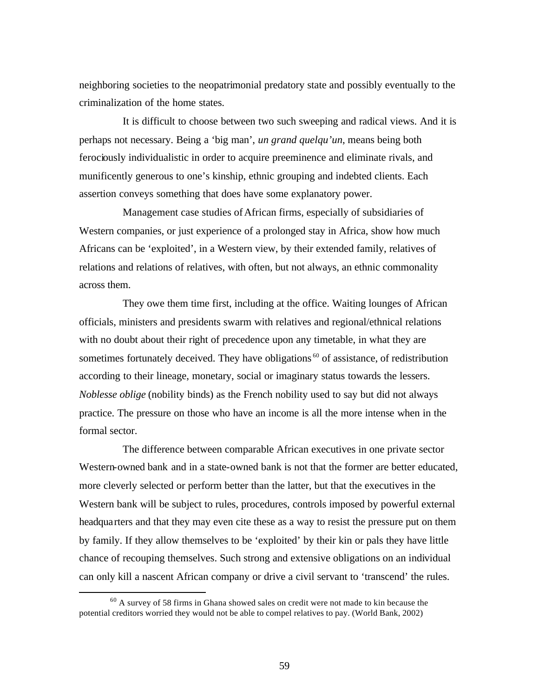neighboring societies to the neopatrimonial predatory state and possibly eventually to the criminalization of the home states.

It is difficult to choose between two such sweeping and radical views. And it is perhaps not necessary. Being a 'big man', *un grand quelqu'un*, means being both ferociously individualistic in order to acquire preeminence and eliminate rivals, and munificently generous to one's kinship, ethnic grouping and indebted clients. Each assertion conveys something that does have some explanatory power.

Management case studies of African firms, especially of subsidiaries of Western companies, or just experience of a prolonged stay in Africa, show how much Africans can be 'exploited', in a Western view, by their extended family, relatives of relations and relations of relatives, with often, but not always, an ethnic commonality across them.

They owe them time first, including at the office. Waiting lounges of African officials, ministers and presidents swarm with relatives and regional/ethnical relations with no doubt about their right of precedence upon any timetable, in what they are sometimes fortunately deceived. They have obligations<sup>60</sup> of assistance, of redistribution according to their lineage, monetary, social or imaginary status towards the lessers. *Noblesse oblige* (nobility binds) as the French nobility used to say but did not always practice. The pressure on those who have an income is all the more intense when in the formal sector.

The difference between comparable African executives in one private sector Western-owned bank and in a state-owned bank is not that the former are better educated, more cleverly selected or perform better than the latter, but that the executives in the Western bank will be subject to rules, procedures, controls imposed by powerful external headquarters and that they may even cite these as a way to resist the pressure put on them by family. If they allow themselves to be 'exploited' by their kin or pals they have little chance of recouping themselves. Such strong and extensive obligations on an individual can only kill a nascent African company or drive a civil servant to 'transcend' the rules.

<sup>&</sup>lt;sup>60</sup> A survey of 58 firms in Ghana showed sales on credit were not made to kin because the potential creditors worried they would not be able to compel relatives to pay. (World Bank, 2002)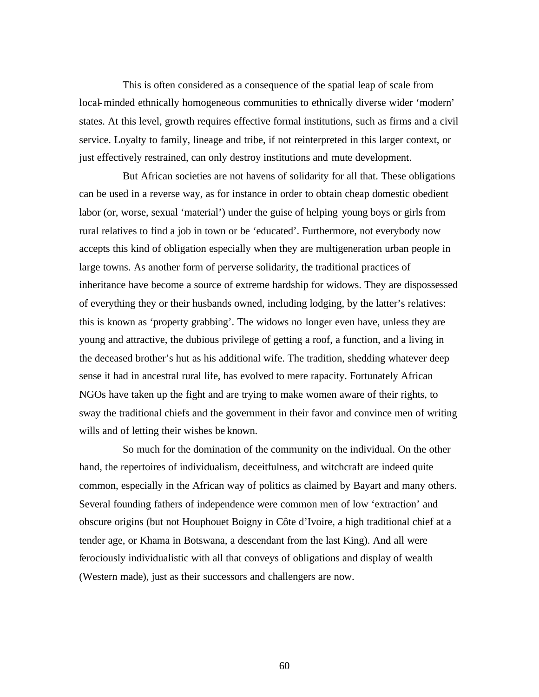This is often considered as a consequence of the spatial leap of scale from local-minded ethnically homogeneous communities to ethnically diverse wider 'modern' states. At this level, growth requires effective formal institutions, such as firms and a civil service. Loyalty to family, lineage and tribe, if not reinterpreted in this larger context, or just effectively restrained, can only destroy institutions and mute development.

But African societies are not havens of solidarity for all that. These obligations can be used in a reverse way, as for instance in order to obtain cheap domestic obedient labor (or, worse, sexual 'material') under the guise of helping young boys or girls from rural relatives to find a job in town or be 'educated'. Furthermore, not everybody now accepts this kind of obligation especially when they are multigeneration urban people in large towns. As another form of perverse solidarity, the traditional practices of inheritance have become a source of extreme hardship for widows. They are dispossessed of everything they or their husbands owned, including lodging, by the latter's relatives: this is known as 'property grabbing'. The widows no longer even have, unless they are young and attractive, the dubious privilege of getting a roof, a function, and a living in the deceased brother's hut as his additional wife. The tradition, shedding whatever deep sense it had in ancestral rural life, has evolved to mere rapacity. Fortunately African NGOs have taken up the fight and are trying to make women aware of their rights, to sway the traditional chiefs and the government in their favor and convince men of writing wills and of letting their wishes be known.

So much for the domination of the community on the individual. On the other hand, the repertoires of individualism, deceitfulness, and witchcraft are indeed quite common, especially in the African way of politics as claimed by Bayart and many others. Several founding fathers of independence were common men of low 'extraction' and obscure origins (but not Houphouet Boigny in Côte d'Ivoire, a high traditional chief at a tender age, or Khama in Botswana, a descendant from the last King). And all were ferociously individualistic with all that conveys of obligations and display of wealth (Western made), just as their successors and challengers are now.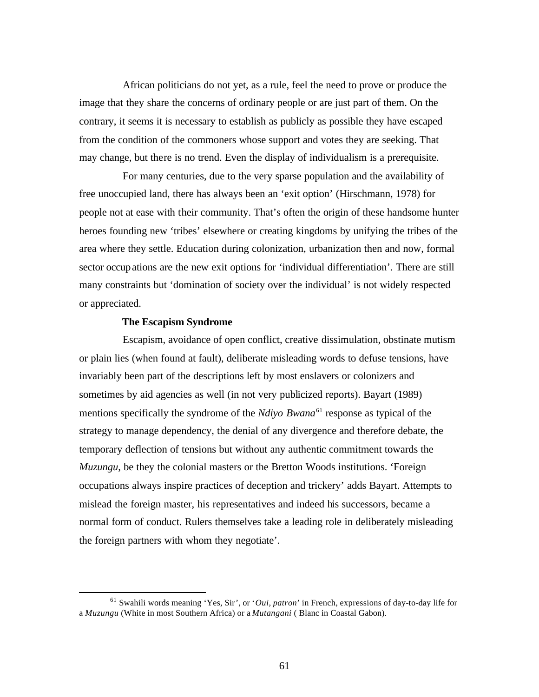African politicians do not yet, as a rule, feel the need to prove or produce the image that they share the concerns of ordinary people or are just part of them. On the contrary, it seems it is necessary to establish as publicly as possible they have escaped from the condition of the commoners whose support and votes they are seeking. That may change, but there is no trend. Even the display of individualism is a prerequisite.

For many centuries, due to the very sparse population and the availability of free unoccupied land, there has always been an 'exit option' (Hirschmann, 1978) for people not at ease with their community. That's often the origin of these handsome hunter heroes founding new 'tribes' elsewhere or creating kingdoms by unifying the tribes of the area where they settle. Education during colonization, urbanization then and now, formal sector occupations are the new exit options for 'individual differentiation'. There are still many constraints but 'domination of society over the individual' is not widely respected or appreciated.

#### **The Escapism Syndrome**

 $\overline{a}$ 

Escapism, avoidance of open conflict, creative dissimulation, obstinate mutism or plain lies (when found at fault), deliberate misleading words to defuse tensions, have invariably been part of the descriptions left by most enslavers or colonizers and sometimes by aid agencies as well (in not very publicized reports). Bayart (1989) mentions specifically the syndrome of the *Ndiyo Bwana*<sup>61</sup> response as typical of the strategy to manage dependency, the denial of any divergence and therefore debate, the temporary deflection of tensions but without any authentic commitment towards the *Muzungu*, be they the colonial masters or the Bretton Woods institutions. 'Foreign occupations always inspire practices of deception and trickery' adds Bayart. Attempts to mislead the foreign master, his representatives and indeed his successors, became a normal form of conduct. Rulers themselves take a leading role in deliberately misleading the foreign partners with whom they negotiate'.

<sup>61</sup> Swahili words meaning 'Yes, Sir', or '*Oui, patron*' in French, expressions of day-to-day life for a *Muzungu* (White in most Southern Africa) or a *Mutangani* ( Blanc in Coastal Gabon).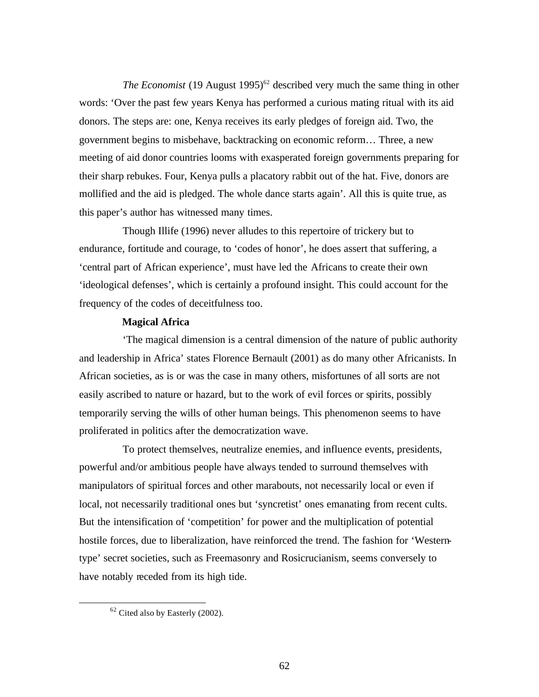*The Economist* (19 August 1995)<sup>62</sup> described very much the same thing in other words: 'Over the past few years Kenya has performed a curious mating ritual with its aid donors. The steps are: one, Kenya receives its early pledges of foreign aid. Two, the government begins to misbehave, backtracking on economic reform… Three, a new meeting of aid donor countries looms with exasperated foreign governments preparing for their sharp rebukes. Four, Kenya pulls a placatory rabbit out of the hat. Five, donors are mollified and the aid is pledged. The whole dance starts again'. All this is quite true, as this paper's author has witnessed many times.

Though Illife (1996) never alludes to this repertoire of trickery but to endurance, fortitude and courage, to 'codes of honor', he does assert that suffering, a 'central part of African experience', must have led the Africans to create their own 'ideological defenses', which is certainly a profound insight. This could account for the frequency of the codes of deceitfulness too.

## **Magical Africa**

'The magical dimension is a central dimension of the nature of public authority and leadership in Africa' states Florence Bernault (2001) as do many other Africanists. In African societies, as is or was the case in many others, misfortunes of all sorts are not easily ascribed to nature or hazard, but to the work of evil forces or spirits, possibly temporarily serving the wills of other human beings. This phenomenon seems to have proliferated in politics after the democratization wave.

To protect themselves, neutralize enemies, and influence events, presidents, powerful and/or ambitious people have always tended to surround themselves with manipulators of spiritual forces and other marabouts, not necessarily local or even if local, not necessarily traditional ones but 'syncretist' ones emanating from recent cults. But the intensification of 'competition' for power and the multiplication of potential hostile forces, due to liberalization, have reinforced the trend. The fashion for 'Westerntype' secret societies, such as Freemasonry and Rosicrucianism, seems conversely to have notably receded from its high tide.

 $62$  Cited also by Easterly (2002).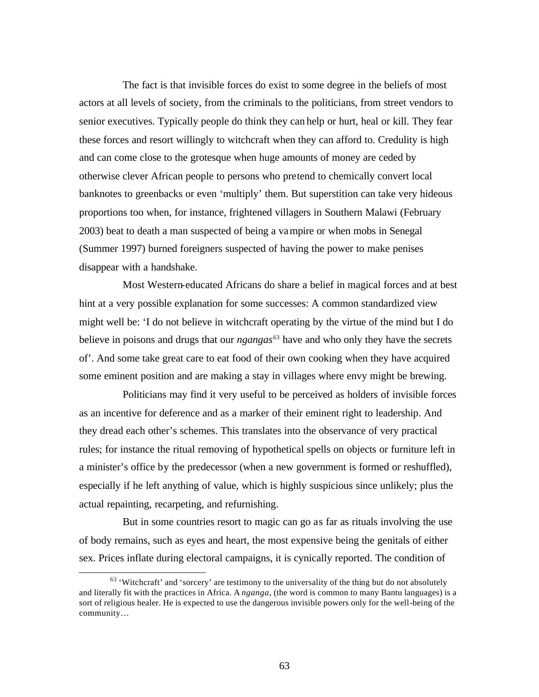The fact is that invisible forces do exist to some degree in the beliefs of most actors at all levels of society, from the criminals to the politicians, from street vendors to senior executives. Typically people do think they can help or hurt, heal or kill. They fear these forces and resort willingly to witchcraft when they can afford to. Credulity is high and can come close to the grotesque when huge amounts of money are ceded by otherwise clever African people to persons who pretend to chemically convert local banknotes to greenbacks or even 'multiply' them. But superstition can take very hideous proportions too when, for instance, frightened villagers in Southern Malawi (February 2003) beat to death a man suspected of being a vampire or when mobs in Senegal (Summer 1997) burned foreigners suspected of having the power to make penises disappear with a handshake.

Most Western-educated Africans do share a belief in magical forces and at best hint at a very possible explanation for some successes: A common standardized view might well be: 'I do not believe in witchcraft operating by the virtue of the mind but I do believe in poisons and drugs that our *ngangas*<sup>63</sup> have and who only they have the secrets of'. And some take great care to eat food of their own cooking when they have acquired some eminent position and are making a stay in villages where envy might be brewing.

Politicians may find it very useful to be perceived as holders of invisible forces as an incentive for deference and as a marker of their eminent right to leadership. And they dread each other's schemes. This translates into the observance of very practical rules; for instance the ritual removing of hypothetical spells on objects or furniture left in a minister's office by the predecessor (when a new government is formed or reshuffled), especially if he left anything of value, which is highly suspicious since unlikely; plus the actual repainting, recarpeting, and refurnishing.

But in some countries resort to magic can go as far as rituals involving the use of body remains, such as eyes and heart, the most expensive being the genitals of either sex. Prices inflate during electoral campaigns, it is cynically reported. The condition of

 $63$  'Witchcraft' and 'sorcery' are testimony to the universality of the thing but do not absolutely and literally fit with the practices in Africa. A *nganga*, (the word is common to many Bantu languages) is a sort of religious healer. He is expected to use the dangerous invisible powers only for the well-being of the community…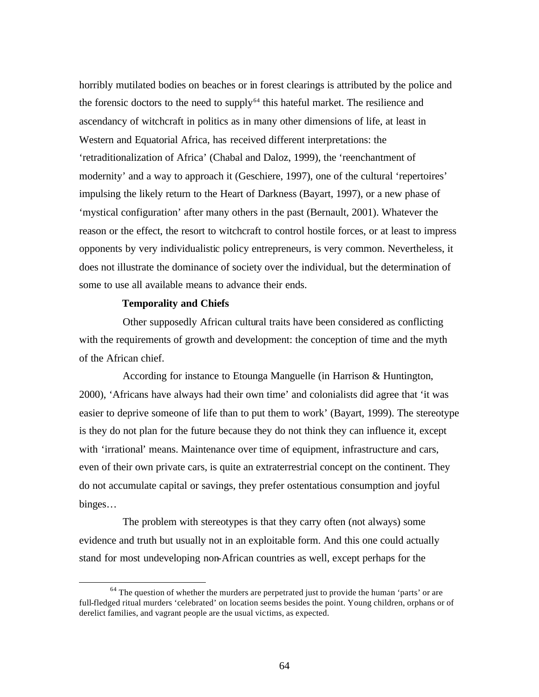horribly mutilated bodies on beaches or in forest clearings is attributed by the police and the forensic doctors to the need to supply $64$  this hateful market. The resilience and ascendancy of witchcraft in politics as in many other dimensions of life, at least in Western and Equatorial Africa, has received different interpretations: the 'retraditionalization of Africa' (Chabal and Daloz, 1999), the 'reenchantment of modernity' and a way to approach it (Geschiere, 1997), one of the cultural 'repertoires' impulsing the likely return to the Heart of Darkness (Bayart, 1997), or a new phase of 'mystical configuration' after many others in the past (Bernault, 2001). Whatever the reason or the effect, the resort to witchcraft to control hostile forces, or at least to impress opponents by very individualistic policy entrepreneurs, is very common. Nevertheless, it does not illustrate the dominance of society over the individual, but the determination of some to use all available means to advance their ends.

#### **Temporality and Chiefs**

 $\overline{a}$ 

Other supposedly African cultural traits have been considered as conflicting with the requirements of growth and development: the conception of time and the myth of the African chief.

According for instance to Etounga Manguelle (in Harrison & Huntington, 2000), 'Africans have always had their own time' and colonialists did agree that 'it was easier to deprive someone of life than to put them to work' (Bayart, 1999). The stereotype is they do not plan for the future because they do not think they can influence it, except with 'irrational' means. Maintenance over time of equipment, infrastructure and cars, even of their own private cars, is quite an extraterrestrial concept on the continent. They do not accumulate capital or savings, they prefer ostentatious consumption and joyful binges…

The problem with stereotypes is that they carry often (not always) some evidence and truth but usually not in an exploitable form. And this one could actually stand for most undeveloping non-African countries as well, except perhaps for the

<sup>&</sup>lt;sup>64</sup> The question of whether the murders are perpetrated just to provide the human 'parts' or are full-fledged ritual murders 'celebrated' on location seems besides the point. Young children, orphans or of derelict families, and vagrant people are the usual victims, as expected.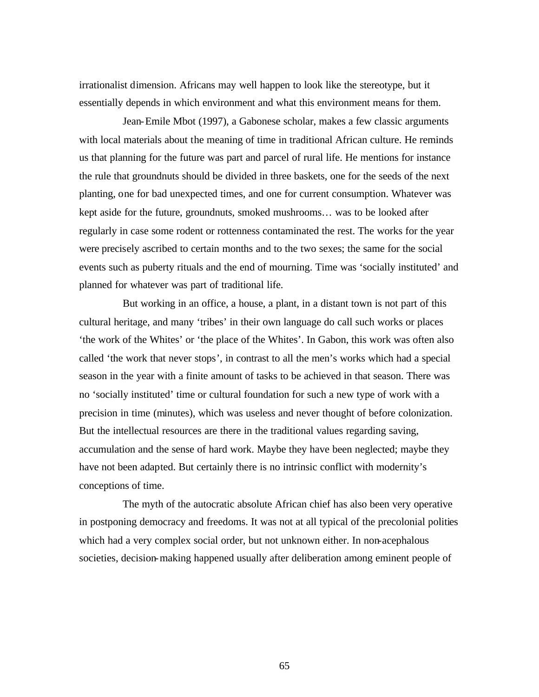irrationalist dimension. Africans may well happen to look like the stereotype, but it essentially depends in which environment and what this environment means for them.

Jean-Emile Mbot (1997), a Gabonese scholar, makes a few classic arguments with local materials about the meaning of time in traditional African culture. He reminds us that planning for the future was part and parcel of rural life. He mentions for instance the rule that groundnuts should be divided in three baskets, one for the seeds of the next planting, one for bad unexpected times, and one for current consumption. Whatever was kept aside for the future, groundnuts, smoked mushrooms… was to be looked after regularly in case some rodent or rottenness contaminated the rest. The works for the year were precisely ascribed to certain months and to the two sexes; the same for the social events such as puberty rituals and the end of mourning. Time was 'socially instituted' and planned for whatever was part of traditional life.

But working in an office, a house, a plant, in a distant town is not part of this cultural heritage, and many 'tribes' in their own language do call such works or places 'the work of the Whites' or 'the place of the Whites'. In Gabon, this work was often also called 'the work that never stops', in contrast to all the men's works which had a special season in the year with a finite amount of tasks to be achieved in that season. There was no 'socially instituted' time or cultural foundation for such a new type of work with a precision in time (minutes), which was useless and never thought of before colonization. But the intellectual resources are there in the traditional values regarding saving, accumulation and the sense of hard work. Maybe they have been neglected; maybe they have not been adapted. But certainly there is no intrinsic conflict with modernity's conceptions of time.

The myth of the autocratic absolute African chief has also been very operative in postponing democracy and freedoms. It was not at all typical of the precolonial polities which had a very complex social order, but not unknown either. In non-acephalous societies, decision-making happened usually after deliberation among eminent people of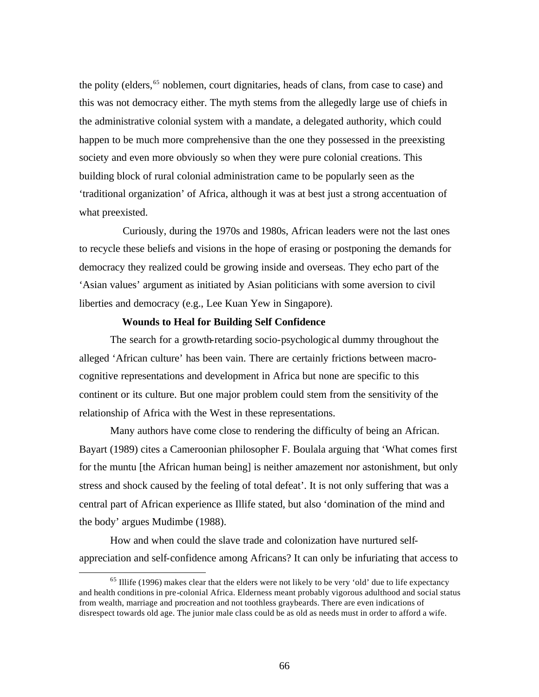the polity (elders,<sup>65</sup> noblemen, court dignitaries, heads of clans, from case to case) and this was not democracy either. The myth stems from the allegedly large use of chiefs in the administrative colonial system with a mandate, a delegated authority, which could happen to be much more comprehensive than the one they possessed in the preexisting society and even more obviously so when they were pure colonial creations. This building block of rural colonial administration came to be popularly seen as the 'traditional organization' of Africa, although it was at best just a strong accentuation of what preexisted.

Curiously, during the 1970s and 1980s, African leaders were not the last ones to recycle these beliefs and visions in the hope of erasing or postponing the demands for democracy they realized could be growing inside and overseas. They echo part of the 'Asian values' argument as initiated by Asian politicians with some aversion to civil liberties and democracy (e.g., Lee Kuan Yew in Singapore).

#### **Wounds to Heal for Building Self Confidence**

 $\overline{a}$ 

The search for a growth-retarding socio-psychologic al dummy throughout the alleged 'African culture' has been vain. There are certainly frictions between macrocognitive representations and development in Africa but none are specific to this continent or its culture. But one major problem could stem from the sensitivity of the relationship of Africa with the West in these representations.

Many authors have come close to rendering the difficulty of being an African. Bayart (1989) cites a Cameroonian philosopher F. Boulala arguing that 'What comes first for the muntu [the African human being] is neither amazement nor astonishment, but only stress and shock caused by the feeling of total defeat'. It is not only suffering that was a central part of African experience as Illife stated, but also 'domination of the mind and the body' argues Mudimbe (1988).

How and when could the slave trade and colonization have nurtured selfappreciation and self-confidence among Africans? It can only be infuriating that access to

 $<sup>65</sup>$  Illife (1996) makes clear that the elders were not likely to be very 'old' due to life expectancy</sup> and health conditions in pre-colonial Africa. Elderness meant probably vigorous adulthood and social status from wealth, marriage and procreation and not toothless graybeards. There are even indications of disrespect towards old age. The junior male class could be as old as needs must in order to afford a wife.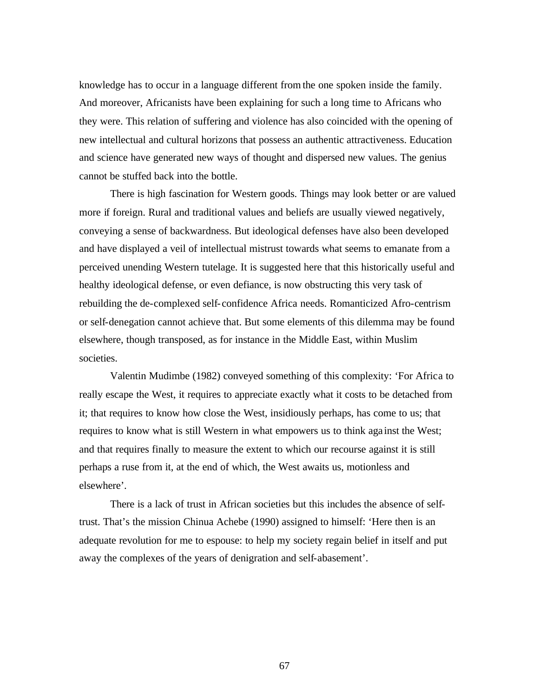knowledge has to occur in a language different from the one spoken inside the family. And moreover, Africanists have been explaining for such a long time to Africans who they were. This relation of suffering and violence has also coincided with the opening of new intellectual and cultural horizons that possess an authentic attractiveness. Education and science have generated new ways of thought and dispersed new values. The genius cannot be stuffed back into the bottle.

There is high fascination for Western goods. Things may look better or are valued more if foreign. Rural and traditional values and beliefs are usually viewed negatively, conveying a sense of backwardness. But ideological defenses have also been developed and have displayed a veil of intellectual mistrust towards what seems to emanate from a perceived unending Western tutelage. It is suggested here that this historically useful and healthy ideological defense, or even defiance, is now obstructing this very task of rebuilding the de-complexed self-confidence Africa needs. Romanticized Afro-centrism or self-denegation cannot achieve that. But some elements of this dilemma may be found elsewhere, though transposed, as for instance in the Middle East, within Muslim societies.

Valentin Mudimbe (1982) conveyed something of this complexity: 'For Africa to really escape the West, it requires to appreciate exactly what it costs to be detached from it; that requires to know how close the West, insidiously perhaps, has come to us; that requires to know what is still Western in what empowers us to think aga inst the West; and that requires finally to measure the extent to which our recourse against it is still perhaps a ruse from it, at the end of which, the West awaits us, motionless and elsewhere'.

There is a lack of trust in African societies but this includes the absence of selftrust. That's the mission Chinua Achebe (1990) assigned to himself: 'Here then is an adequate revolution for me to espouse: to help my society regain belief in itself and put away the complexes of the years of denigration and self-abasement'.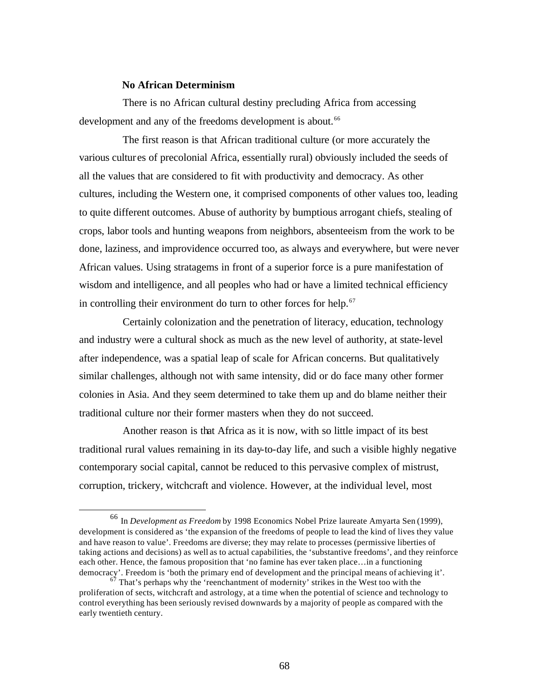# **No African Determinism**

 $\overline{a}$ 

There is no African cultural destiny precluding Africa from accessing development and any of the freedoms development is about.<sup>66</sup>

The first reason is that African traditional culture (or more accurately the various cultur es of precolonial Africa, essentially rural) obviously included the seeds of all the values that are considered to fit with productivity and democracy. As other cultures, including the Western one, it comprised components of other values too, leading to quite different outcomes. Abuse of authority by bumptious arrogant chiefs, stealing of crops, labor tools and hunting weapons from neighbors, absenteeism from the work to be done, laziness, and improvidence occurred too, as always and everywhere, but were never African values. Using stratagems in front of a superior force is a pure manifestation of wisdom and intelligence, and all peoples who had or have a limited technical efficiency in controlling their environment do turn to other forces for help.<sup>67</sup>

Certainly colonization and the penetration of literacy, education, technology and industry were a cultural shock as much as the new level of authority, at state-level after independence, was a spatial leap of scale for African concerns. But qualitatively similar challenges, although not with same intensity, did or do face many other former colonies in Asia. And they seem determined to take them up and do blame neither their traditional culture nor their former masters when they do not succeed.

Another reason is that Africa as it is now, with so little impact of its best traditional rural values remaining in its day-to-day life, and such a visible highly negative contemporary social capital, cannot be reduced to this pervasive complex of mistrust, corruption, trickery, witchcraft and violence. However, at the individual level, most

<sup>66</sup> In *Development as Freedom* by 1998 Economics Nobel Prize laureate Amyarta Sen (1999), development is considered as 'the expansion of the freedoms of people to lead the kind of lives they value and have reason to value'. Freedoms are diverse; they may relate to processes (permissive liberties of taking actions and decisions) as well as to actual capabilities, the 'substantive freedoms', and they reinforce each other. Hence, the famous proposition that 'no famine has ever taken place…in a functioning democracy'. Freedom is 'both the primary end of development and the principal means of achieving it'.

That's perhaps why the 'reenchantment of modernity' strikes in the West too with the proliferation of sects, witchcraft and astrology, at a time when the potential of science and technology to control everything has been seriously revised downwards by a majority of people as compared with the early twentieth century.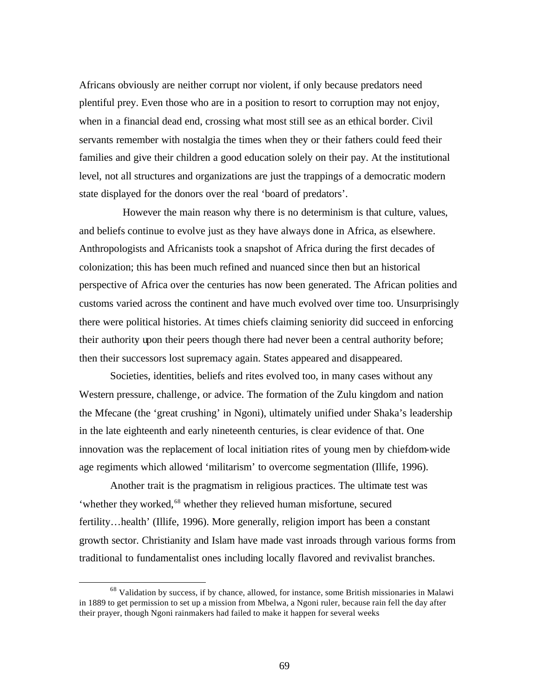Africans obviously are neither corrupt nor violent, if only because predators need plentiful prey. Even those who are in a position to resort to corruption may not enjoy, when in a financial dead end, crossing what most still see as an ethical border. Civil servants remember with nostalgia the times when they or their fathers could feed their families and give their children a good education solely on their pay. At the institutional level, not all structures and organizations are just the trappings of a democratic modern state displayed for the donors over the real 'board of predators'.

However the main reason why there is no determinism is that culture, values, and beliefs continue to evolve just as they have always done in Africa, as elsewhere. Anthropologists and Africanists took a snapshot of Africa during the first decades of colonization; this has been much refined and nuanced since then but an historical perspective of Africa over the centuries has now been generated. The African polities and customs varied across the continent and have much evolved over time too. Unsurprisingly there were political histories. At times chiefs claiming seniority did succeed in enforcing their authority upon their peers though there had never been a central authority before; then their successors lost supremacy again. States appeared and disappeared.

Societies, identities, beliefs and rites evolved too, in many cases without any Western pressure, challenge, or advice. The formation of the Zulu kingdom and nation the Mfecane (the 'great crushing' in Ngoni), ultimately unified under Shaka's leadership in the late eighteenth and early nineteenth centuries, is clear evidence of that. One innovation was the replacement of local initiation rites of young men by chiefdom-wide age regiments which allowed 'militarism' to overcome segmentation (Illife, 1996).

Another trait is the pragmatism in religious practices. The ultimate test was 'whether they worked,<sup>68</sup> whether they relieved human misfortune, secured fertility…health' (Illife, 1996). More generally, religion import has been a constant growth sector. Christianity and Islam have made vast inroads through various forms from traditional to fundamentalist ones including locally flavored and revivalist branches.

<sup>&</sup>lt;sup>68</sup> Validation by success, if by chance, allowed, for instance, some British missionaries in Malawi in 1889 to get permission to set up a mission from Mbelwa, a Ngoni ruler, because rain fell the day after their prayer, though Ngoni rainmakers had failed to make it happen for several weeks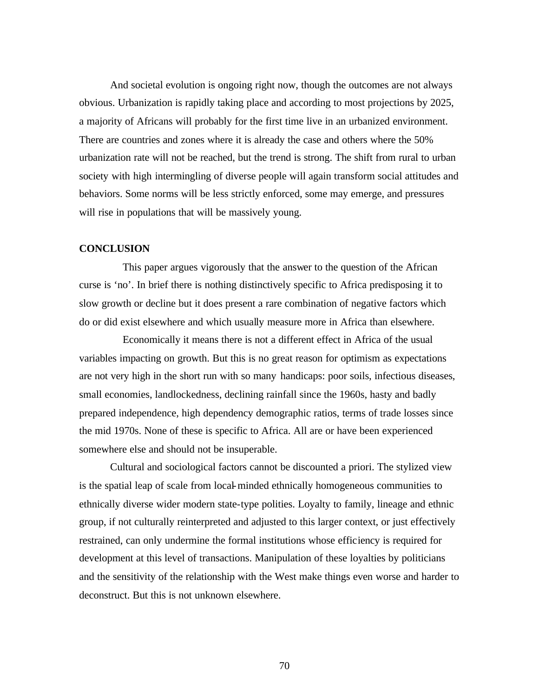And societal evolution is ongoing right now, though the outcomes are not always obvious. Urbanization is rapidly taking place and according to most projections by 2025, a majority of Africans will probably for the first time live in an urbanized environment. There are countries and zones where it is already the case and others where the 50% urbanization rate will not be reached, but the trend is strong. The shift from rural to urban society with high intermingling of diverse people will again transform social attitudes and behaviors. Some norms will be less strictly enforced, some may emerge, and pressures will rise in populations that will be massively young.

## **CONCLUSION**

This paper argues vigorously that the answer to the question of the African curse is 'no'. In brief there is nothing distinctively specific to Africa predisposing it to slow growth or decline but it does present a rare combination of negative factors which do or did exist elsewhere and which usually measure more in Africa than elsewhere.

Economically it means there is not a different effect in Africa of the usual variables impacting on growth. But this is no great reason for optimism as expectations are not very high in the short run with so many handicaps: poor soils, infectious diseases, small economies, landlockedness, declining rainfall since the 1960s, hasty and badly prepared independence, high dependency demographic ratios, terms of trade losses since the mid 1970s. None of these is specific to Africa. All are or have been experienced somewhere else and should not be insuperable.

Cultural and sociological factors cannot be discounted a priori. The stylized view is the spatial leap of scale from local-minded ethnically homogeneous communities to ethnically diverse wider modern state-type polities. Loyalty to family, lineage and ethnic group, if not culturally reinterpreted and adjusted to this larger context, or just effectively restrained, can only undermine the formal institutions whose efficiency is required for development at this level of transactions. Manipulation of these loyalties by politicians and the sensitivity of the relationship with the West make things even worse and harder to deconstruct. But this is not unknown elsewhere.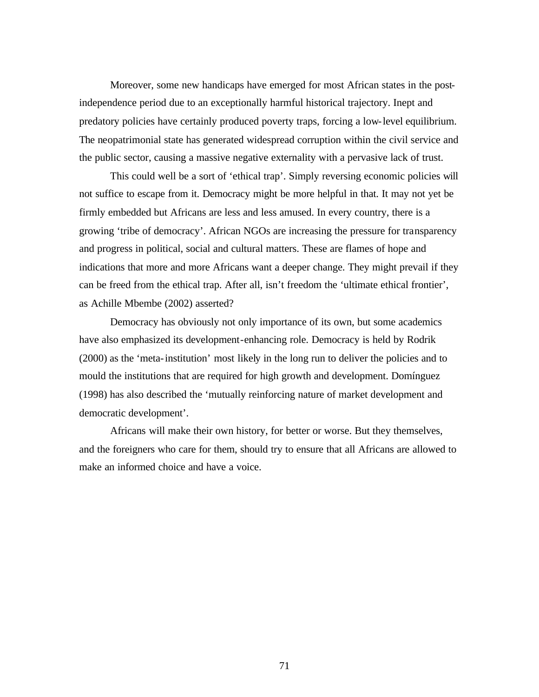Moreover, some new handicaps have emerged for most African states in the postindependence period due to an exceptionally harmful historical trajectory. Inept and predatory policies have certainly produced poverty traps, forcing a low-level equilibrium. The neopatrimonial state has generated widespread corruption within the civil service and the public sector, causing a massive negative externality with a pervasive lack of trust.

This could well be a sort of 'ethical trap'. Simply reversing economic policies will not suffice to escape from it. Democracy might be more helpful in that. It may not yet be firmly embedded but Africans are less and less amused. In every country, there is a growing 'tribe of democracy'. African NGOs are increasing the pressure for transparency and progress in political, social and cultural matters. These are flames of hope and indications that more and more Africans want a deeper change. They might prevail if they can be freed from the ethical trap. After all, isn't freedom the 'ultimate ethical frontier', as Achille Mbembe (2002) asserted?

Democracy has obviously not only importance of its own, but some academics have also emphasized its development-enhancing role. Democracy is held by Rodrik (2000) as the 'meta-institution' most likely in the long run to deliver the policies and to mould the institutions that are required for high growth and development. Domínguez (1998) has also described the 'mutually reinforcing nature of market development and democratic development'.

Africans will make their own history, for better or worse. But they themselves, and the foreigners who care for them, should try to ensure that all Africans are allowed to make an informed choice and have a voice.

71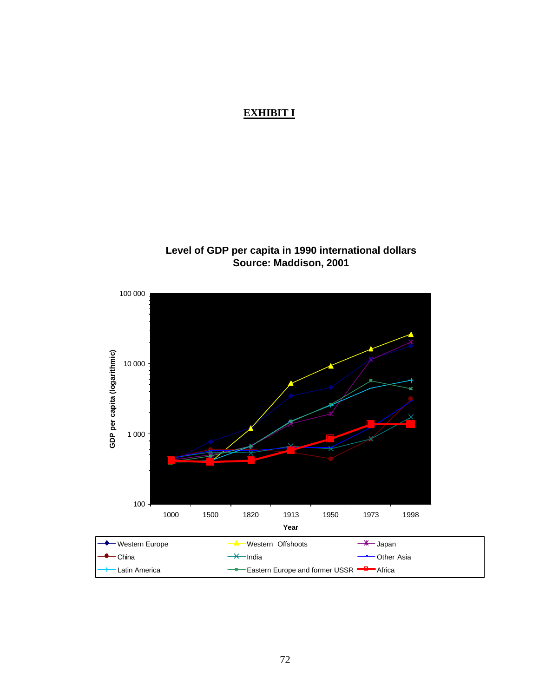## **EXHIBIT I**

## **Level of GDP per capita in 1990 international dollars Source: Maddison, 2001**

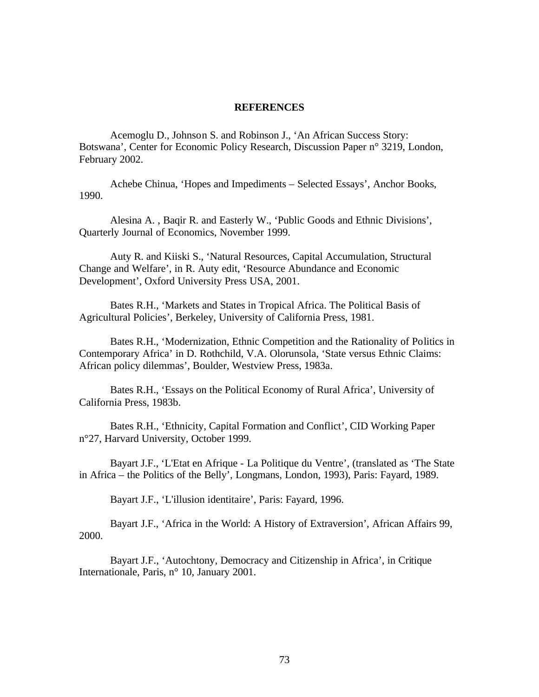## **REFERENCES**

Acemoglu D., Johnson S. and Robinson J., 'An African Success Story: Botswana', Center for Economic Policy Research, Discussion Paper n° 3219, London, February 2002.

Achebe Chinua, 'Hopes and Impediments – Selected Essays', Anchor Books, 1990.

Alesina A. , Baqir R. and Easterly W., 'Public Goods and Ethnic Divisions', Quarterly Journal of Economics, November 1999.

Auty R. and Kiiski S., 'Natural Resources, Capital Accumulation, Structural Change and Welfare', in R. Auty edit, 'Resource Abundance and Economic Development', Oxford University Press USA, 2001.

Bates R.H., 'Markets and States in Tropical Africa. The Political Basis of Agricultural Policies', Berkeley, University of California Press, 1981.

Bates R.H., 'Modernization, Ethnic Competition and the Rationality of Politics in Contemporary Africa' in D. Rothchild, V.A. Olorunsola, 'State versus Ethnic Claims: African policy dilemmas', Boulder, Westview Press, 1983a.

Bates R.H., 'Essays on the Political Economy of Rural Africa', University of California Press, 1983b.

Bates R.H., 'Ethnicity, Capital Formation and Conflict', CID Working Paper n°27, Harvard University, October 1999.

Bayart J.F., 'L'Etat en Afrique - La Politique du Ventre', (translated as 'The State in Africa – the Politics of the Belly', Longmans, London, 1993), Paris: Fayard, 1989.

Bayart J.F., 'L'illusion identitaire', Paris: Fayard, 1996.

Bayart J.F., 'Africa in the World: A History of Extraversion', African Affairs 99, 2000.

Bayart J.F., 'Autochtony, Democracy and Citizenship in Africa', in Critique Internationale, Paris, n° 10, January 2001.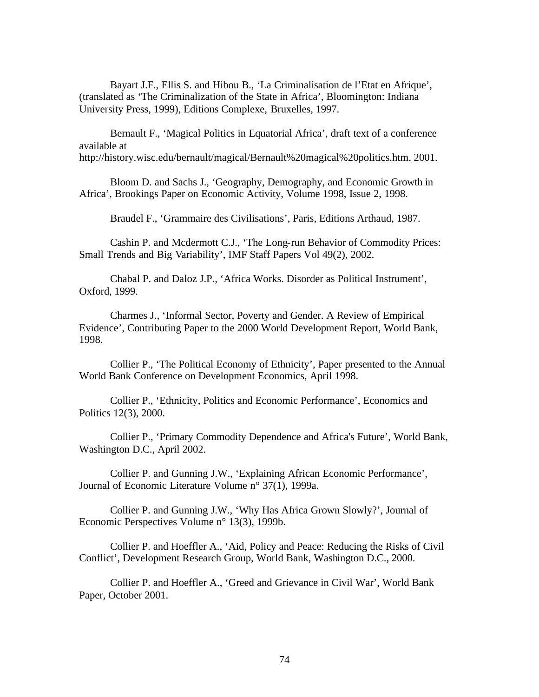Bayart J.F., Ellis S. and Hibou B., 'La Criminalisation de l'Etat en Afrique', (translated as 'The Criminalization of the State in Africa', Bloomington: Indiana University Press, 1999), Editions Complexe, Bruxelles, 1997.

Bernault F., 'Magical Politics in Equatorial Africa', draft text of a conference available at

http://history.wisc.edu/bernault/magical/Bernault%20magical%20politics.htm, 2001.

Bloom D. and Sachs J., 'Geography, Demography, and Economic Growth in Africa', Brookings Paper on Economic Activity, Volume 1998, Issue 2, 1998.

Braudel F., 'Grammaire des Civilisations', Paris, Editions Arthaud, 1987.

Cashin P. and Mcdermott C.J., 'The Long-run Behavior of Commodity Prices: Small Trends and Big Variability', IMF Staff Papers Vol 49(2), 2002.

Chabal P. and Daloz J.P., 'Africa Works. Disorder as Political Instrument', Oxford, 1999.

Charmes J., 'Informal Sector, Poverty and Gender. A Review of Empirical Evidence', Contributing Paper to the 2000 World Development Report, World Bank, 1998.

Collier P., 'The Political Economy of Ethnicity', Paper presented to the Annual World Bank Conference on Development Economics, April 1998.

Collier P., 'Ethnicity, Politics and Economic Performance', Economics and Politics 12(3), 2000.

Collier P., 'Primary Commodity Dependence and Africa's Future', World Bank, Washington D.C., April 2002.

Collier P. and Gunning J.W., 'Explaining African Economic Performance', Journal of Economic Literature Volume n° 37(1), 1999a.

Collier P. and Gunning J.W., 'Why Has Africa Grown Slowly?', Journal of Economic Perspectives Volume n° 13(3), 1999b.

Collier P. and Hoeffler A., 'Aid, Policy and Peace: Reducing the Risks of Civil Conflict', Development Research Group, World Bank, Washington D.C., 2000.

Collier P. and Hoeffler A., 'Greed and Grievance in Civil War', World Bank Paper, October 2001.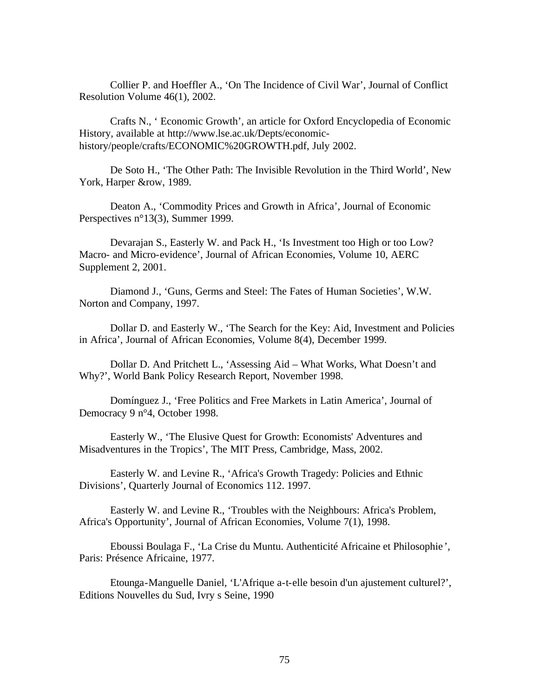Collier P. and Hoeffler A., 'On The Incidence of Civil War', Journal of Conflict Resolution Volume 46(1), 2002.

Crafts N., ' Economic Growth', an article for Oxford Encyclopedia of Economic History, available at http://www.lse.ac.uk/Depts/economichistory/people/crafts/ECONOMIC%20GROWTH.pdf, July 2002.

De Soto H., 'The Other Path: The Invisible Revolution in the Third World', New York, Harper &row, 1989.

Deaton A., 'Commodity Prices and Growth in Africa', Journal of Economic Perspectives n°13(3), Summer 1999.

Devarajan S., Easterly W. and Pack H., 'Is Investment too High or too Low? Macro- and Micro-evidence', Journal of African Economies, Volume 10, AERC Supplement 2, 2001.

Diamond J., 'Guns, Germs and Steel: The Fates of Human Societies', W.W. Norton and Company, 1997.

Dollar D. and Easterly W., 'The Search for the Key: Aid, Investment and Policies in Africa', Journal of African Economies, Volume 8(4), December 1999.

Dollar D. And Pritchett L., 'Assessing Aid – What Works, What Doesn't and Why?', World Bank Policy Research Report, November 1998.

Domínguez J., 'Free Politics and Free Markets in Latin America', Journal of Democracy 9 n°4, October 1998.

Easterly W., 'The Elusive Quest for Growth: Economists' Adventures and Misadventures in the Tropics', The MIT Press, Cambridge, Mass, 2002.

Easterly W. and Levine R., 'Africa's Growth Tragedy: Policies and Ethnic Divisions', Quarterly Journal of Economics 112. 1997.

Easterly W. and Levine R., 'Troubles with the Neighbours: Africa's Problem, Africa's Opportunity', Journal of African Economies, Volume 7(1), 1998.

Eboussi Boulaga F., 'La Crise du Muntu. Authenticité Africaine et Philosophie ', Paris: Présence Africaine, 1977.

Etounga-Manguelle Daniel, 'L'Afrique a-t-elle besoin d'un ajustement culturel?', Editions Nouvelles du Sud, Ivry s Seine, 1990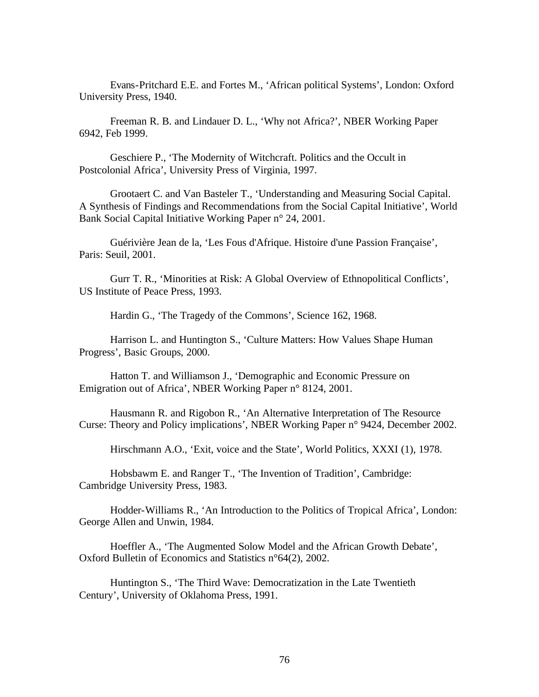Evans-Pritchard E.E. and Fortes M., 'African political Systems', London: Oxford University Press, 1940.

Freeman R. B. and Lindauer D. L., 'Why not Africa?', NBER Working Paper 6942, Feb 1999.

Geschiere P., 'The Modernity of Witchcraft. Politics and the Occult in Postcolonial Africa', University Press of Virginia, 1997.

Grootaert C. and Van Basteler T., 'Understanding and Measuring Social Capital. A Synthesis of Findings and Recommendations from the Social Capital Initiative', World Bank Social Capital Initiative Working Paper n° 24, 2001.

Guérivière Jean de la, 'Les Fous d'Afrique. Histoire d'une Passion Française', Paris: Seuil, 2001.

Gurr T. R., 'Minorities at Risk: A Global Overview of Ethnopolitical Conflicts', US Institute of Peace Press, 1993.

Hardin G., 'The Tragedy of the Commons', Science 162, 1968.

Harrison L. and Huntington S., 'Culture Matters: How Values Shape Human Progress', Basic Groups, 2000.

Hatton T. and Williamson J., 'Demographic and Economic Pressure on Emigration out of Africa', NBER Working Paper n° 8124, 2001.

Hausmann R. and Rigobon R., 'An Alternative Interpretation of The Resource Curse: Theory and Policy implications', NBER Working Paper n° 9424, December 2002.

Hirschmann A.O., 'Exit, voice and the State', World Politics, XXXI (1), 1978.

Hobsbawm E. and Ranger T., 'The Invention of Tradition', Cambridge: Cambridge University Press, 1983.

Hodder-Williams R., 'An Introduction to the Politics of Tropical Africa', London: George Allen and Unwin, 1984.

Hoeffler A., 'The Augmented Solow Model and the African Growth Debate', Oxford Bulletin of Economics and Statistics n°64(2), 2002.

Huntington S., 'The Third Wave: Democratization in the Late Twentieth Century', University of Oklahoma Press, 1991.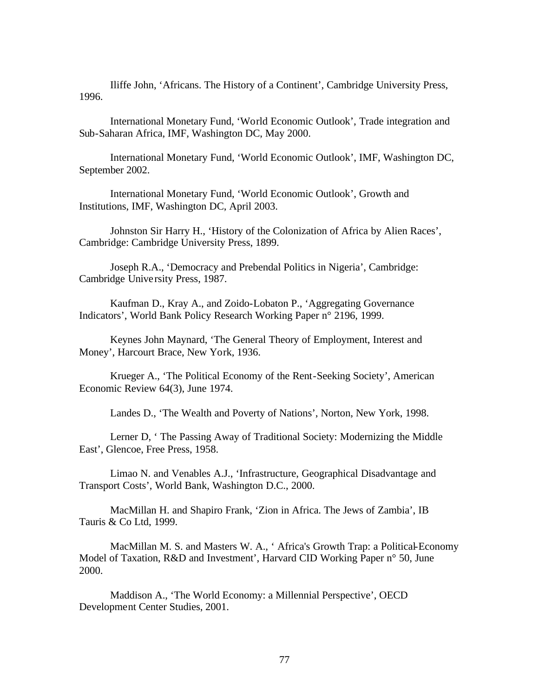Iliffe John, 'Africans. The History of a Continent', Cambridge University Press, 1996.

International Monetary Fund, 'World Economic Outlook', Trade integration and Sub-Saharan Africa, IMF, Washington DC, May 2000.

International Monetary Fund, 'World Economic Outlook', IMF, Washington DC, September 2002.

International Monetary Fund, 'World Economic Outlook', Growth and Institutions, IMF, Washington DC, April 2003.

Johnston Sir Harry H., 'History of the Colonization of Africa by Alien Races', Cambridge: Cambridge University Press, 1899.

Joseph R.A., 'Democracy and Prebendal Politics in Nigeria', Cambridge: Cambridge University Press, 1987.

Kaufman D., Kray A., and Zoido-Lobaton P., 'Aggregating Governance Indicators', World Bank Policy Research Working Paper n° 2196, 1999.

Keynes John Maynard, 'The General Theory of Employment, Interest and Money', Harcourt Brace, New York, 1936.

Krueger A., 'The Political Economy of the Rent-Seeking Society', American Economic Review 64(3), June 1974.

Landes D., 'The Wealth and Poverty of Nations', Norton, New York, 1998.

Lerner D, ' The Passing Away of Traditional Society: Modernizing the Middle East', Glencoe, Free Press, 1958.

Limao N. and Venables A.J., 'Infrastructure, Geographical Disadvantage and Transport Costs', World Bank, Washington D.C., 2000.

MacMillan H. and Shapiro Frank, 'Zion in Africa. The Jews of Zambia', IB Tauris & Co Ltd, 1999.

MacMillan M. S. and Masters W. A., ' Africa's Growth Trap: a Political-Economy Model of Taxation, R&D and Investment', Harvard CID Working Paper n° 50, June 2000.

Maddison A., 'The World Economy: a Millennial Perspective', OECD Development Center Studies, 2001.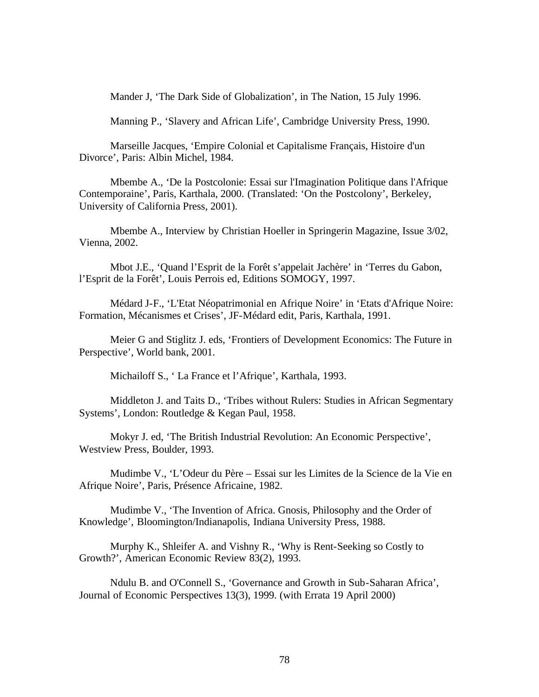Mander J, 'The Dark Side of Globalization', in The Nation, 15 July 1996.

Manning P., 'Slavery and African Life', Cambridge University Press, 1990.

Marseille Jacques, 'Empire Colonial et Capitalisme Français, Histoire d'un Divorce', Paris: Albin Michel, 1984.

Mbembe A., 'De la Postcolonie: Essai sur l'Imagination Politique dans l'Afrique Contemporaine', Paris, Karthala, 2000. (Translated: 'On the Postcolony', Berkeley, University of California Press, 2001).

Mbembe A., Interview by Christian Hoeller in Springerin Magazine, Issue 3/02, Vienna, 2002.

Mbot J.E., 'Quand l'Esprit de la Forêt s'appelait Jachère' in 'Terres du Gabon, l'Esprit de la Forêt', Louis Perrois ed, Editions SOMOGY, 1997.

Médard J-F., 'L'Etat Néopatrimonial en Afrique Noire' in 'Etats d'Afrique Noire: Formation, Mécanismes et Crises', JF-Médard edit, Paris, Karthala, 1991.

Meier G and Stiglitz J. eds, 'Frontiers of Development Economics: The Future in Perspective', World bank, 2001.

Michailoff S., ' La France et l'Afrique', Karthala, 1993.

Middleton J. and Taits D., 'Tribes without Rulers: Studies in African Segmentary Systems', London: Routledge & Kegan Paul, 1958.

Mokyr J. ed, 'The British Industrial Revolution: An Economic Perspective', Westview Press, Boulder, 1993.

Mudimbe V., 'L'Odeur du Père – Essai sur les Limites de la Science de la Vie en Afrique Noire', Paris, Présence Africaine, 1982.

Mudimbe V., 'The Invention of Africa. Gnosis, Philosophy and the Order of Knowledge', Bloomington/Indianapolis, Indiana University Press, 1988.

Murphy K., Shleifer A. and Vishny R., 'Why is Rent-Seeking so Costly to Growth?', American Economic Review 83(2), 1993.

Ndulu B. and O'Connell S., 'Governance and Growth in Sub-Saharan Africa', Journal of Economic Perspectives 13(3), 1999. (with Errata 19 April 2000)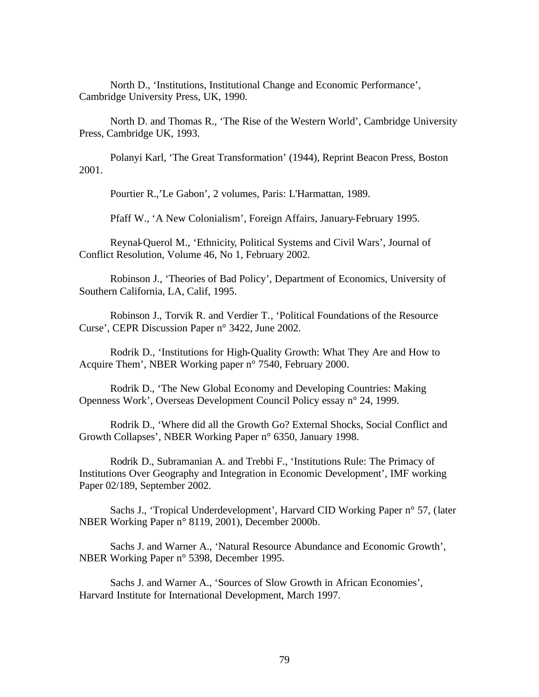North D., 'Institutions, Institutional Change and Economic Performance', Cambridge University Press, UK, 1990.

North D. and Thomas R., 'The Rise of the Western World', Cambridge University Press, Cambridge UK, 1993.

Polanyi Karl, 'The Great Transformation' (1944), Reprint Beacon Press, Boston 2001.

Pourtier R.,'Le Gabon', 2 volumes, Paris: L'Harmattan, 1989.

Pfaff W., 'A New Colonialism', Foreign Affairs, January-February 1995.

Reynal-Querol M., 'Ethnicity, Political Systems and Civil Wars', Journal of Conflict Resolution, Volume 46, No 1, February 2002.

Robinson J., 'Theories of Bad Policy', Department of Economics, University of Southern California, LA, Calif, 1995.

Robinson J., Torvik R. and Verdier T., 'Political Foundations of the Resource Curse', CEPR Discussion Paper n° 3422, June 2002.

Rodrik D., 'Institutions for High-Quality Growth: What They Are and How to Acquire Them', NBER Working paper n° 7540, February 2000.

Rodrik D., 'The New Global Economy and Developing Countries: Making Openness Work', Overseas Development Council Policy essay n° 24, 1999.

Rodrik D., 'Where did all the Growth Go? External Shocks, Social Conflict and Growth Collapses', NBER Working Paper n° 6350, January 1998.

Rodrik D., Subramanian A. and Trebbi F., 'Institutions Rule: The Primacy of Institutions Over Geography and Integration in Economic Development', IMF working Paper 02/189, September 2002.

Sachs J., 'Tropical Underdevelopment', Harvard CID Working Paper n° 57, (later NBER Working Paper n° 8119, 2001), December 2000b.

Sachs J. and Warner A., 'Natural Resource Abundance and Economic Growth', NBER Working Paper n° 5398, December 1995.

Sachs J. and Warner A., 'Sources of Slow Growth in African Economies', Harvard Institute for International Development, March 1997.